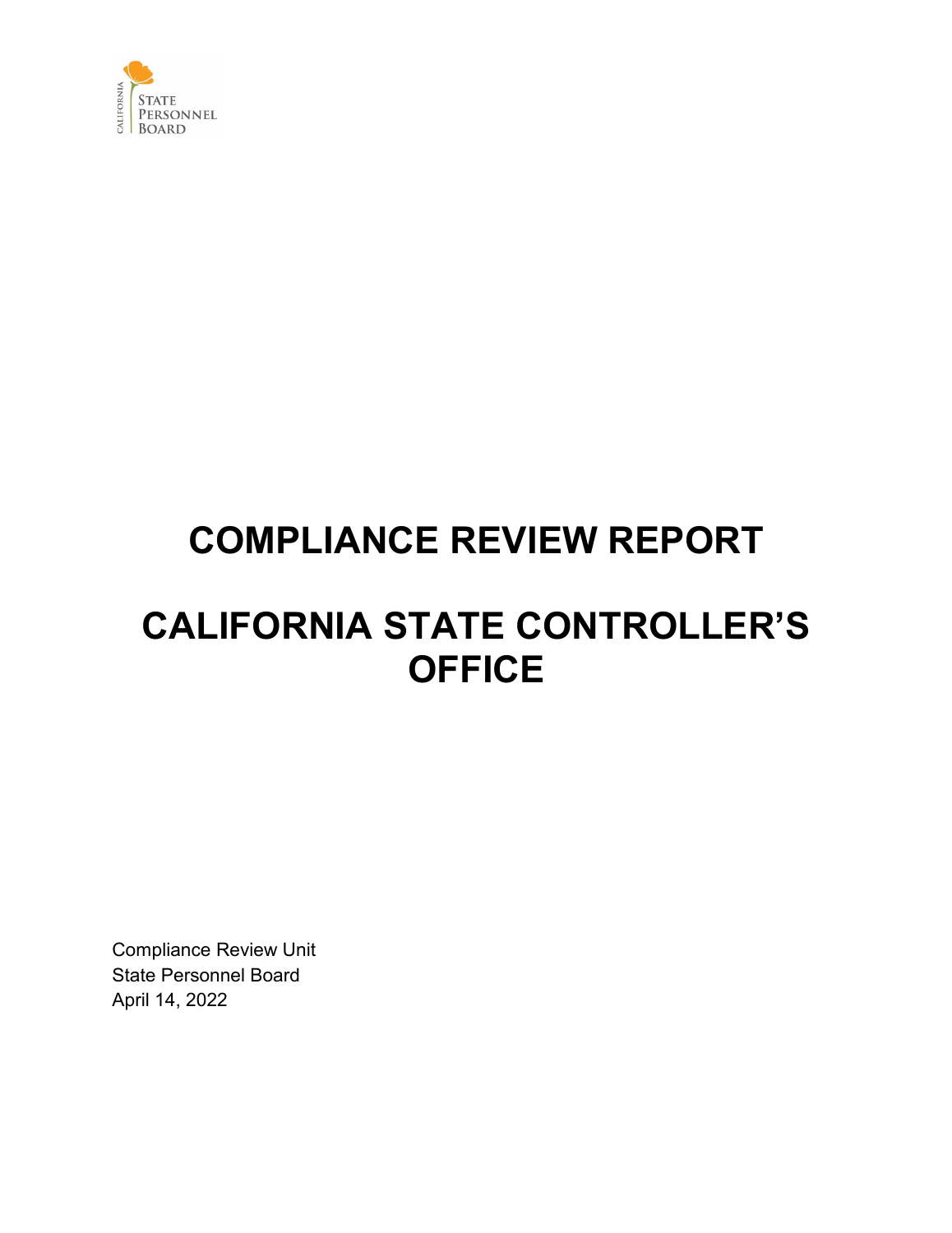

## **COMPLIANCE REVIEW REPORT**

## **CALIFORNIA STATE CONTROLLER'S OFFICE**

Compliance Review Unit State Personnel Board April 14, 2022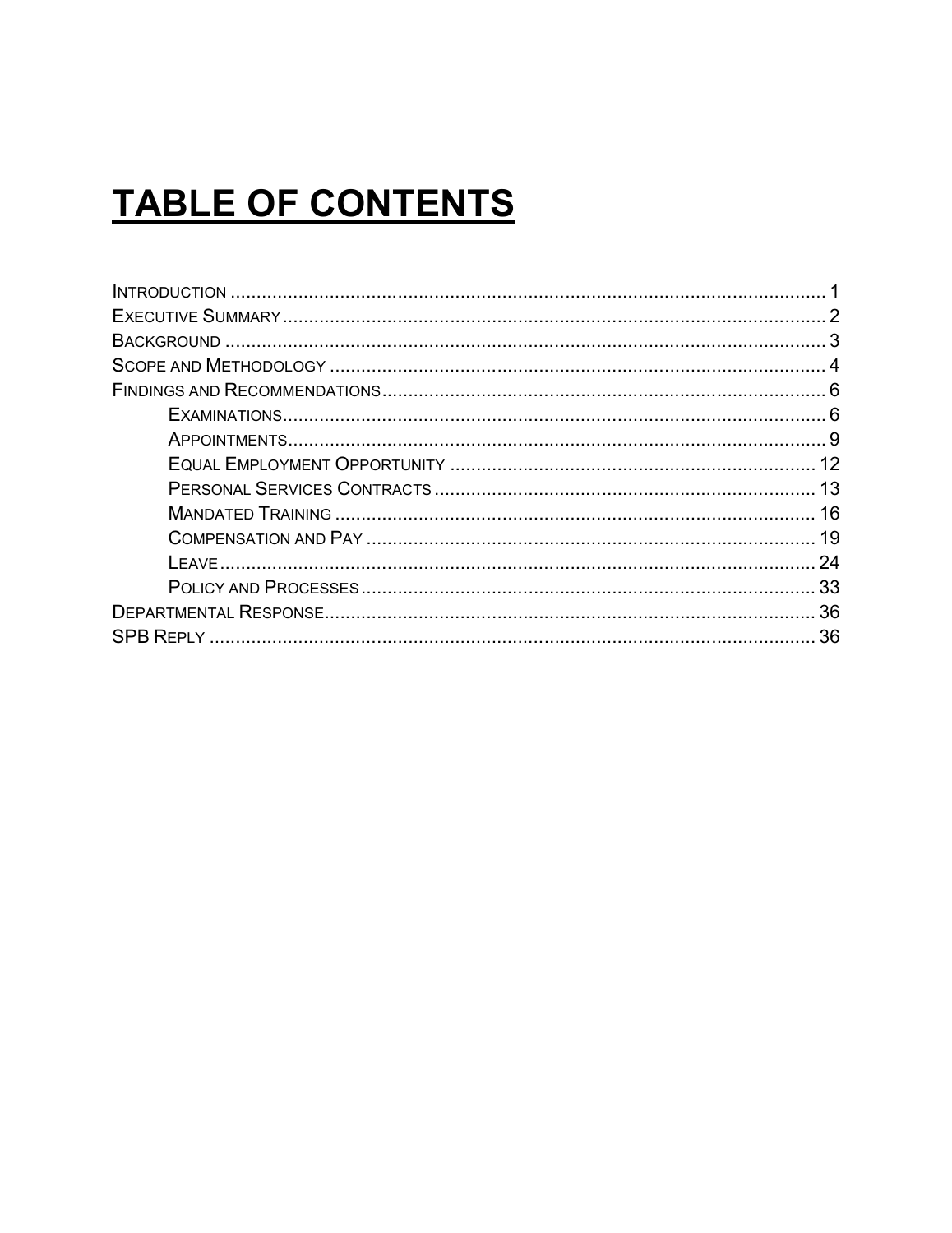# **TABLE OF CONTENTS**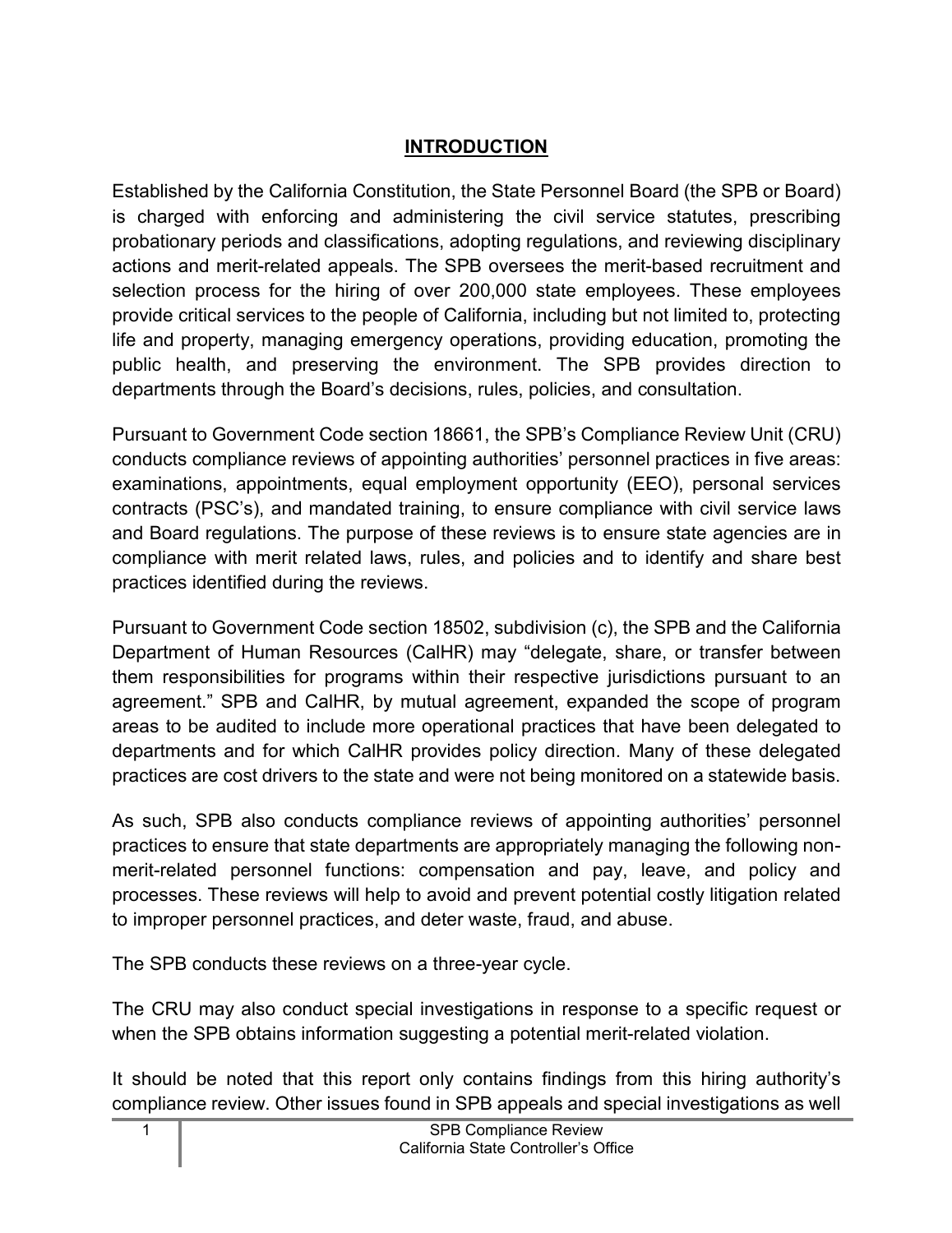#### **INTRODUCTION**

<span id="page-2-0"></span>Established by the California Constitution, the State Personnel Board (the SPB or Board) is charged with enforcing and administering the civil service statutes, prescribing probationary periods and classifications, adopting regulations, and reviewing disciplinary actions and merit-related appeals. The SPB oversees the merit-based recruitment and selection process for the hiring of over 200,000 state employees. These employees provide critical services to the people of California, including but not limited to, protecting life and property, managing emergency operations, providing education, promoting the public health, and preserving the environment. The SPB provides direction to departments through the Board's decisions, rules, policies, and consultation.

Pursuant to Government Code section 18661, the SPB's Compliance Review Unit (CRU) conducts compliance reviews of appointing authorities' personnel practices in five areas: examinations, appointments, equal employment opportunity (EEO), personal services contracts (PSC's), and mandated training, to ensure compliance with civil service laws and Board regulations. The purpose of these reviews is to ensure state agencies are in compliance with merit related laws, rules, and policies and to identify and share best practices identified during the reviews.

Pursuant to Government Code section 18502, subdivision (c), the SPB and the California Department of Human Resources (CalHR) may "delegate, share, or transfer between them responsibilities for programs within their respective jurisdictions pursuant to an agreement." SPB and CalHR, by mutual agreement, expanded the scope of program areas to be audited to include more operational practices that have been delegated to departments and for which CalHR provides policy direction. Many of these delegated practices are cost drivers to the state and were not being monitored on a statewide basis.

As such, SPB also conducts compliance reviews of appointing authorities' personnel practices to ensure that state departments are appropriately managing the following nonmerit-related personnel functions: compensation and pay, leave, and policy and processes. These reviews will help to avoid and prevent potential costly litigation related to improper personnel practices, and deter waste, fraud, and abuse.

The SPB conducts these reviews on a three-year cycle.

The CRU may also conduct special investigations in response to a specific request or when the SPB obtains information suggesting a potential merit-related violation.

It should be noted that this report only contains findings from this hiring authority's compliance review. Other issues found in SPB appeals and special investigations as well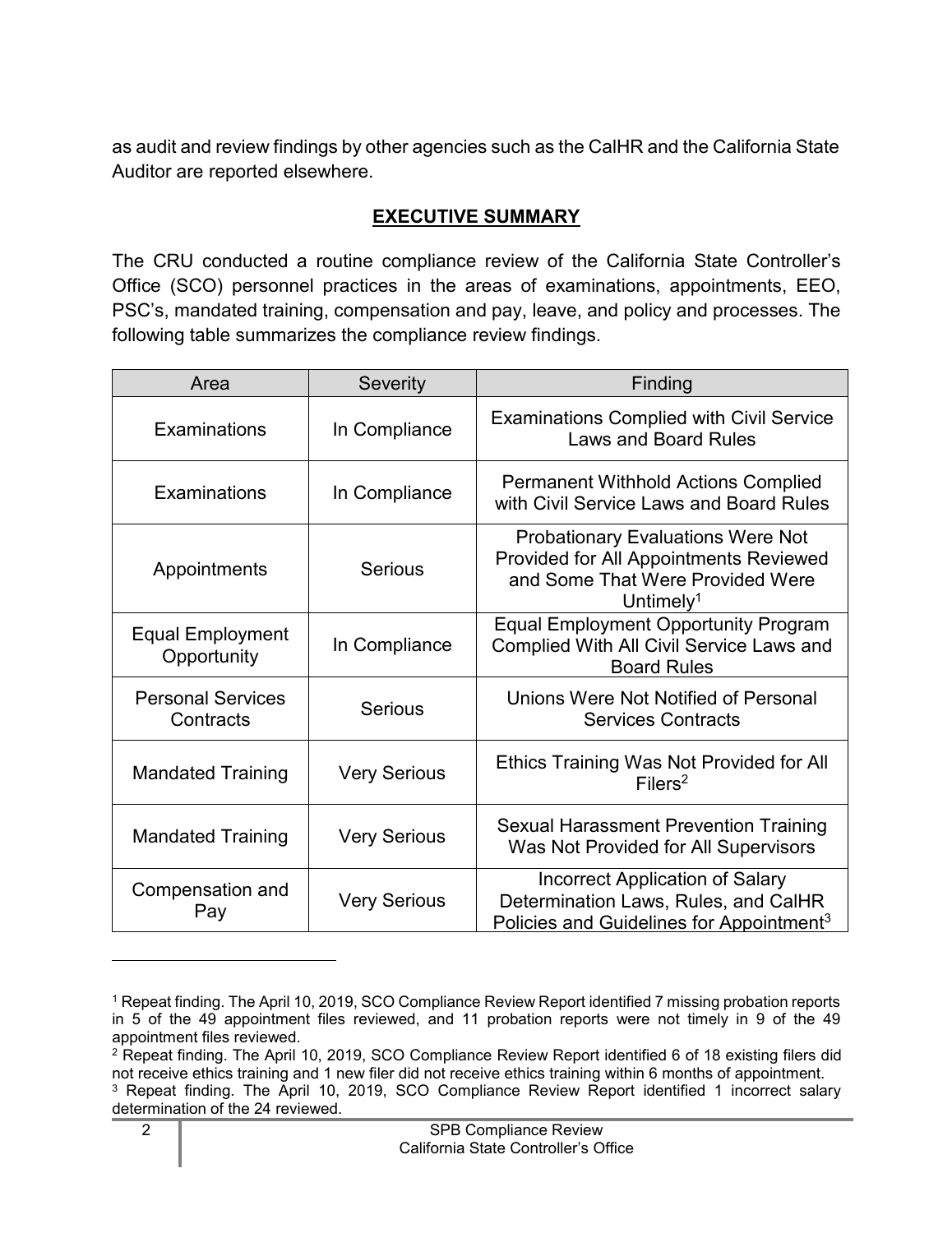as audit and review findings by other agencies such as the CalHR and the California State Auditor are reported elsewhere.

#### **EXECUTIVE SUMMARY**

<span id="page-3-0"></span>The CRU conducted a routine compliance review of the California State Controller's Office (SCO) personnel practices in the areas of examinations, appointments, EEO, PSC's, mandated training, compensation and pay, leave, and policy and processes. The following table summarizes the compliance review findings.

| Area                                                    | <b>Severity</b>     | Finding                                                                                                                                         |
|---------------------------------------------------------|---------------------|-------------------------------------------------------------------------------------------------------------------------------------------------|
| Examinations<br>In Compliance                           |                     | <b>Examinations Complied with Civil Service</b><br><b>Laws and Board Rules</b>                                                                  |
| Examinations<br>In Compliance                           |                     | <b>Permanent Withhold Actions Complied</b><br>with Civil Service Laws and Board Rules                                                           |
| <b>Serious</b><br>Appointments                          |                     | <b>Probationary Evaluations Were Not</b><br>Provided for All Appointments Reviewed<br>and Some That Were Provided Were<br>Untimely <sup>1</sup> |
| <b>Equal Employment</b><br>Opportunity                  | In Compliance       | <b>Equal Employment Opportunity Program</b><br>Complied With All Civil Service Laws and<br><b>Board Rules</b>                                   |
| <b>Personal Services</b><br><b>Serious</b><br>Contracts |                     | Unions Were Not Notified of Personal<br><b>Services Contracts</b>                                                                               |
| <b>Very Serious</b><br><b>Mandated Training</b>         |                     | Ethics Training Was Not Provided for All<br>Filers <sup>2</sup>                                                                                 |
| <b>Mandated Training</b><br><b>Very Serious</b>         |                     | <b>Sexual Harassment Prevention Training</b><br>Was Not Provided for All Supervisors                                                            |
| Compensation and<br>Pay                                 | <b>Very Serious</b> | <b>Incorrect Application of Salary</b><br>Determination Laws, Rules, and CalHR<br>Policies and Guidelines for Appointment <sup>3</sup>          |

<span id="page-3-1"></span><sup>1</sup> Repeat finding. The April 10, 2019, SCO Compliance Review Report identified 7 missing probation reports in 5 of the 49 appointment files reviewed, and 11 probation reports were not timely in 9 of the 49 appointment files reviewed.

<span id="page-3-3"></span><span id="page-3-2"></span><sup>2</sup> Repeat finding. The April 10, 2019, SCO Compliance Review Report identified 6 of 18 existing filers did not receive ethics training and 1 new filer did not receive ethics training within 6 months of appointment. <sup>3</sup> Repeat finding. The April 10, 2019, SCO Compliance Review Report identified 1 incorrect salary determination of the 24 reviewed.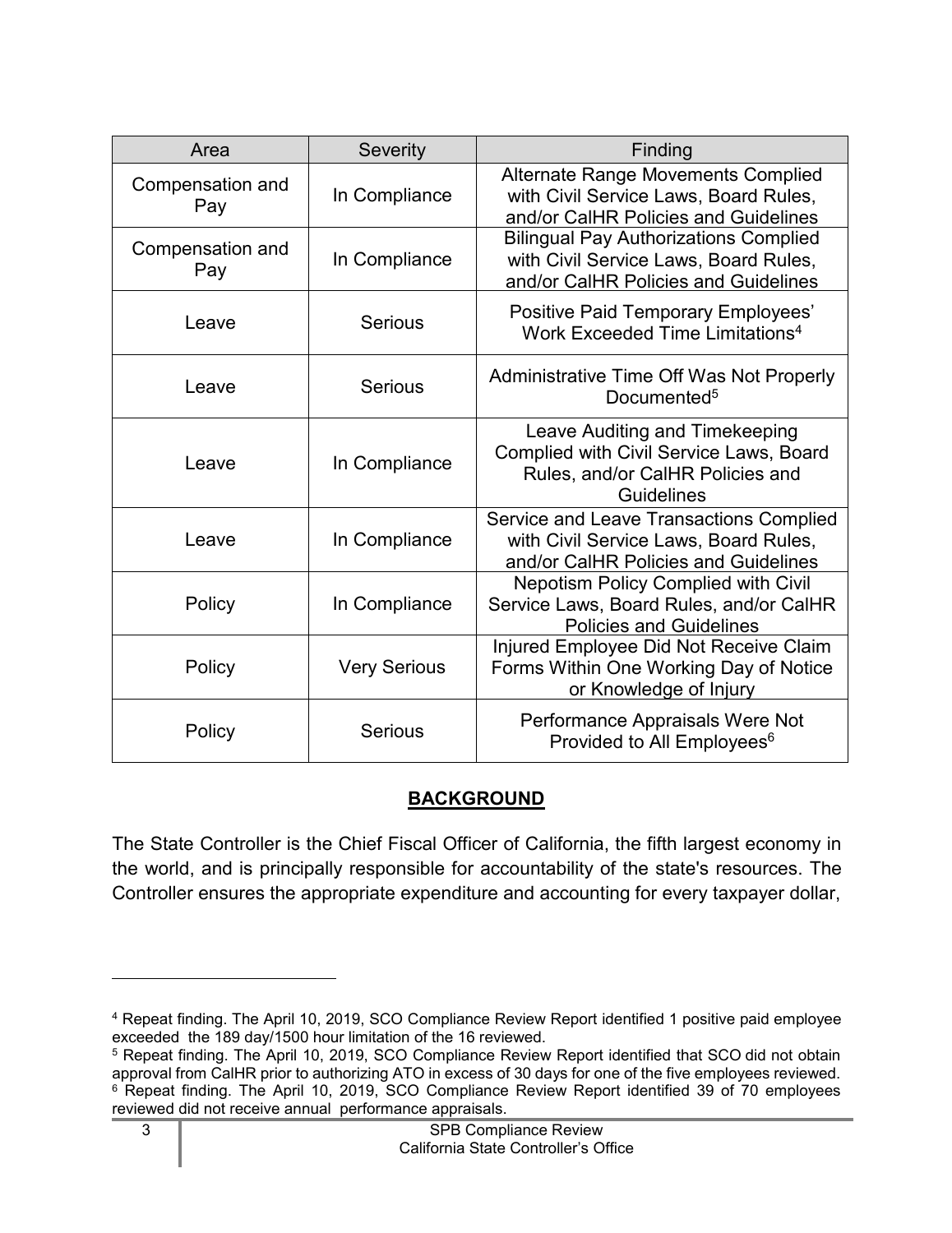| Area                    | <b>Severity</b>     | Finding                                                                                                                       |
|-------------------------|---------------------|-------------------------------------------------------------------------------------------------------------------------------|
| Compensation and<br>Pay | In Compliance       | <b>Alternate Range Movements Complied</b><br>with Civil Service Laws, Board Rules,<br>and/or CalHR Policies and Guidelines    |
| Compensation and<br>Pay | In Compliance       | <b>Bilingual Pay Authorizations Complied</b><br>with Civil Service Laws, Board Rules,<br>and/or CalHR Policies and Guidelines |
| Leave                   | <b>Serious</b>      | <b>Positive Paid Temporary Employees'</b><br>Work Exceeded Time Limitations <sup>4</sup>                                      |
| Leave                   | <b>Serious</b>      | Administrative Time Off Was Not Properly<br>Documented <sup>5</sup>                                                           |
| Leave                   | In Compliance       | Leave Auditing and Timekeeping<br>Complied with Civil Service Laws, Board<br>Rules, and/or CalHR Policies and<br>Guidelines   |
| Leave                   | In Compliance       | Service and Leave Transactions Complied<br>with Civil Service Laws, Board Rules,<br>and/or CalHR Policies and Guidelines      |
| Policy                  | In Compliance       | Nepotism Policy Complied with Civil<br>Service Laws, Board Rules, and/or CalHR<br><b>Policies and Guidelines</b>              |
| Policy                  | <b>Very Serious</b> | Injured Employee Did Not Receive Claim<br>Forms Within One Working Day of Notice<br>or Knowledge of Injury                    |
| Policy                  | <b>Serious</b>      | Performance Appraisals Were Not<br>Provided to All Employees <sup>6</sup>                                                     |

## **BACKGROUND**

<span id="page-4-0"></span>The State Controller is the Chief Fiscal Officer of California, the fifth largest economy in the world, and is principally responsible for accountability of the state's resources. The Controller ensures the appropriate expenditure and accounting for every taxpayer dollar,

<span id="page-4-1"></span><sup>4</sup> Repeat finding. The April 10, 2019, SCO Compliance Review Report identified 1 positive paid employee exceeded the 189 day/1500 hour limitation of the 16 reviewed.

<span id="page-4-3"></span><span id="page-4-2"></span><sup>5</sup> Repeat finding. The April 10, 2019, SCO Compliance Review Report identified that SCO did not obtain approval from CalHR prior to authorizing ATO in excess of 30 days for one of the five employees reviewed. <sup>6</sup> Repeat finding. The April 10, 2019, SCO Compliance Review Report identified 39 of 70 employees reviewed did not receive annual performance appraisals.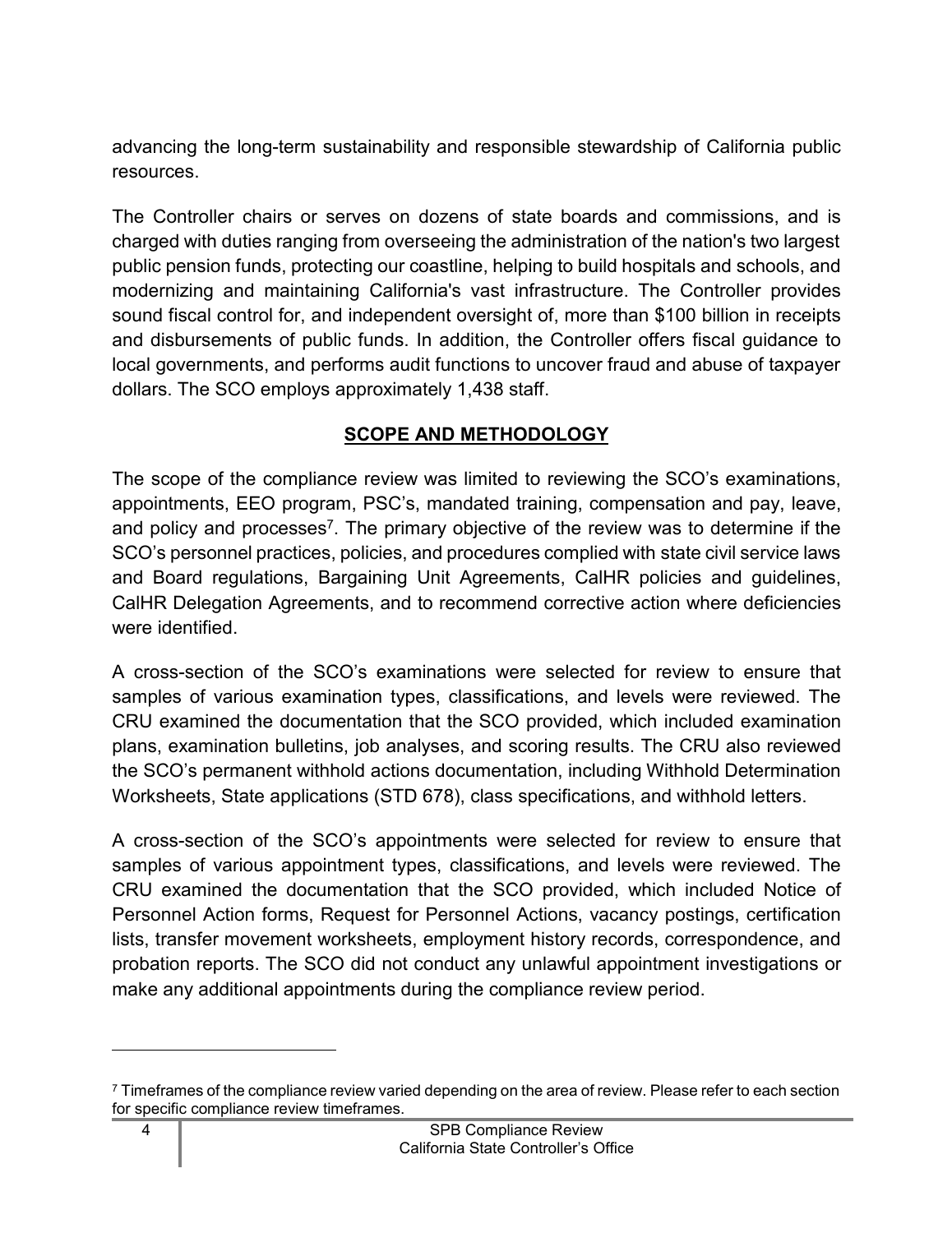advancing the long-term sustainability and responsible stewardship of California public resources.

The Controller chairs or serves on dozens of state boards and commissions, and is charged with duties ranging from overseeing the administration of the nation's two largest public pension funds, protecting our coastline, helping to build hospitals and schools, and modernizing and maintaining California's vast infrastructure. The Controller provides sound fiscal control for, and independent oversight of, more than \$100 billion in receipts and disbursements of public funds. In addition, the Controller offers fiscal guidance to local governments, and performs audit functions to uncover fraud and abuse of taxpayer dollars. The SCO employs approximately 1,438 staff.

## **SCOPE AND METHODOLOGY**

<span id="page-5-0"></span>The scope of the compliance review was limited to reviewing the SCO's examinations, appointments, EEO program, PSC's, mandated training, compensation and pay, leave, and policy and processes<sup>[7](#page-5-1)</sup>. The primary objective of the review was to determine if the SCO's personnel practices, policies, and procedures complied with state civil service laws and Board regulations, Bargaining Unit Agreements, CalHR policies and guidelines, CalHR Delegation Agreements, and to recommend corrective action where deficiencies were identified.

A cross-section of the SCO's examinations were selected for review to ensure that samples of various examination types, classifications, and levels were reviewed. The CRU examined the documentation that the SCO provided, which included examination plans, examination bulletins, job analyses, and scoring results. The CRU also reviewed the SCO's permanent withhold actions documentation, including Withhold Determination Worksheets, State applications (STD 678), class specifications, and withhold letters.

A cross-section of the SCO's appointments were selected for review to ensure that samples of various appointment types, classifications, and levels were reviewed. The CRU examined the documentation that the SCO provided, which included Notice of Personnel Action forms, Request for Personnel Actions, vacancy postings, certification lists, transfer movement worksheets, employment history records, correspondence, and probation reports. The SCO did not conduct any unlawful appointment investigations or make any additional appointments during the compliance review period.

<span id="page-5-1"></span> $7$  Timeframes of the compliance review varied depending on the area of review. Please refer to each section for specific compliance review timeframes.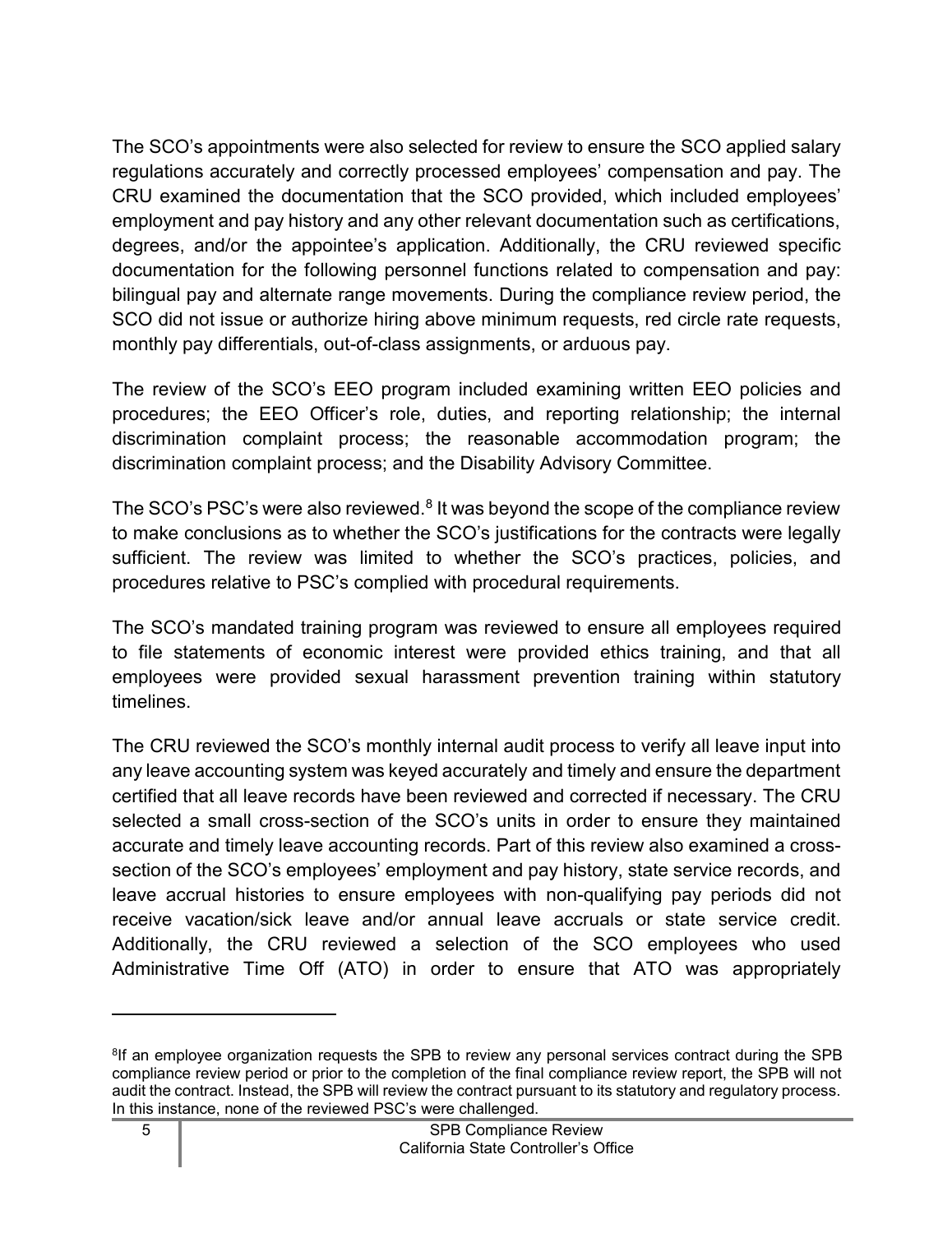The SCO's appointments were also selected for review to ensure the SCO applied salary regulations accurately and correctly processed employees' compensation and pay. The CRU examined the documentation that the SCO provided, which included employees' employment and pay history and any other relevant documentation such as certifications, degrees, and/or the appointee's application. Additionally, the CRU reviewed specific documentation for the following personnel functions related to compensation and pay: bilingual pay and alternate range movements. During the compliance review period, the SCO did not issue or authorize hiring above minimum requests, red circle rate requests, monthly pay differentials, out-of-class assignments, or arduous pay.

The review of the SCO's EEO program included examining written EEO policies and procedures; the EEO Officer's role, duties, and reporting relationship; the internal discrimination complaint process; the reasonable accommodation program; the discrimination complaint process; and the Disability Advisory Committee.

The SCO's PSC's were also reviewed. $8$  It was beyond the scope of the compliance review to make conclusions as to whether the SCO's justifications for the contracts were legally sufficient. The review was limited to whether the SCO's practices, policies, and procedures relative to PSC's complied with procedural requirements.

The SCO's mandated training program was reviewed to ensure all employees required to file statements of economic interest were provided ethics training, and that all employees were provided sexual harassment prevention training within statutory timelines.

The CRU reviewed the SCO's monthly internal audit process to verify all leave input into any leave accounting system was keyed accurately and timely and ensure the department certified that all leave records have been reviewed and corrected if necessary. The CRU selected a small cross-section of the SCO's units in order to ensure they maintained accurate and timely leave accounting records. Part of this review also examined a crosssection of the SCO's employees' employment and pay history, state service records, and leave accrual histories to ensure employees with non-qualifying pay periods did not receive vacation/sick leave and/or annual leave accruals or state service credit. Additionally, the CRU reviewed a selection of the SCO employees who used Administrative Time Off (ATO) in order to ensure that ATO was appropriately

<span id="page-6-0"></span> $8$ If an employee organization requests the SPB to review any personal services contract during the SPB compliance review period or prior to the completion of the final compliance review report, the SPB will not audit the contract. Instead, the SPB will review the contract pursuant to its statutory and regulatory process. In this instance, none of the reviewed PSC's were challenged.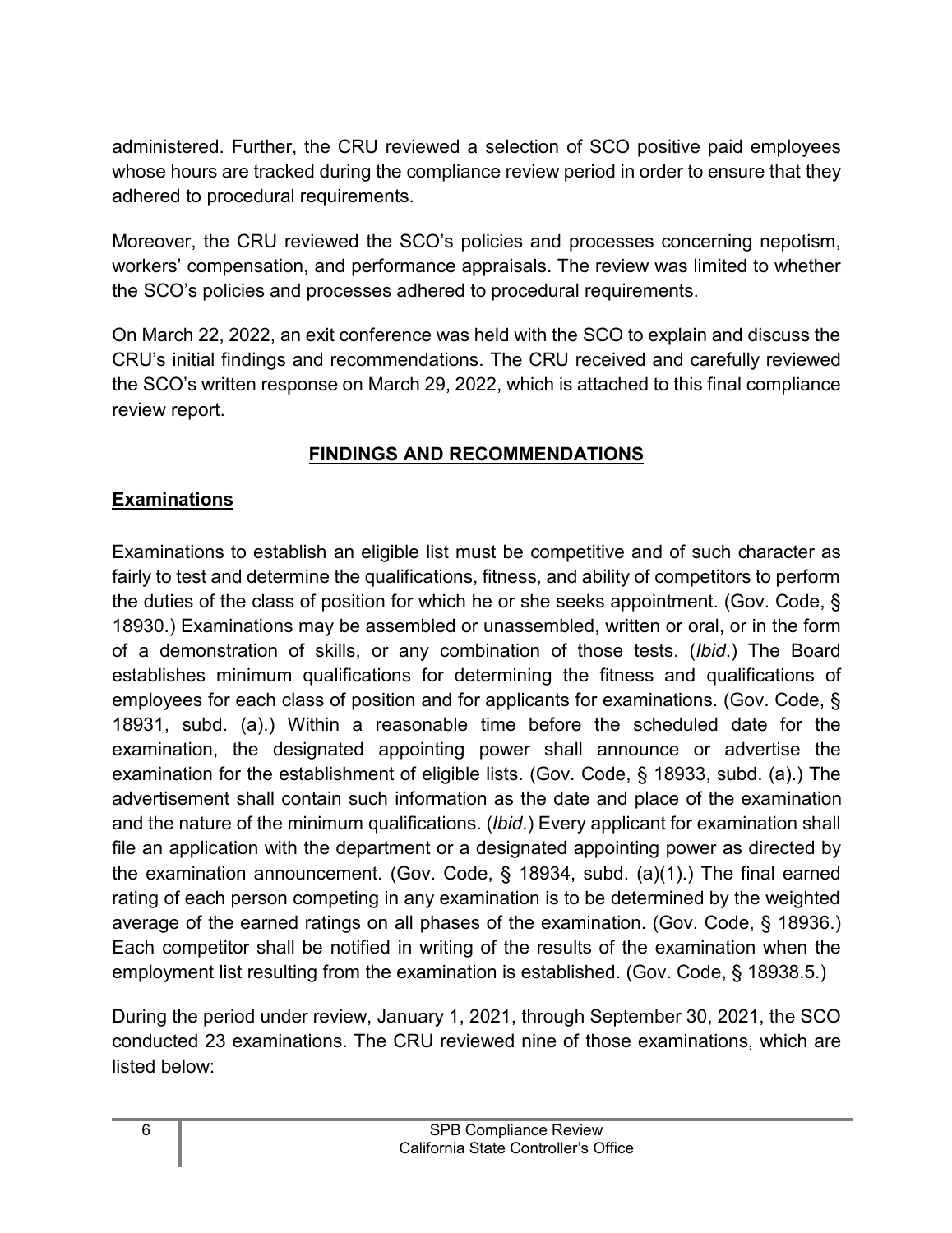administered. Further, the CRU reviewed a selection of SCO positive paid employees whose hours are tracked during the compliance review period in order to ensure that they adhered to procedural requirements.

Moreover, the CRU reviewed the SCO's policies and processes concerning nepotism, workers' compensation, and performance appraisals. The review was limited to whether the SCO's policies and processes adhered to procedural requirements.

On March 22, 2022, an exit conference was held with the SCO to explain and discuss the CRU's initial findings and recommendations. The CRU received and carefully reviewed the SCO's written response on March 29, 2022, which is attached to this final compliance review report.

## **FINDINGS AND RECOMMENDATIONS**

## <span id="page-7-1"></span><span id="page-7-0"></span>**Examinations**

Examinations to establish an eligible list must be competitive and of such character as fairly to test and determine the qualifications, fitness, and ability of competitors to perform the duties of the class of position for which he or she seeks appointment. (Gov. Code, § 18930.) Examinations may be assembled or unassembled, written or oral, or in the form of a demonstration of skills, or any combination of those tests. (*Ibid*.) The Board establishes minimum qualifications for determining the fitness and qualifications of employees for each class of position and for applicants for examinations. (Gov. Code, § 18931, subd. (a).) Within a reasonable time before the scheduled date for the examination, the designated appointing power shall announce or advertise the examination for the establishment of eligible lists. (Gov. Code, § 18933, subd. (a).) The advertisement shall contain such information as the date and place of the examination and the nature of the minimum qualifications. (*Ibid*.) Every applicant for examination shall file an application with the department or a designated appointing power as directed by the examination announcement. (Gov. Code, § 18934, subd. (a)(1).) The final earned rating of each person competing in any examination is to be determined by the weighted average of the earned ratings on all phases of the examination. (Gov. Code, § 18936.) Each competitor shall be notified in writing of the results of the examination when the employment list resulting from the examination is established. (Gov. Code, § 18938.5.)

During the period under review, January 1, 2021, through September 30, 2021, the SCO conducted 23 examinations. The CRU reviewed nine of those examinations, which are listed below: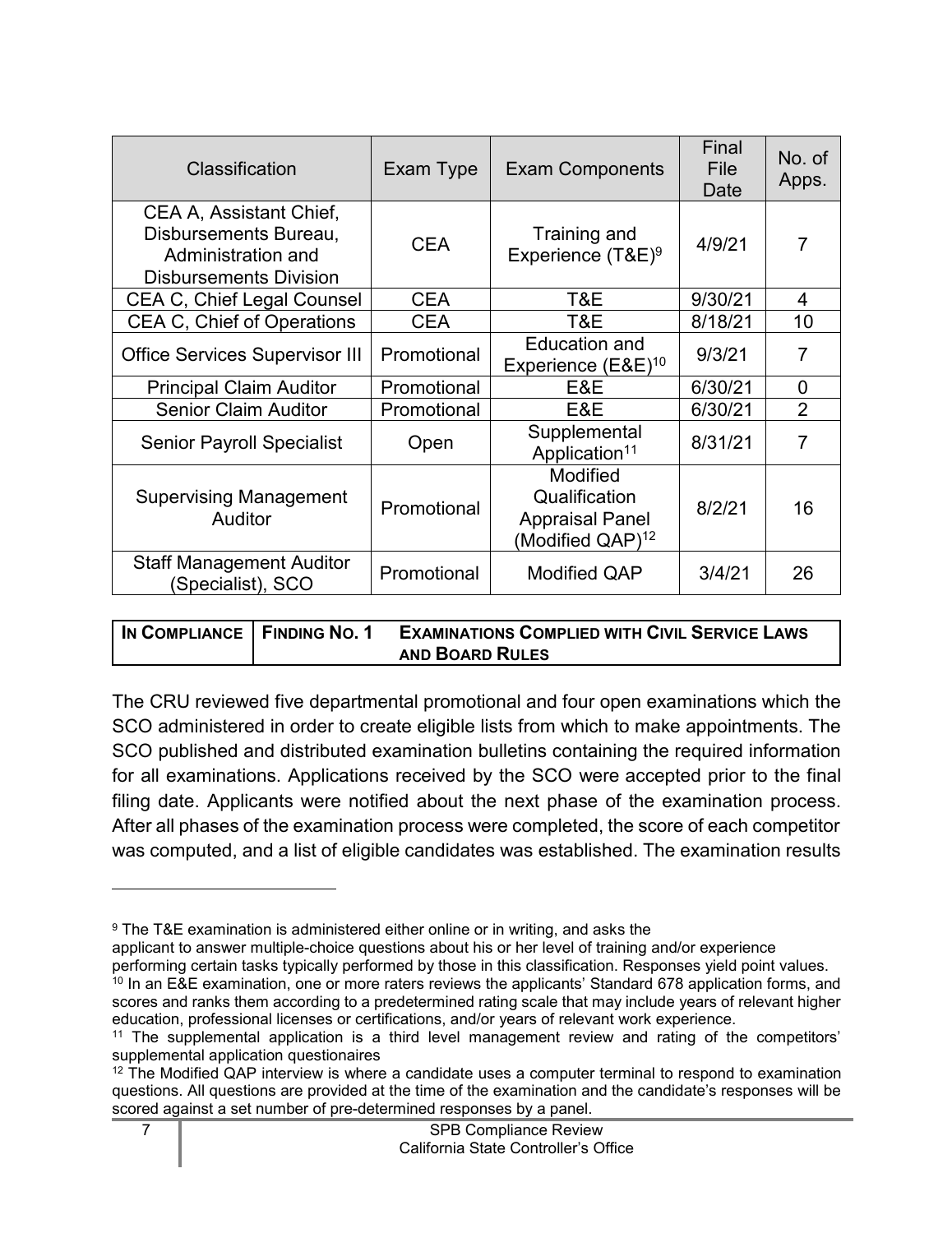| Classification                                                                                          | Exam Type   | <b>Exam Components</b>                                                              | Final<br>File<br>Date | No. of<br>Apps. |
|---------------------------------------------------------------------------------------------------------|-------------|-------------------------------------------------------------------------------------|-----------------------|-----------------|
| CEA A, Assistant Chief,<br>Disbursements Bureau,<br>Administration and<br><b>Disbursements Division</b> | <b>CEA</b>  | Training and<br>Experience (T&E) <sup>9</sup>                                       | 4/9/21                | $\overline{7}$  |
| <b>CEA C, Chief Legal Counsel</b>                                                                       | <b>CEA</b>  | T&E                                                                                 | 9/30/21               | 4               |
| <b>CEA C, Chief of Operations</b>                                                                       | <b>CEA</b>  | T&E                                                                                 | 8/18/21               | 10              |
| <b>Office Services Supervisor III</b>                                                                   | Promotional | <b>Education and</b><br>Experience (E&E) <sup>10</sup>                              | 9/3/21                | $\overline{7}$  |
| <b>Principal Claim Auditor</b>                                                                          | Promotional | E&E                                                                                 | 6/30/21               | $\overline{0}$  |
| <b>Senior Claim Auditor</b>                                                                             | Promotional | E&E                                                                                 | 6/30/21               | $\overline{2}$  |
| <b>Senior Payroll Specialist</b>                                                                        | Open        | Supplemental<br>Application <sup>11</sup>                                           | 8/31/21               | 7               |
| <b>Supervising Management</b><br><b>Auditor</b>                                                         | Promotional | Modified<br>Qualification<br><b>Appraisal Panel</b><br>(Modified QAP) <sup>12</sup> | 8/2/21                | 16              |
| <b>Staff Management Auditor</b><br>Specialist), SCO                                                     | Promotional | <b>Modified QAP</b>                                                                 | 3/4/21                | 26              |

| IN COMPLIANCE   FINDING NO. 1 | <b>EXAMINATIONS COMPLIED WITH CIVIL SERVICE LAWS</b> |
|-------------------------------|------------------------------------------------------|
|                               | <b>AND BOARD RULES</b>                               |

The CRU reviewed five departmental promotional and four open examinations which the SCO administered in order to create eligible lists from which to make appointments. The SCO published and distributed examination bulletins containing the required information for all examinations. Applications received by the SCO were accepted prior to the final filing date. Applicants were notified about the next phase of the examination process. After all phases of the examination process were completed, the score of each competitor was computed, and a list of eligible candidates was established. The examination results

<span id="page-8-0"></span><sup>9</sup> The T&E examination is administered either online or in writing, and asks the

applicant to answer multiple-choice questions about his or her level of training and/or experience

performing certain tasks typically performed by those in this classification. Responses yield point values.

<span id="page-8-1"></span><sup>&</sup>lt;sup>10</sup> In an E&E examination, one or more raters reviews the applicants' Standard 678 application forms, and scores and ranks them according to a predetermined rating scale that may include years of relevant higher education, professional licenses or certifications, and/or years of relevant work experience.

<span id="page-8-2"></span><sup>11</sup> The supplemental application is a third level management review and rating of the competitors' supplemental application questionaires

<span id="page-8-3"></span> $12$  The Modified QAP interview is where a candidate uses a computer terminal to respond to examination questions. All questions are provided at the time of the examination and the candidate's responses will be scored against a set number of pre-determined responses by a panel.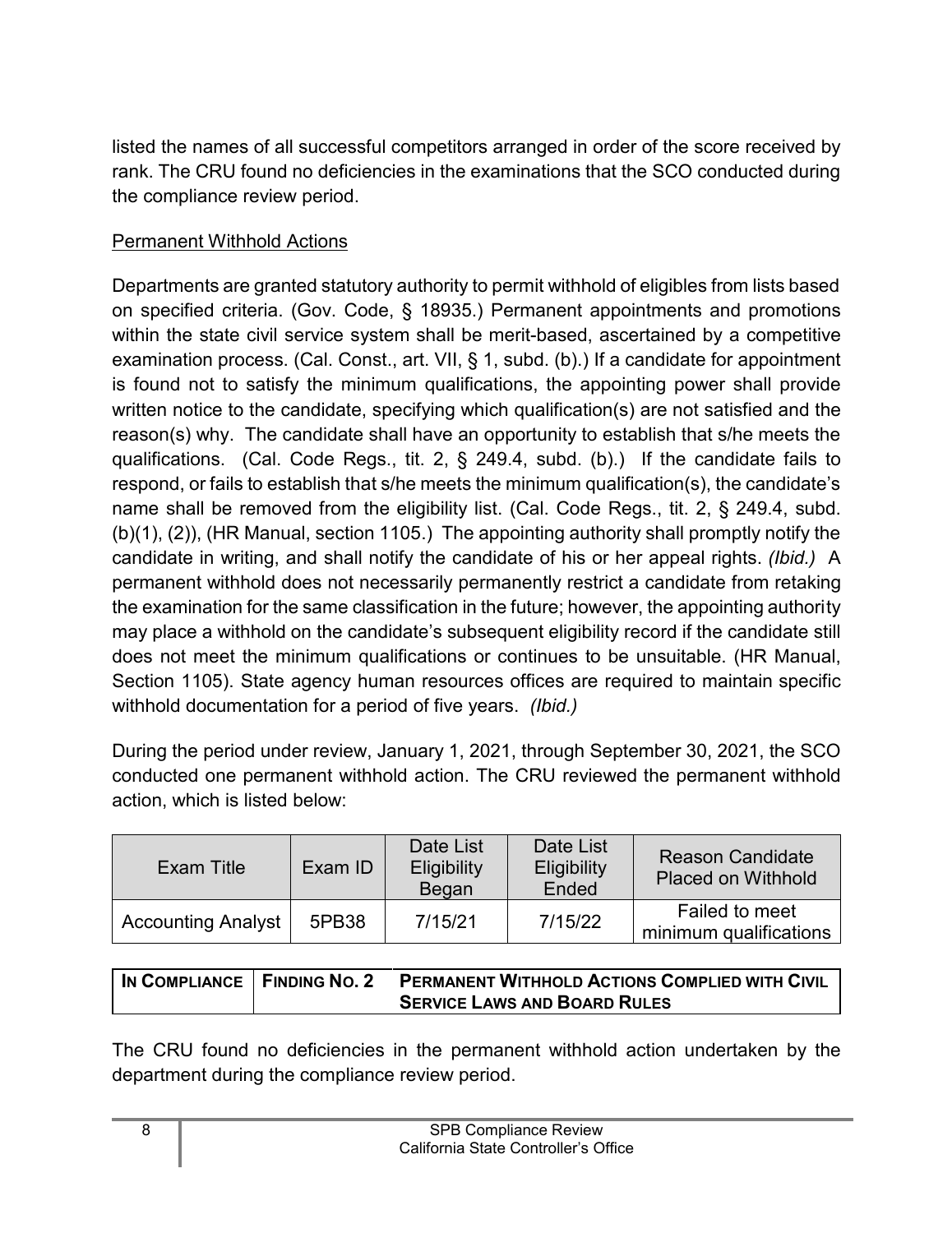listed the names of all successful competitors arranged in order of the score received by rank. The CRU found no deficiencies in the examinations that the SCO conducted during the compliance review period.

## Permanent Withhold Actions

Departments are granted statutory authority to permit withhold of eligibles from lists based on specified criteria. (Gov. Code, § 18935.) Permanent appointments and promotions within the state civil service system shall be merit-based, ascertained by a competitive examination process. (Cal. Const., art. VII, § 1, subd. (b).) If a candidate for appointment is found not to satisfy the minimum qualifications, the appointing power shall provide written notice to the candidate, specifying which qualification(s) are not satisfied and the reason(s) why. The candidate shall have an opportunity to establish that s/he meets the qualifications. (Cal. Code Regs., tit. 2, § 249.4, subd. (b).) If the candidate fails to respond, or fails to establish that s/he meets the minimum qualification(s), the candidate's name shall be removed from the eligibility list. (Cal. Code Regs., tit. 2, § 249.4, subd. (b)(1), (2)), (HR Manual, section 1105.) The appointing authority shall promptly notify the candidate in writing, and shall notify the candidate of his or her appeal rights. *(Ibid.)* A permanent withhold does not necessarily permanently restrict a candidate from retaking the examination for the same classification in the future; however, the appointing authority may place a withhold on the candidate's subsequent eligibility record if the candidate still does not meet the minimum qualifications or continues to be unsuitable. (HR Manual, Section 1105). State agency human resources offices are required to maintain specific withhold documentation for a period of five years. *(Ibid.)*

During the period under review, January 1, 2021, through September 30, 2021, the SCO conducted one permanent withhold action. The CRU reviewed the permanent withhold action, which is listed below:

| Exam Title                | Exam ID | Date List<br><b>Eligibility</b><br>Began | Date List<br><b>Eligibility</b><br>Ended | <b>Reason Candidate</b><br><b>Placed on Withhold</b> |
|---------------------------|---------|------------------------------------------|------------------------------------------|------------------------------------------------------|
| <b>Accounting Analyst</b> | 5PB38   | 7/15/21                                  | 7/15/22                                  | Failed to meet<br>minimum qualifications             |

| IN COMPLIANCE   FINDING NO. 2 | <b>PERMANENT WITHHOLD ACTIONS COMPLIED WITH CIVIL</b> |
|-------------------------------|-------------------------------------------------------|
|                               | <b>SERVICE LAWS AND BOARD RULES</b>                   |

The CRU found no deficiencies in the permanent withhold action undertaken by the department during the compliance review period.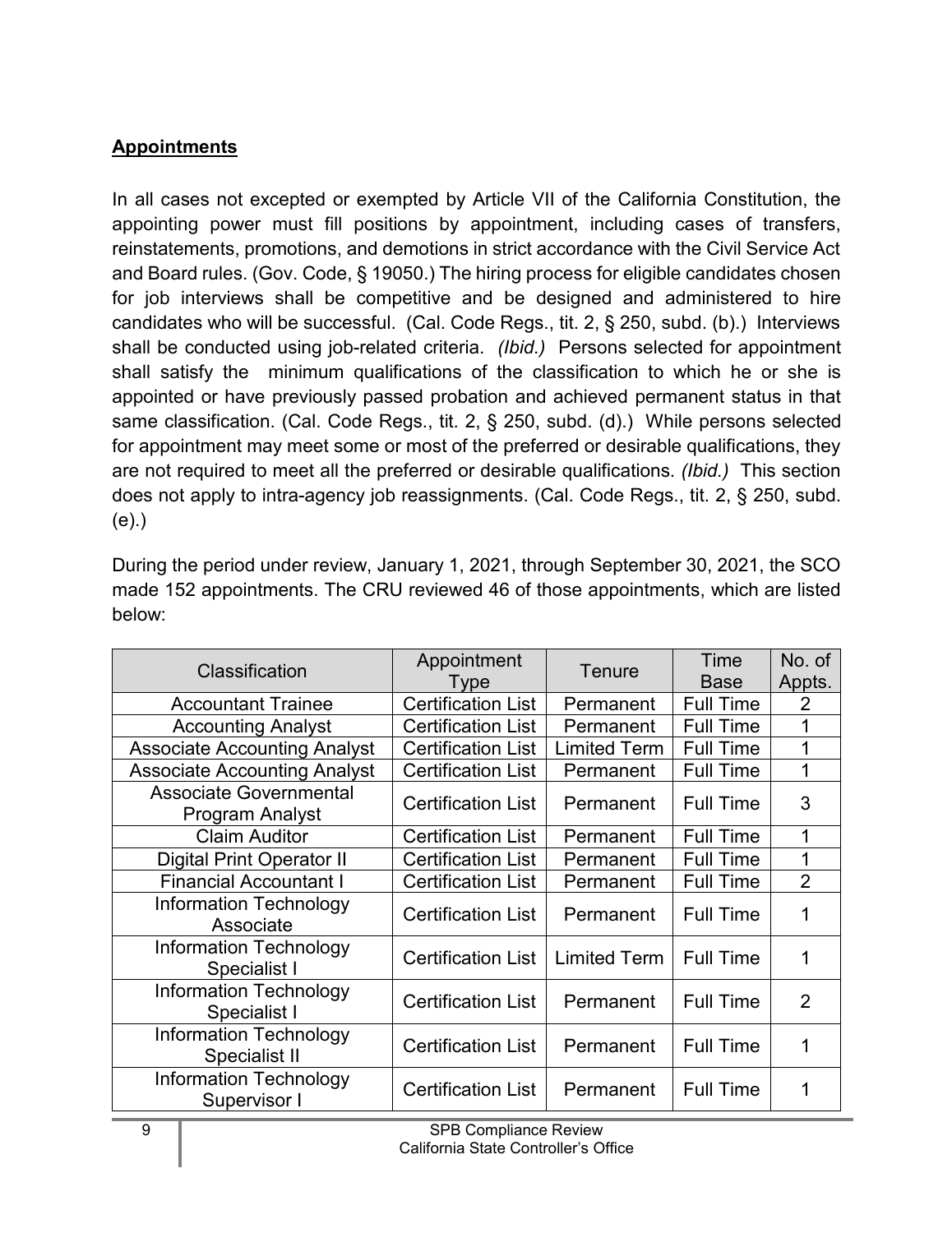## <span id="page-10-0"></span>**Appointments**

In all cases not excepted or exempted by Article VII of the California Constitution, the appointing power must fill positions by appointment, including cases of transfers, reinstatements, promotions, and demotions in strict accordance with the Civil Service Act and Board rules. (Gov. Code, § 19050.) The hiring process for eligible candidates chosen for job interviews shall be competitive and be designed and administered to hire candidates who will be successful. (Cal. Code Regs., tit. 2, § 250, subd. (b).) Interviews shall be conducted using job-related criteria. *(Ibid.)* Persons selected for appointment shall satisfy the minimum qualifications of the classification to which he or she is appointed or have previously passed probation and achieved permanent status in that same classification. (Cal. Code Regs., tit. 2, § 250, subd. (d).) While persons selected for appointment may meet some or most of the preferred or desirable qualifications, they are not required to meet all the preferred or desirable qualifications. *(Ibid.)* This section does not apply to intra-agency job reassignments. (Cal. Code Regs., tit. 2, § 250, subd. (e).)

During the period under review, January 1, 2021, through September 30, 2021, the SCO made 152 appointments. The CRU reviewed 46 of those appointments, which are listed below:

| Classification                                   | Appointment               | Tenure              | Time<br><b>Base</b> | No. of         |
|--------------------------------------------------|---------------------------|---------------------|---------------------|----------------|
|                                                  | Type                      |                     |                     | Appts.         |
| <b>Accountant Trainee</b>                        | <b>Certification List</b> | Permanent           | <b>Full Time</b>    | 2              |
| <b>Accounting Analyst</b>                        | <b>Certification List</b> | Permanent           | <b>Full Time</b>    |                |
| <b>Associate Accounting Analyst</b>              | <b>Certification List</b> | <b>Limited Term</b> | <b>Full Time</b>    |                |
| <b>Associate Accounting Analyst</b>              | <b>Certification List</b> | Permanent           | <b>Full Time</b>    |                |
| <b>Associate Governmental</b><br>Program Analyst | <b>Certification List</b> | Permanent           | <b>Full Time</b>    | 3              |
| <b>Claim Auditor</b>                             | <b>Certification List</b> | Permanent           | <b>Full Time</b>    | 1              |
| Digital Print Operator II                        | <b>Certification List</b> | Permanent           | <b>Full Time</b>    | 1              |
| <b>Financial Accountant I</b>                    | <b>Certification List</b> | Permanent           | <b>Full Time</b>    | $\overline{2}$ |
| Information Technology<br>Associate              | <b>Certification List</b> | Permanent           | <b>Full Time</b>    |                |
| Information Technology<br>Specialist I           | <b>Certification List</b> | <b>Limited Term</b> | <b>Full Time</b>    | 1              |
| <b>Information Technology</b><br>Specialist I    | <b>Certification List</b> | Permanent           | <b>Full Time</b>    | $\overline{2}$ |
| <b>Information Technology</b><br>Specialist II   | <b>Certification List</b> | Permanent           | <b>Full Time</b>    | 1              |
| <b>Information Technology</b><br>Supervisor I    | <b>Certification List</b> | Permanent           | <b>Full Time</b>    |                |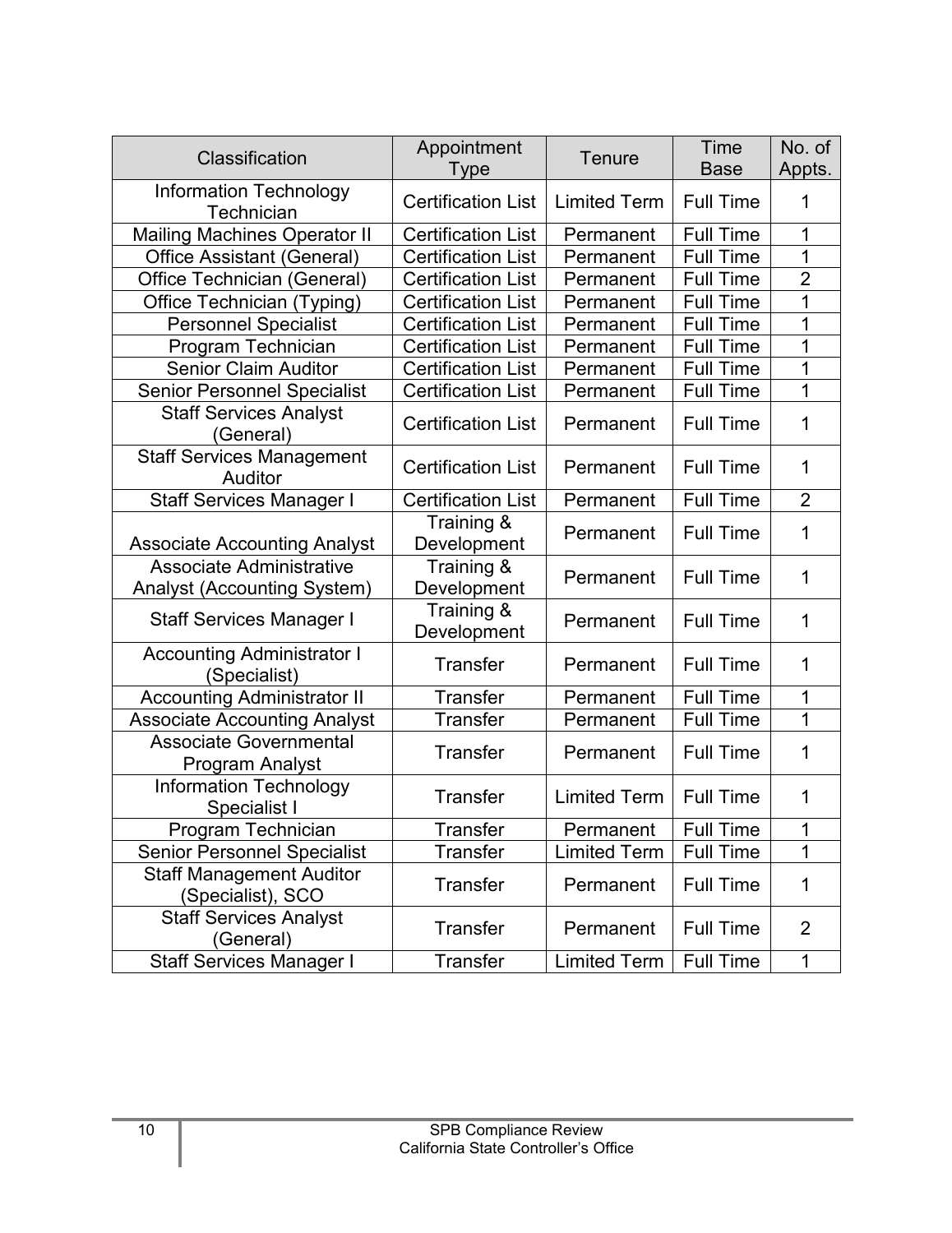| Classification                                                 | Appointment<br>Type       | Tenure              | Time<br><b>Base</b> | No. of<br>Appts. |
|----------------------------------------------------------------|---------------------------|---------------------|---------------------|------------------|
| <b>Information Technology</b><br><b>Technician</b>             | <b>Certification List</b> | <b>Limited Term</b> | <b>Full Time</b>    | 1                |
| <b>Mailing Machines Operator II</b>                            | <b>Certification List</b> | Permanent           | <b>Full Time</b>    | 1                |
| <b>Office Assistant (General)</b>                              | <b>Certification List</b> | Permanent           | <b>Full Time</b>    | 1                |
| Office Technician (General)                                    | <b>Certification List</b> | Permanent           | <b>Full Time</b>    | $\overline{2}$   |
| Office Technician (Typing)                                     | <b>Certification List</b> | Permanent           | <b>Full Time</b>    | 1                |
| <b>Personnel Specialist</b>                                    | <b>Certification List</b> | Permanent           | <b>Full Time</b>    | 1                |
| Program Technician                                             | <b>Certification List</b> | Permanent           | <b>Full Time</b>    | 1                |
| <b>Senior Claim Auditor</b>                                    | <b>Certification List</b> | Permanent           | <b>Full Time</b>    | 1                |
| <b>Senior Personnel Specialist</b>                             | <b>Certification List</b> | Permanent           | <b>Full Time</b>    | 1                |
| <b>Staff Services Analyst</b><br>(General)                     | <b>Certification List</b> | Permanent           | <b>Full Time</b>    | 1                |
| <b>Staff Services Management</b><br>Auditor                    | <b>Certification List</b> | Permanent           | <b>Full Time</b>    | 1                |
| <b>Staff Services Manager I</b>                                | <b>Certification List</b> | Permanent           | <b>Full Time</b>    | $\overline{2}$   |
| <b>Associate Accounting Analyst</b>                            | Training &<br>Development | Permanent           | <b>Full Time</b>    | 1                |
| Associate Administrative<br><b>Analyst (Accounting System)</b> | Training &<br>Development | Permanent           | <b>Full Time</b>    | 1                |
| <b>Staff Services Manager I</b>                                | Training &<br>Development | Permanent           | <b>Full Time</b>    | 1                |
| <b>Accounting Administrator I</b><br>(Specialist)              | <b>Transfer</b>           | Permanent           | <b>Full Time</b>    | 1                |
| <b>Accounting Administrator II</b>                             | <b>Transfer</b>           | Permanent           | Full Time           | 1                |
| <b>Associate Accounting Analyst</b>                            | <b>Transfer</b>           | Permanent           | <b>Full Time</b>    | 1                |
| <b>Associate Governmental</b><br>Program Analyst               | <b>Transfer</b>           | Permanent           | <b>Full Time</b>    | 1                |
| <b>Information Technology</b><br>Specialist I                  | <b>Transfer</b>           | <b>Limited Term</b> | <b>Full Time</b>    | 1                |
| Program Technician                                             | Transfer                  | Permanent           | <b>Full Time</b>    | 1                |
| <b>Senior Personnel Specialist</b>                             | Transfer                  | <b>Limited Term</b> | <b>Full Time</b>    | 1                |
| <b>Staff Management Auditor</b><br>(Specialist), SCO           | <b>Transfer</b>           | Permanent           | <b>Full Time</b>    | 1                |
| <b>Staff Services Analyst</b><br>(General)                     | <b>Transfer</b>           | Permanent           | <b>Full Time</b>    | 2                |
| <b>Staff Services Manager I</b>                                | <b>Transfer</b>           | <b>Limited Term</b> | <b>Full Time</b>    | 1                |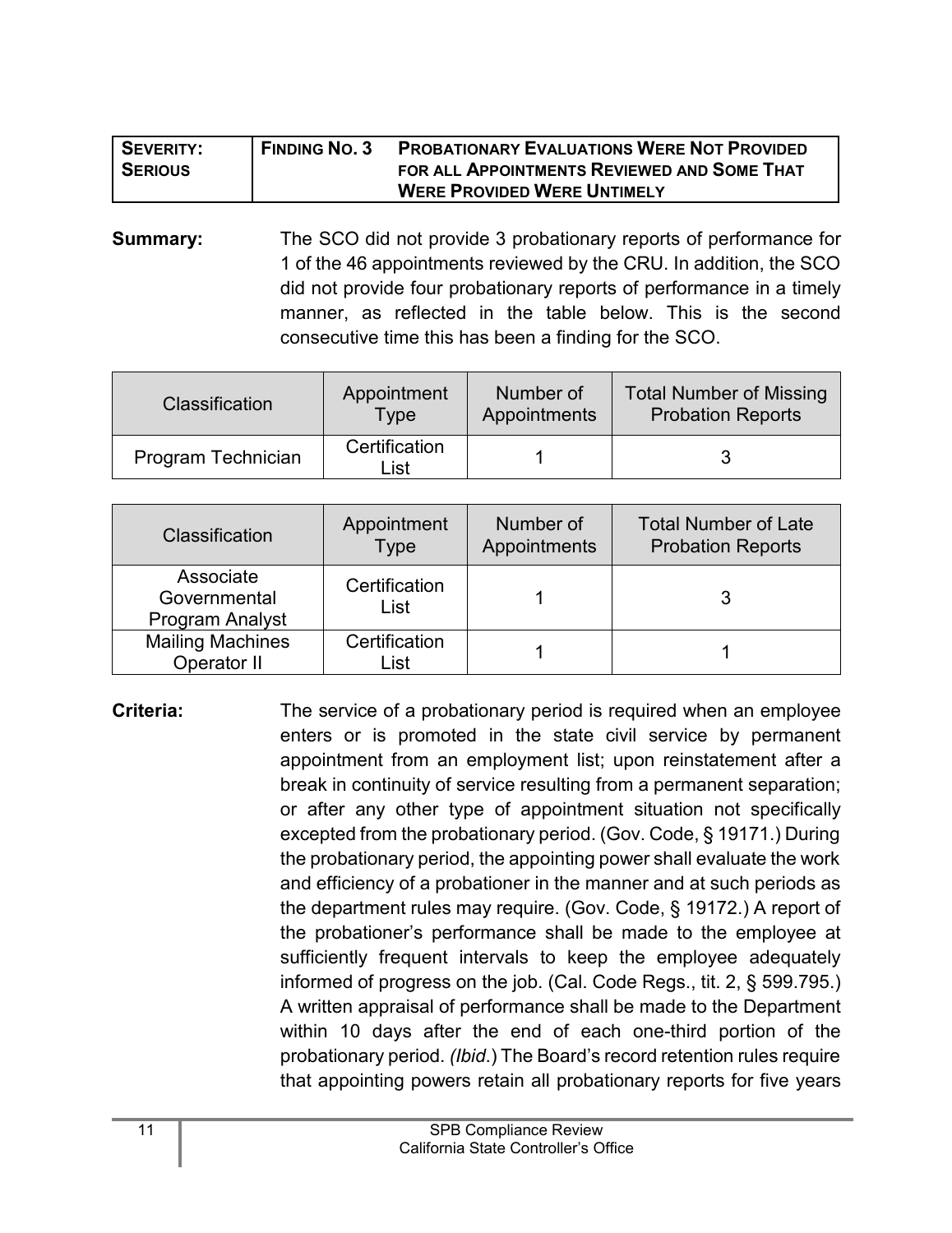| SEVERITY:      | <b>FINDING NO. 3</b> | <b>PROBATIONARY EVALUATIONS WERE NOT PROVIDED</b> |
|----------------|----------------------|---------------------------------------------------|
| <b>SERIOUS</b> |                      | FOR ALL APPOINTMENTS REVIEWED AND SOME THAT       |
|                |                      | <b>WERE PROVIDED WERE UNTIMELY</b>                |

**Summary:** The SCO did not provide 3 probationary reports of performance for 1 of the 46 appointments reviewed by the CRU. In addition, the SCO did not provide four probationary reports of performance in a timely manner, as reflected in the table below. This is the second consecutive time this has been a finding for the SCO.

| <b>Classification</b> | Appointment           | Number of    | <b>Total Number of Missing</b> |
|-----------------------|-----------------------|--------------|--------------------------------|
|                       | <b>Type</b>           | Appointments | <b>Probation Reports</b>       |
| Program Technician    | Certification<br>List |              |                                |

| Classification                               | Appointment<br>Type   | Number of<br>Appointments | <b>Total Number of Late</b><br><b>Probation Reports</b> |
|----------------------------------------------|-----------------------|---------------------------|---------------------------------------------------------|
| Associate<br>Governmental<br>Program Analyst | Certification<br>List |                           |                                                         |
| <b>Mailing Machines</b><br>Operator II       | Certification<br>List |                           |                                                         |

**Criteria:** The service of a probationary period is required when an employee enters or is promoted in the state civil service by permanent appointment from an employment list; upon reinstatement after a break in continuity of service resulting from a permanent separation; or after any other type of appointment situation not specifically excepted from the probationary period. (Gov. Code, § 19171.) During the probationary period, the appointing power shall evaluate the work and efficiency of a probationer in the manner and at such periods as the department rules may require. (Gov. Code, § 19172.) A report of the probationer's performance shall be made to the employee at sufficiently frequent intervals to keep the employee adequately informed of progress on the job. (Cal. Code Regs., tit. 2, § 599.795.) A written appraisal of performance shall be made to the Department within 10 days after the end of each one-third portion of the probationary period. *(Ibid*.) The Board's record retention rules require that appointing powers retain all probationary reports for five years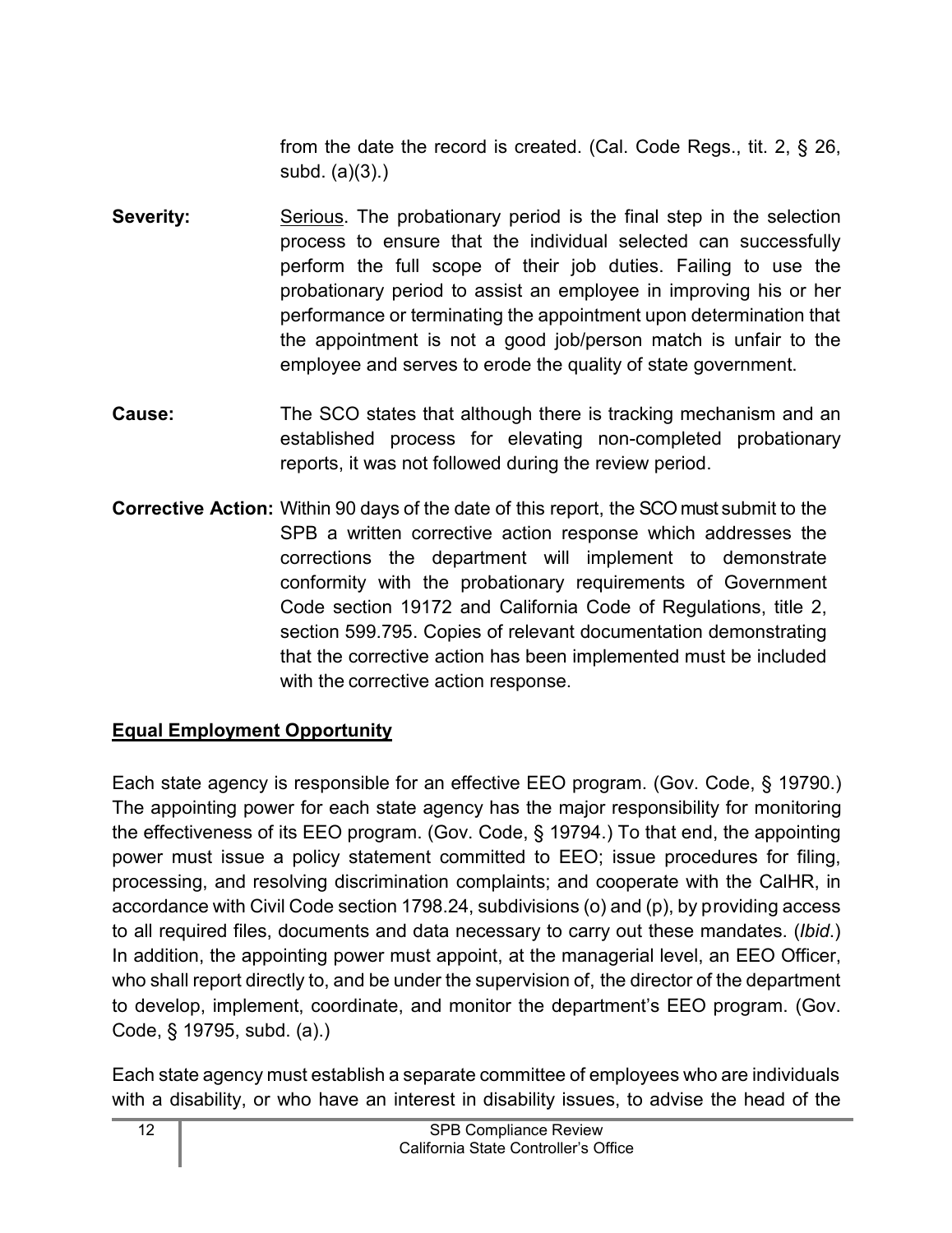from the date the record is created. (Cal. Code Regs., tit. 2, § 26, subd. (a)(3).)

- **Severity:** Serious. The probationary period is the final step in the selection process to ensure that the individual selected can successfully perform the full scope of their job duties. Failing to use the probationary period to assist an employee in improving his or her performance or terminating the appointment upon determination that the appointment is not a good job/person match is unfair to the employee and serves to erode the quality of state government.
- **Cause:** The SCO states that although there is tracking mechanism and an established process for elevating non-completed probationary reports, it was not followed during the review period.
- **Corrective Action:** Within 90 days of the date of this report, the SCO must submit to the SPB a written corrective action response which addresses the corrections the department will implement to demonstrate conformity with the probationary requirements of Government Code section 19172 and California Code of Regulations, title 2, section 599.795. Copies of relevant documentation demonstrating that the corrective action has been implemented must be included with the corrective action response.

## <span id="page-13-0"></span>**Equal Employment Opportunity**

Each state agency is responsible for an effective EEO program. (Gov. Code, § 19790.) The appointing power for each state agency has the major responsibility for monitoring the effectiveness of its EEO program. (Gov. Code, § 19794.) To that end, the appointing power must issue a policy statement committed to EEO; issue procedures for filing, processing, and resolving discrimination complaints; and cooperate with the CalHR, in accordance with Civil Code section 1798.24, subdivisions (o) and (p), by providing access to all required files, documents and data necessary to carry out these mandates. (*Ibid*.) In addition, the appointing power must appoint, at the managerial level, an EEO Officer, who shall report directly to, and be under the supervision of, the director of the department to develop, implement, coordinate, and monitor the department's EEO program. (Gov. Code, § 19795, subd. (a).)

Each state agency must establish a separate committee of employees who are individuals with a disability, or who have an interest in disability issues, to advise the head of the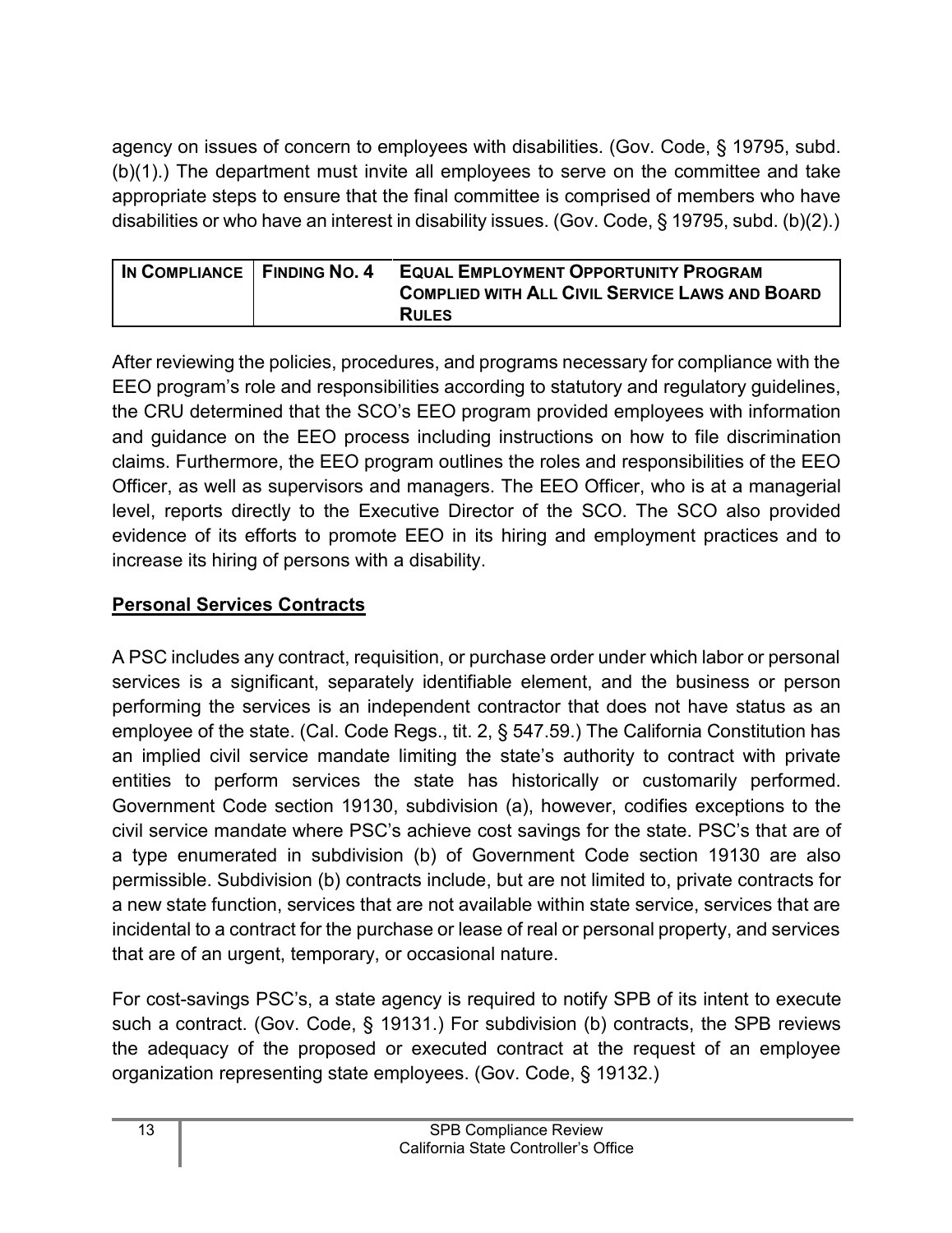agency on issues of concern to employees with disabilities. (Gov. Code, § 19795, subd. (b)(1).) The department must invite all employees to serve on the committee and take appropriate steps to ensure that the final committee is comprised of members who have disabilities or who have an interest in disability issues. (Gov. Code, § 19795, subd. (b)(2).)

| IN COMPLIANCE FINDING NO. 4 | <b>EQUAL EMPLOYMENT OPPORTUNITY PROGRAM</b>           |
|-----------------------------|-------------------------------------------------------|
|                             | <b>COMPLIED WITH ALL CIVIL SERVICE LAWS AND BOARD</b> |
|                             | <b>RULES</b>                                          |

After reviewing the policies, procedures, and programs necessary for compliance with the EEO program's role and responsibilities according to statutory and regulatory guidelines, the CRU determined that the SCO's EEO program provided employees with information and guidance on the EEO process including instructions on how to file discrimination claims. Furthermore, the EEO program outlines the roles and responsibilities of the EEO Officer, as well as supervisors and managers. The EEO Officer, who is at a managerial level, reports directly to the Executive Director of the SCO. The SCO also provided evidence of its efforts to promote EEO in its hiring and employment practices and to increase its hiring of persons with a disability.

## <span id="page-14-0"></span>**Personal Services Contracts**

A PSC includes any contract, requisition, or purchase order under which labor or personal services is a significant, separately identifiable element, and the business or person performing the services is an independent contractor that does not have status as an employee of the state. (Cal. Code Regs., tit. 2, § 547.59.) The California Constitution has an implied civil service mandate limiting the state's authority to contract with private entities to perform services the state has historically or customarily performed. Government Code section 19130, subdivision (a), however, codifies exceptions to the civil service mandate where PSC's achieve cost savings for the state. PSC's that are of a type enumerated in subdivision (b) of Government Code section 19130 are also permissible. Subdivision (b) contracts include, but are not limited to, private contracts for a new state function, services that are not available within state service, services that are incidental to a contract for the purchase or lease of real or personal property, and services that are of an urgent, temporary, or occasional nature.

For cost-savings PSC's, a state agency is required to notify SPB of its intent to execute such a contract. (Gov. Code, § 19131.) For subdivision (b) contracts, the SPB reviews the adequacy of the proposed or executed contract at the request of an employee organization representing state employees. (Gov. Code, § 19132.)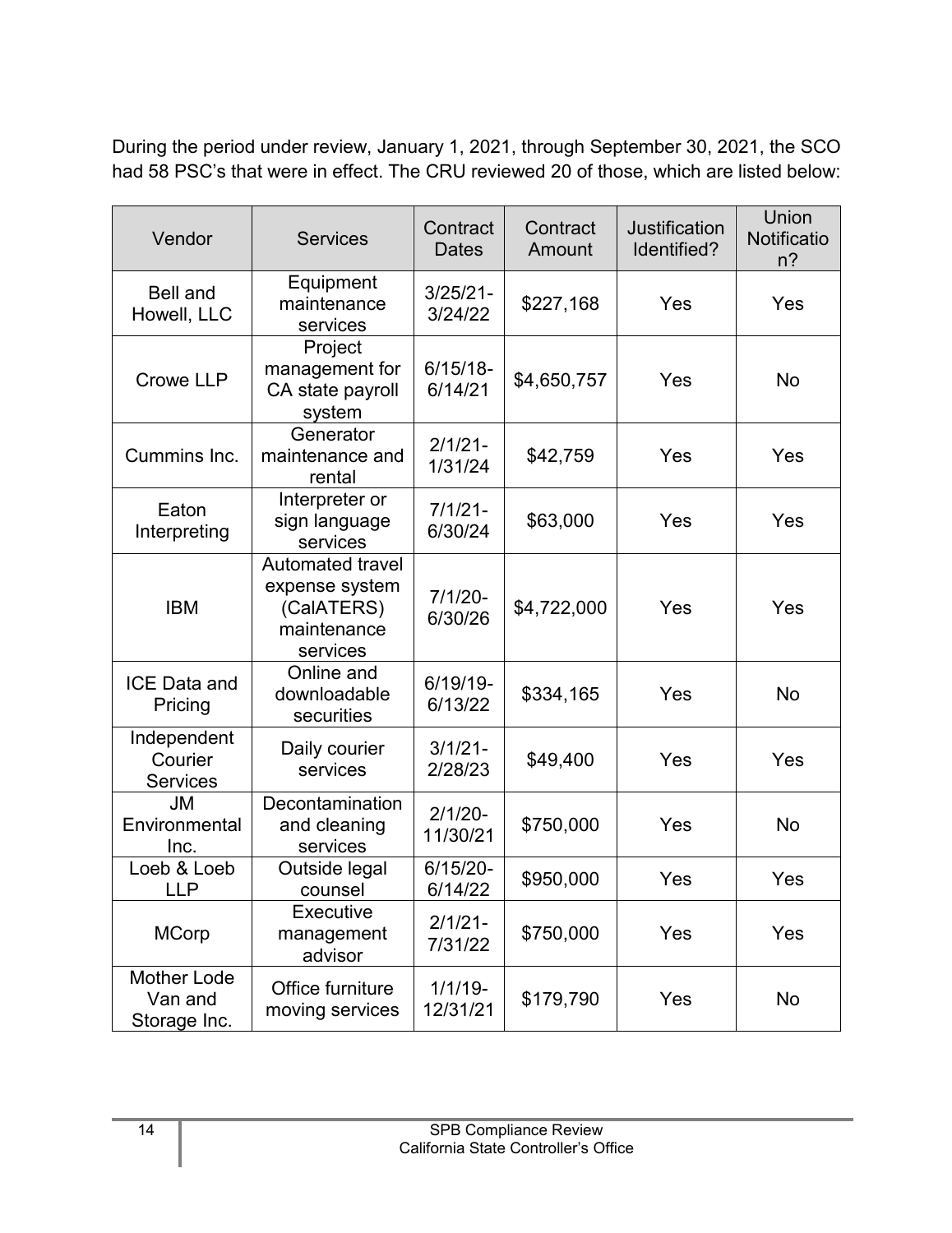During the period under review, January 1, 2021, through September 30, 2021, the SCO had 58 PSC's that were in effect. The CRU reviewed 20 of those, which are listed below:

| Vendor                                        | <b>Services</b>                                                                    | Contract<br><b>Dates</b> | Contract<br>Amount | <b>Justification</b><br>Identified? | Union<br>Notificatio<br>$n$ ? |
|-----------------------------------------------|------------------------------------------------------------------------------------|--------------------------|--------------------|-------------------------------------|-------------------------------|
| <b>Bell and</b><br>Howell, LLC                | Equipment<br>maintenance<br>services                                               | $3/25/21 -$<br>3/24/22   | \$227,168          | Yes                                 | Yes                           |
| Crowe LLP                                     | Project<br>management for<br>CA state payroll<br>system                            | $6/15/18-$<br>6/14/21    | \$4,650,757        | Yes                                 | <b>No</b>                     |
| Cummins Inc.                                  | Generator<br>maintenance and<br>rental                                             | $2/1/21 -$<br>1/31/24    | \$42,759           | Yes                                 | Yes                           |
| Eaton<br>Interpreting                         | Interpreter or<br>sign language<br>services                                        | $7/1/21 -$<br>6/30/24    | \$63,000           | Yes                                 | Yes                           |
| <b>IBM</b>                                    | <b>Automated travel</b><br>expense system<br>(CalATERS)<br>maintenance<br>services | $7/1/20 -$<br>6/30/26    | \$4,722,000        | Yes                                 | Yes                           |
| <b>ICE Data and</b><br>Pricing                | Online and<br>downloadable<br>securities                                           | $6/19/19$ -<br>6/13/22   | \$334,165          | Yes                                 | <b>No</b>                     |
| Independent<br>Courier<br><b>Services</b>     | Daily courier<br>services                                                          | $3/1/21 -$<br>2/28/23    | \$49,400           | Yes                                 | Yes                           |
| JM<br>Environmental<br>Inc.                   | Decontamination<br>and cleaning<br>services                                        | $2/1/20 -$<br>11/30/21   | \$750,000          | Yes                                 | No                            |
| Loeb & Loeb<br><b>LLP</b>                     | Outside legal<br>counsel                                                           | $6/15/20 -$<br>6/14/22   | \$950,000          | Yes                                 | Yes                           |
| <b>MCorp</b>                                  | Executive<br>management<br>advisor                                                 | $2/1/21 -$<br>7/31/22    | \$750,000          | Yes                                 | Yes                           |
| <b>Mother Lode</b><br>Van and<br>Storage Inc. | Office furniture<br>moving services                                                | $1/1/19 -$<br>12/31/21   | \$179,790          | Yes                                 | No                            |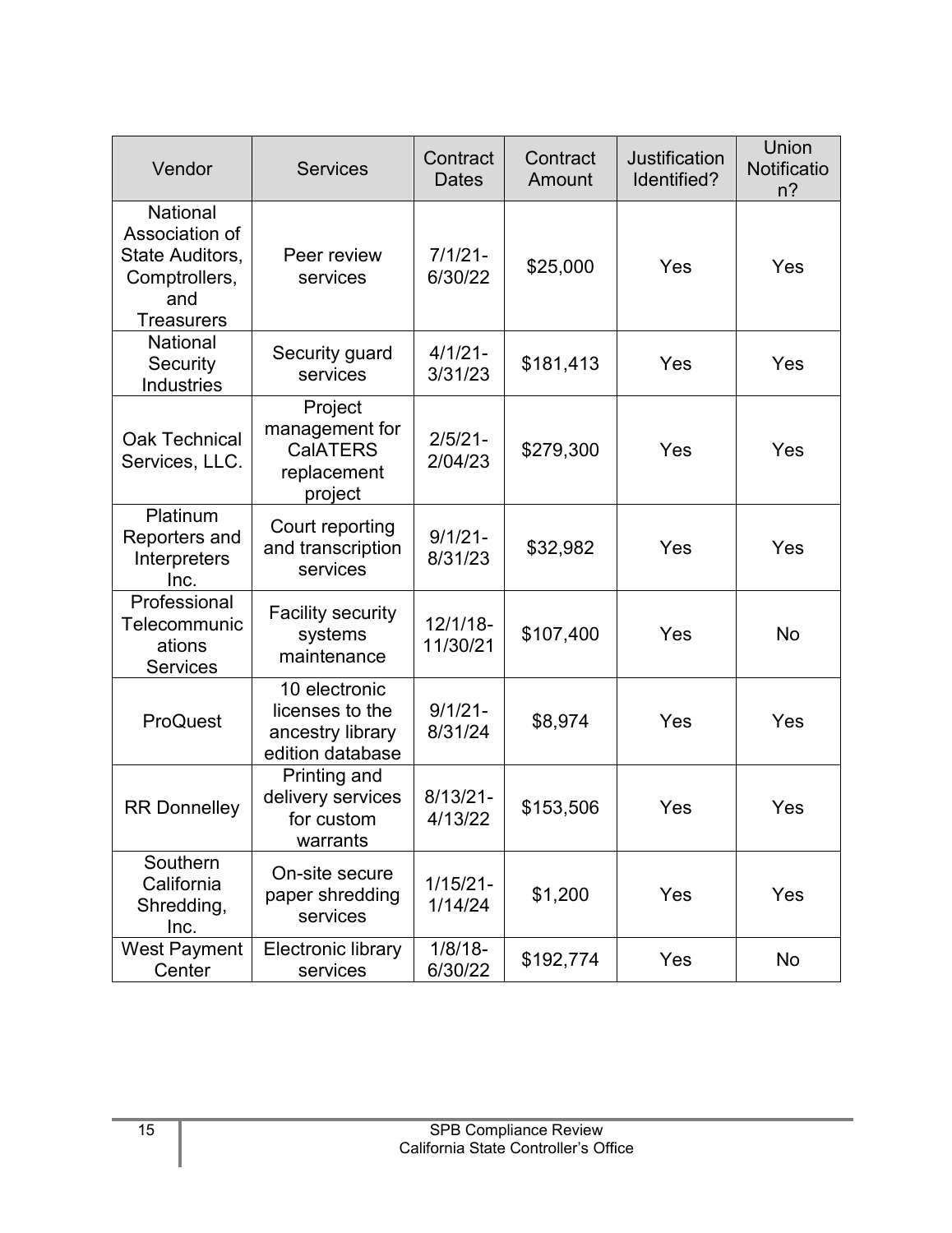| Vendor                                                                                            | <b>Services</b>                                                          | Contract<br><b>Dates</b> | Contract<br>Amount | <b>Justification</b><br>Identified? | Union<br>Notificatio<br>$n$ ? |
|---------------------------------------------------------------------------------------------------|--------------------------------------------------------------------------|--------------------------|--------------------|-------------------------------------|-------------------------------|
| <b>National</b><br>Association of<br>State Auditors,<br>Comptrollers,<br>and<br><b>Treasurers</b> | Peer review<br>services                                                  | $7/1/21 -$<br>6/30/22    | \$25,000           | Yes                                 | Yes                           |
| National<br>Security<br><b>Industries</b>                                                         | Security guard<br>services                                               | $4/1/21 -$<br>3/31/23    | \$181,413          | Yes                                 | Yes                           |
| <b>Oak Technical</b><br>Services, LLC.                                                            | Project<br>management for<br><b>CalATERS</b><br>replacement<br>project   | $2/5/21 -$<br>2/04/23    | \$279,300          | Yes                                 | Yes                           |
| Platinum<br>Reporters and<br>Interpreters<br>Inc.                                                 | Court reporting<br>and transcription<br>services                         | $9/1/21 -$<br>8/31/23    | \$32,982           | Yes                                 | Yes                           |
| Professional<br>Telecommunic<br>ations<br><b>Services</b>                                         | <b>Facility security</b><br>systems<br>maintenance                       | $12/1/18$ -<br>11/30/21  | \$107,400          | Yes                                 | <b>No</b>                     |
| ProQuest                                                                                          | 10 electronic<br>licenses to the<br>ancestry library<br>edition database | $9/1/21 -$<br>8/31/24    | \$8,974            | Yes                                 | Yes                           |
| <b>RR Donnelley</b>                                                                               | Printing and<br>delivery services<br>for custom<br>warrants              | $8/13/21 -$<br>4/13/22   | \$153,506          | Yes                                 | Yes                           |
| Southern<br>California<br>Shredding,<br>Inc.                                                      | On-site secure<br>paper shredding<br>services                            | $1/15/21 -$<br>1/14/24   | \$1,200            | Yes                                 | Yes                           |
| <b>West Payment</b><br>Center                                                                     | Electronic library<br>services                                           | $1/8/18$ -<br>6/30/22    | \$192,774          | Yes                                 | No                            |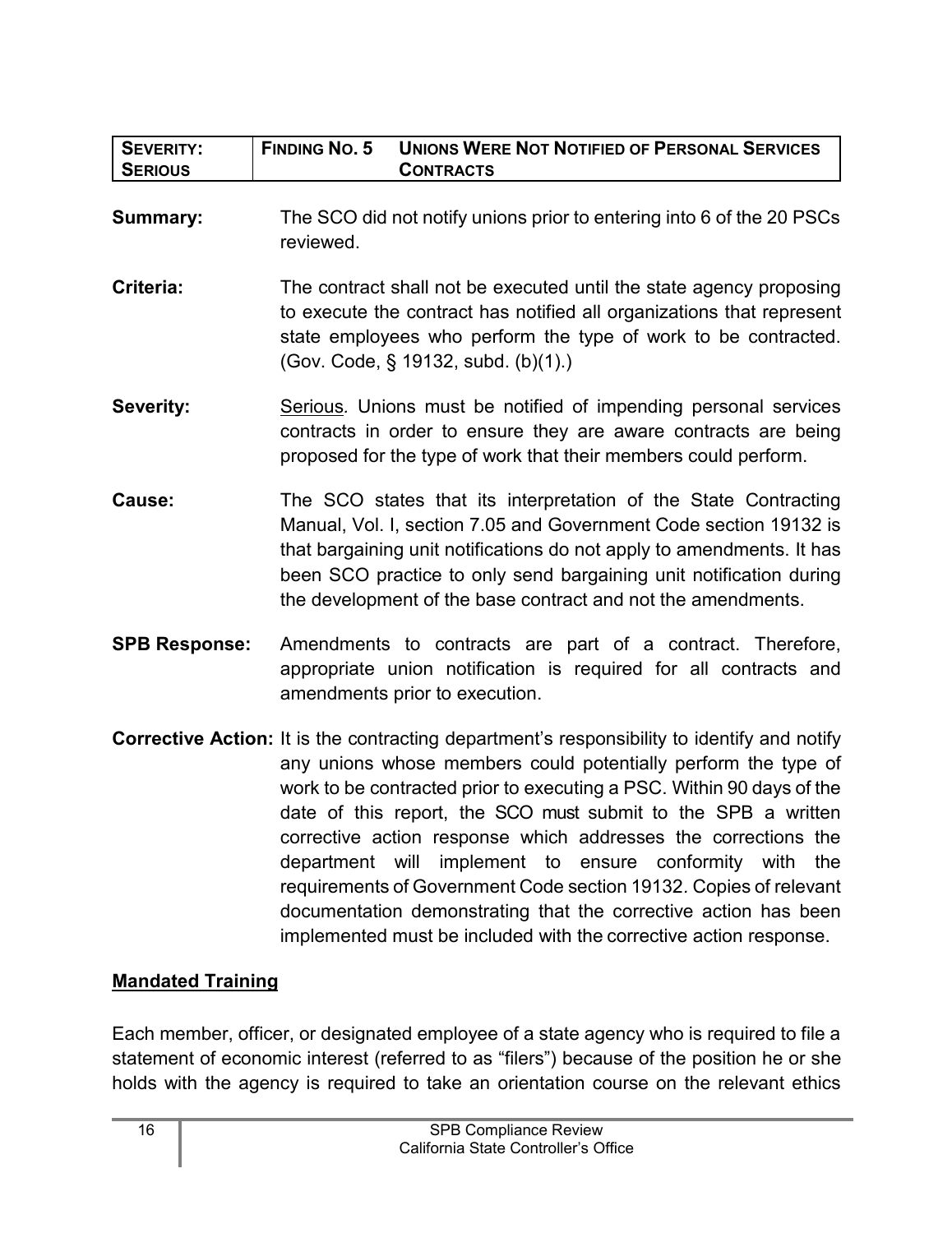| <b>SEVERITY:</b><br><b>SERIOUS</b> | <b>FINDING NO. 5</b><br><b>UNIONS WERE NOT NOTIFIED OF PERSONAL SERVICES</b><br><b>CONTRACTS</b>                                                                                                                                                                                                                                                                                                                                                                                                                                                                                                                                                         |  |  |
|------------------------------------|----------------------------------------------------------------------------------------------------------------------------------------------------------------------------------------------------------------------------------------------------------------------------------------------------------------------------------------------------------------------------------------------------------------------------------------------------------------------------------------------------------------------------------------------------------------------------------------------------------------------------------------------------------|--|--|
| <b>Summary:</b>                    | The SCO did not notify unions prior to entering into 6 of the 20 PSCs<br>reviewed.                                                                                                                                                                                                                                                                                                                                                                                                                                                                                                                                                                       |  |  |
| Criteria:                          | The contract shall not be executed until the state agency proposing<br>to execute the contract has notified all organizations that represent<br>state employees who perform the type of work to be contracted.<br>(Gov. Code, § 19132, subd. (b)(1).)                                                                                                                                                                                                                                                                                                                                                                                                    |  |  |
| <b>Severity:</b>                   | Serious. Unions must be notified of impending personal services<br>contracts in order to ensure they are aware contracts are being<br>proposed for the type of work that their members could perform.                                                                                                                                                                                                                                                                                                                                                                                                                                                    |  |  |
| Cause:                             | The SCO states that its interpretation of the State Contracting<br>Manual, Vol. I, section 7.05 and Government Code section 19132 is<br>that bargaining unit notifications do not apply to amendments. It has<br>been SCO practice to only send bargaining unit notification during<br>the development of the base contract and not the amendments.                                                                                                                                                                                                                                                                                                      |  |  |
| <b>SPB Response:</b>               | Amendments to contracts are part of a contract. Therefore,<br>appropriate union notification is required for all contracts and<br>amendments prior to execution.                                                                                                                                                                                                                                                                                                                                                                                                                                                                                         |  |  |
|                                    | <b>Corrective Action:</b> It is the contracting department's responsibility to identify and notify<br>any unions whose members could potentially perform the type of<br>work to be contracted prior to executing a PSC. Within 90 days of the<br>date of this report, the SCO must submit to the SPB a written<br>corrective action response which addresses the corrections the<br>department will implement to ensure conformity with the<br>requirements of Government Code section 19132. Copies of relevant<br>documentation demonstrating that the corrective action has been<br>implemented must be included with the corrective action response. |  |  |

#### <span id="page-17-0"></span>**Mandated Training**

Each member, officer, or designated employee of a state agency who is required to file a statement of economic interest (referred to as "filers") because of the position he or she holds with the agency is required to take an orientation course on the relevant ethics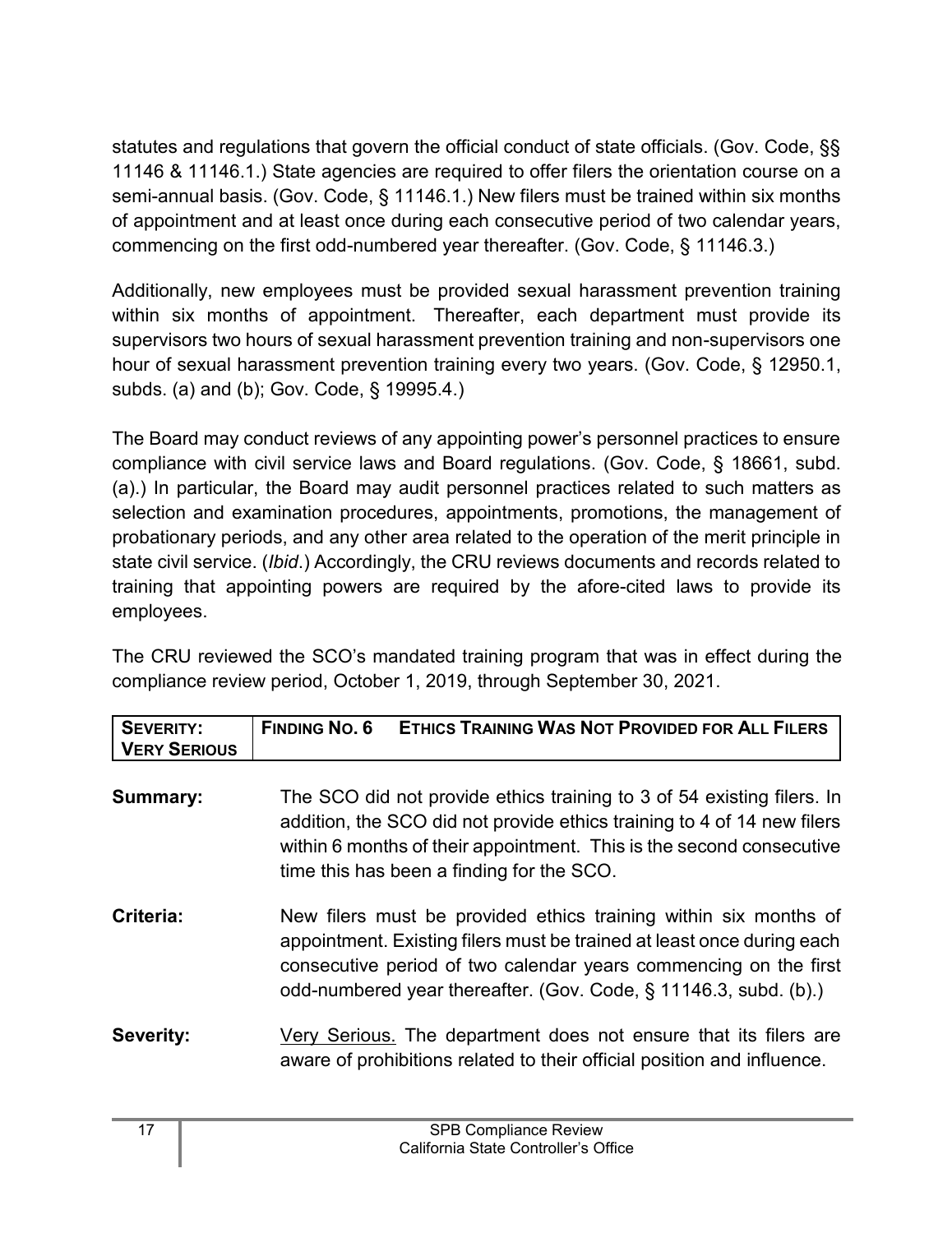statutes and regulations that govern the official conduct of state officials. (Gov. Code, §§ 11146 & 11146.1.) State agencies are required to offer filers the orientation course on a semi-annual basis. (Gov. Code, § 11146.1.) New filers must be trained within six months of appointment and at least once during each consecutive period of two calendar years, commencing on the first odd-numbered year thereafter. (Gov. Code, § 11146.3.)

Additionally, new employees must be provided sexual harassment prevention training within six months of appointment. Thereafter, each department must provide its supervisors two hours of sexual harassment prevention training and non-supervisors one hour of sexual harassment prevention training every two years. (Gov. Code, § 12950.1, subds. (a) and (b); Gov. Code, § 19995.4.)

The Board may conduct reviews of any appointing power's personnel practices to ensure compliance with civil service laws and Board regulations. (Gov. Code, § 18661, subd. (a).) In particular, the Board may audit personnel practices related to such matters as selection and examination procedures, appointments, promotions, the management of probationary periods, and any other area related to the operation of the merit principle in state civil service. (*Ibid*.) Accordingly, the CRU reviews documents and records related to training that appointing powers are required by the afore-cited laws to provide its employees.

The CRU reviewed the SCO's mandated training program that was in effect during the compliance review period, October 1, 2019, through September 30, 2021.

| <b>SEVERITY:</b><br><b>VERY SERIOUS</b> | <b>FINDING NO. 6</b><br><b>ETHICS TRAINING WAS NOT PROVIDED FOR ALL FILERS</b>                                                                                                                                                                                                     |
|-----------------------------------------|------------------------------------------------------------------------------------------------------------------------------------------------------------------------------------------------------------------------------------------------------------------------------------|
| <b>Summary:</b>                         | The SCO did not provide ethics training to 3 of 54 existing filers. In<br>addition, the SCO did not provide ethics training to 4 of 14 new filers<br>within 6 months of their appointment. This is the second consecutive<br>time this has been a finding for the SCO.             |
| Criteria:                               | New filers must be provided ethics training within six months of<br>appointment. Existing filers must be trained at least once during each<br>consecutive period of two calendar years commencing on the first<br>odd-numbered year thereafter. (Gov. Code, § 11146.3, subd. (b).) |
| <b>Severity:</b>                        | Very Serious. The department does not ensure that its filers are<br>aware of prohibitions related to their official position and influence.                                                                                                                                        |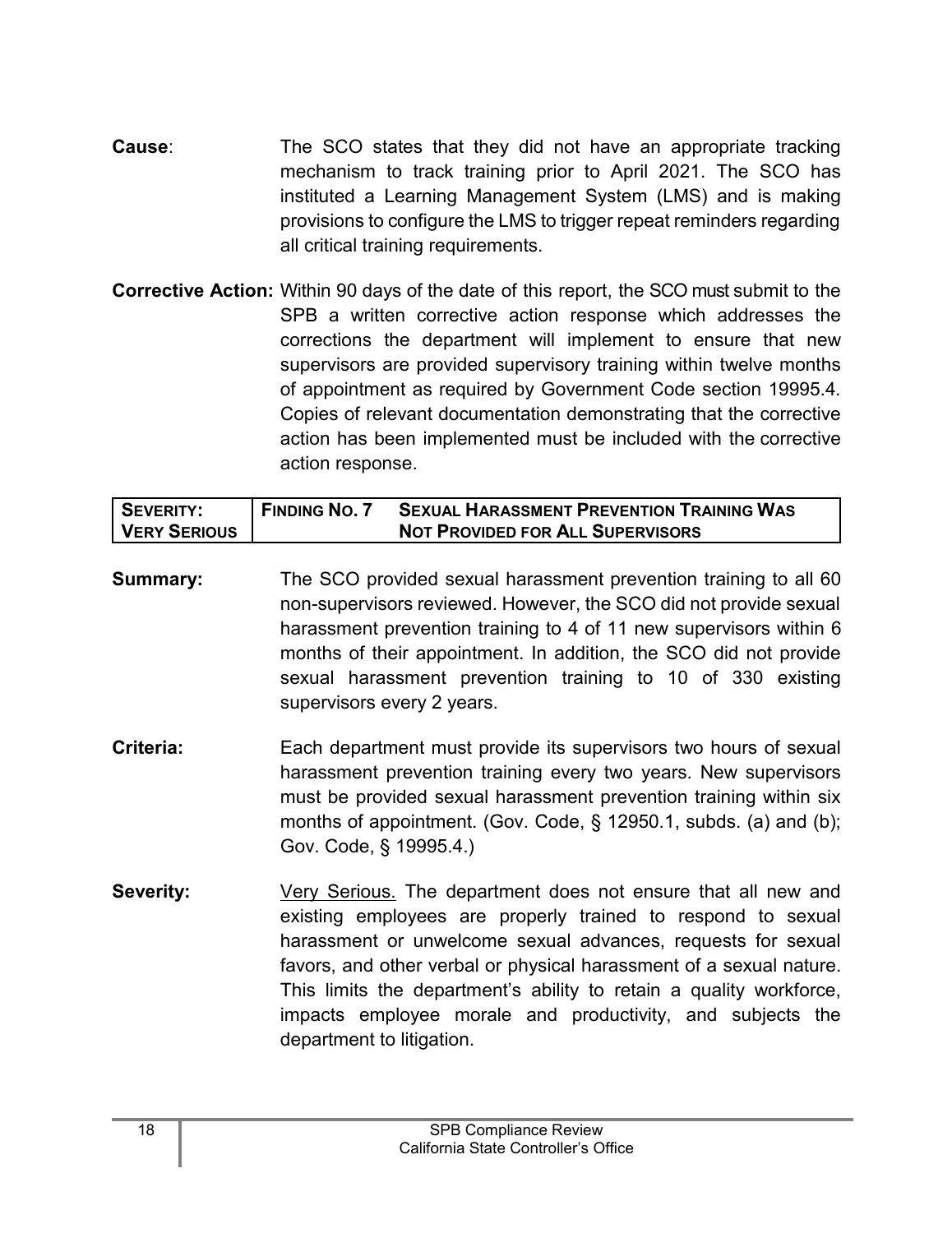- **Cause:** The SCO states that they did not have an appropriate tracking mechanism to track training prior to April 2021. The SCO has instituted a Learning Management System (LMS) and is making provisions to configure the LMS to trigger repeat reminders regarding all critical training requirements.
- **Corrective Action:** Within 90 days of the date of this report, the SCO must submit to the SPB a written corrective action response which addresses the corrections the department will implement to ensure that new supervisors are provided supervisory training within twelve months of appointment as required by Government Code section 19995.4*.* Copies of relevant documentation demonstrating that the corrective action has been implemented must be included with the corrective action response.

| <b>SEVERITY:</b>    | <b>FINDING NO. 7</b> | <b>SEXUAL HARASSMENT PREVENTION TRAINING WAS</b> |
|---------------------|----------------------|--------------------------------------------------|
| <b>VERY SERIOUS</b> |                      | <b>NOT PROVIDED FOR ALL SUPERVISORS</b>          |

- **Summary:** The SCO provided sexual harassment prevention training to all 60 non-supervisors reviewed. However, the SCO did not provide sexual harassment prevention training to 4 of 11 new supervisors within 6 months of their appointment. In addition, the SCO did not provide sexual harassment prevention training to 10 of 330 existing supervisors every 2 years.
- **Criteria:** Each department must provide its supervisors two hours of sexual harassment prevention training every two years. New supervisors must be provided sexual harassment prevention training within six months of appointment. (Gov. Code, § 12950.1, subds. (a) and (b); Gov. Code, § 19995.4.)
- **Severity:** Very Serious. The department does not ensure that all new and existing employees are properly trained to respond to sexual harassment or unwelcome sexual advances, requests for sexual favors, and other verbal or physical harassment of a sexual nature. This limits the department's ability to retain a quality workforce, impacts employee morale and productivity, and subjects the department to litigation.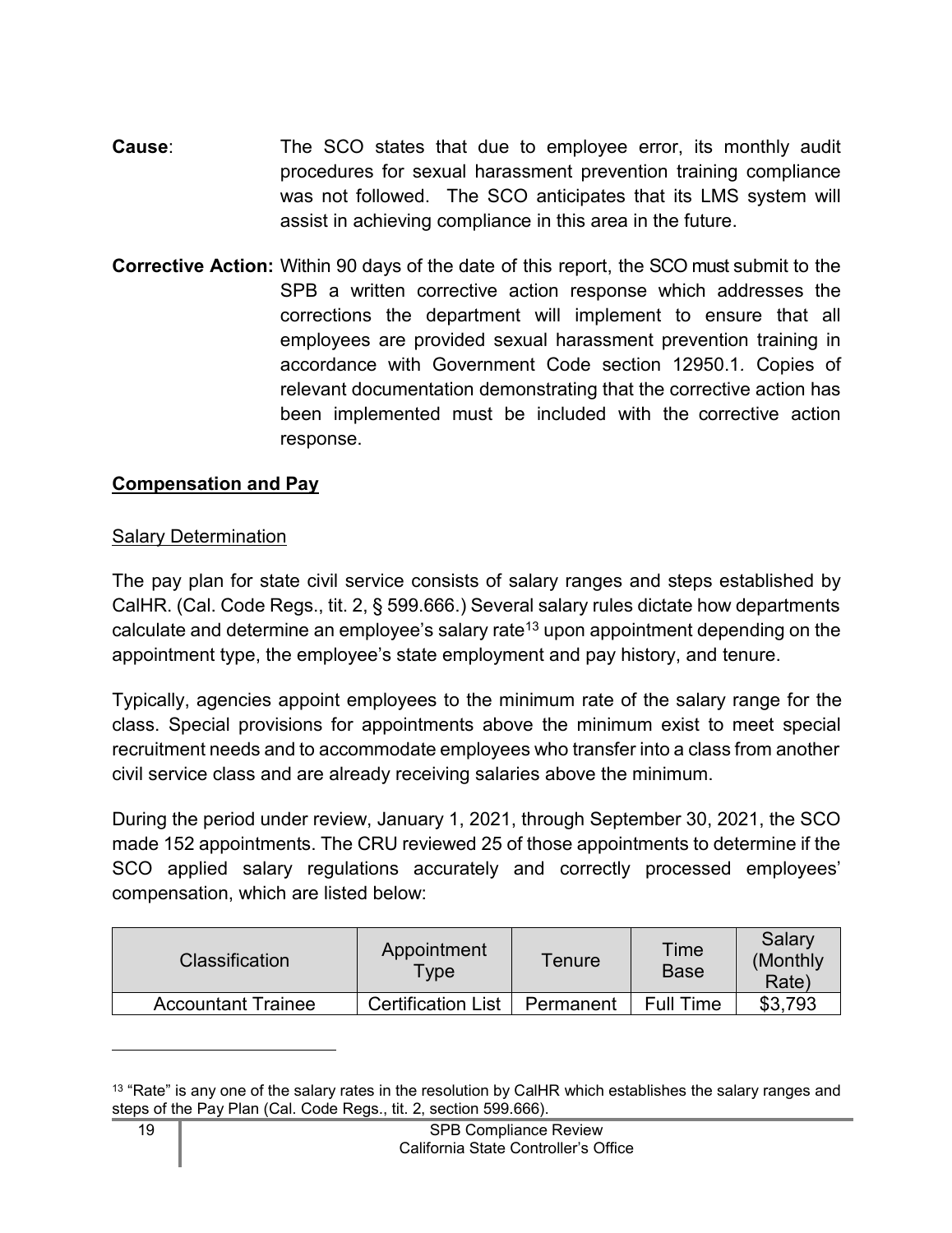- **Cause:** The SCO states that due to employee error, its monthly audit procedures for sexual harassment prevention training compliance was not followed. The SCO anticipates that its LMS system will assist in achieving compliance in this area in the future.
- **Corrective Action:** Within 90 days of the date of this report, the SCO must submit to the SPB a written corrective action response which addresses the corrections the department will implement to ensure that all employees are provided sexual harassment prevention training in accordance with Government Code section 12950.1*.* Copies of relevant documentation demonstrating that the corrective action has been implemented must be included with the corrective action response.

#### <span id="page-20-0"></span>**Compensation and Pay**

#### Salary Determination

The pay plan for state civil service consists of salary ranges and steps established by CalHR. (Cal. Code Regs., tit. 2, § 599.666.) Several salary rules dictate how departments calculate and determine an employee's salary rate<sup>[13](#page-20-1)</sup> upon appointment depending on the appointment type, the employee's state employment and pay history, and tenure.

Typically, agencies appoint employees to the minimum rate of the salary range for the class. Special provisions for appointments above the minimum exist to meet special recruitment needs and to accommodate employees who transfer into a class from another civil service class and are already receiving salaries above the minimum.

During the period under review, January 1, 2021, through September 30, 2021, the SCO made 152 appointments. The CRU reviewed 25 of those appointments to determine if the SCO applied salary regulations accurately and correctly processed employees' compensation, which are listed below:

| Classification            | Appointment<br>Type       | Tenure    | Time<br><b>Base</b> | Salary<br>(Monthly)<br>Rate) |
|---------------------------|---------------------------|-----------|---------------------|------------------------------|
| <b>Accountant Trainee</b> | <b>Certification List</b> | Permanent | <b>Full Time</b>    | \$3,793                      |

<span id="page-20-1"></span><sup>&</sup>lt;sup>13</sup> "Rate" is any one of the salary rates in the resolution by CalHR which establishes the salary ranges and steps of the Pay Plan (Cal. Code Regs., tit. 2, section 599.666).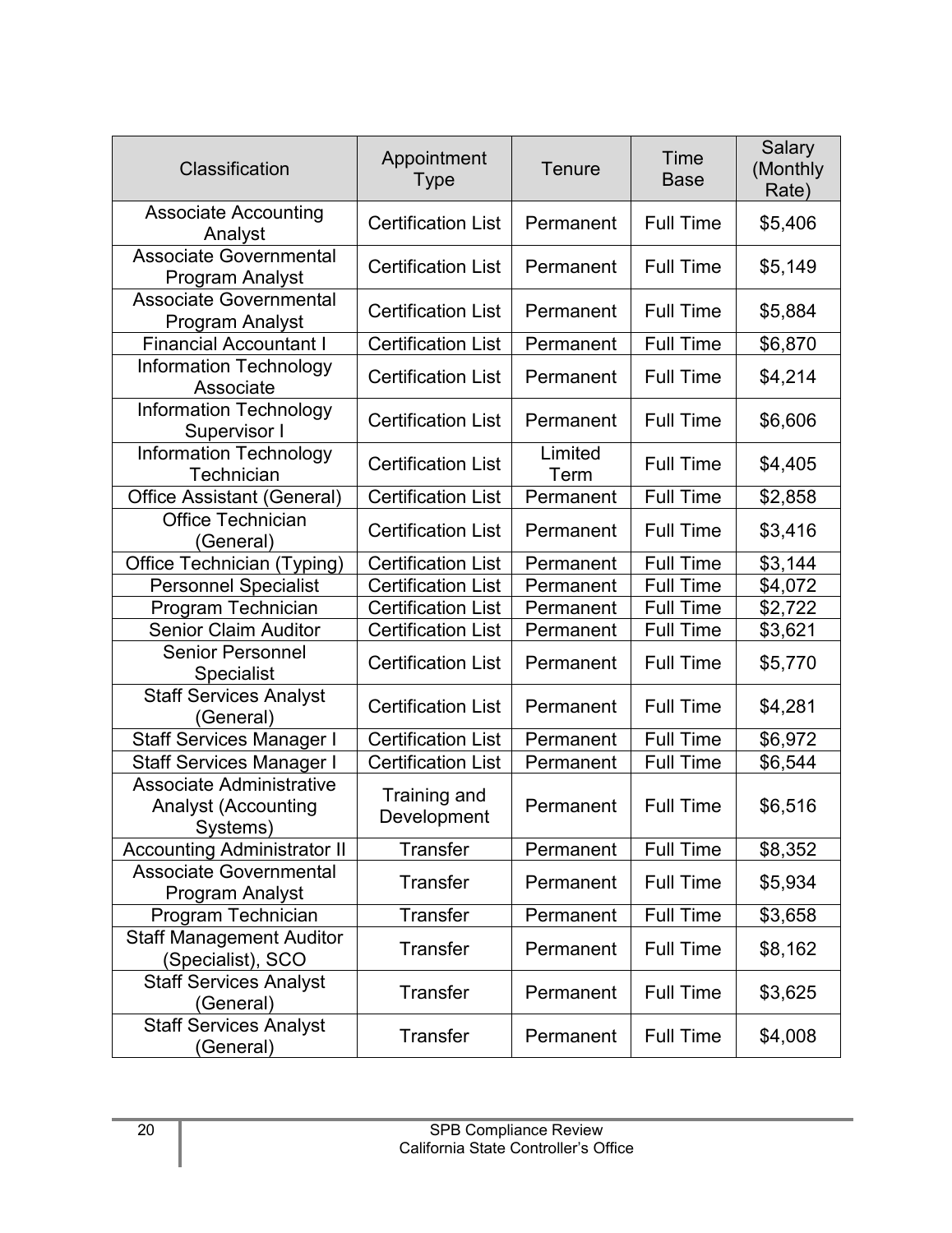| Classification                                                            | Appointment<br><b>Type</b>         | Tenure          | Time<br><b>Base</b> | Salary<br>(Monthly<br>Rate) |
|---------------------------------------------------------------------------|------------------------------------|-----------------|---------------------|-----------------------------|
| <b>Associate Accounting</b><br>Analyst                                    | <b>Certification List</b>          | Permanent       | <b>Full Time</b>    | \$5,406                     |
| <b>Associate Governmental</b><br><b>Program Analyst</b>                   | <b>Certification List</b>          | Permanent       | <b>Full Time</b>    | \$5,149                     |
| Associate Governmental<br><b>Program Analyst</b>                          | <b>Certification List</b>          | Permanent       | <b>Full Time</b>    | \$5,884                     |
| <b>Financial Accountant I</b>                                             | <b>Certification List</b>          | Permanent       | <b>Full Time</b>    | \$6,870                     |
| <b>Information Technology</b><br>Associate                                | <b>Certification List</b>          | Permanent       | <b>Full Time</b>    | \$4,214                     |
| <b>Information Technology</b><br>Supervisor I                             | <b>Certification List</b>          | Permanent       | <b>Full Time</b>    | \$6,606                     |
| <b>Information Technology</b><br>Technician                               | <b>Certification List</b>          | Limited<br>Term | <b>Full Time</b>    | \$4,405                     |
| <b>Office Assistant (General)</b>                                         | <b>Certification List</b>          | Permanent       | <b>Full Time</b>    | \$2,858                     |
| <b>Office Technician</b><br>(General)                                     | <b>Certification List</b>          | Permanent       | <b>Full Time</b>    | \$3,416                     |
| Office Technician (Typing)                                                | <b>Certification List</b>          | Permanent       | <b>Full Time</b>    | \$3,144                     |
| <b>Personnel Specialist</b>                                               | <b>Certification List</b>          | Permanent       | <b>Full Time</b>    | \$4,072                     |
| Program Technician                                                        | <b>Certification List</b>          | Permanent       | <b>Full Time</b>    | \$2,722                     |
| <b>Senior Claim Auditor</b>                                               | <b>Certification List</b>          | Permanent       | <b>Full Time</b>    | \$3,621                     |
| <b>Senior Personnel</b><br><b>Specialist</b>                              | <b>Certification List</b>          | Permanent       | <b>Full Time</b>    | \$5,770                     |
| <b>Staff Services Analyst</b><br>(General)                                | <b>Certification List</b>          | Permanent       | <b>Full Time</b>    | \$4,281                     |
| <b>Staff Services Manager I</b>                                           | <b>Certification List</b>          | Permanent       | <b>Full Time</b>    | \$6,972                     |
| <b>Staff Services Manager I</b>                                           | <b>Certification List</b>          | Permanent       | <b>Full Time</b>    | \$6,544                     |
| <b>Associate Administrative</b><br><b>Analyst (Accounting</b><br>Systems) | <b>Training and</b><br>Development | Permanent       | <b>Full Time</b>    | \$6,516                     |
| <b>Accounting Administrator II</b>                                        | <b>Transfer</b>                    | Permanent       | <b>Full Time</b>    | \$8,352                     |
| <b>Associate Governmental</b><br>Program Analyst                          | <b>Transfer</b>                    | Permanent       | <b>Full Time</b>    | \$5,934                     |
| Program Technician                                                        | <b>Transfer</b>                    | Permanent       | <b>Full Time</b>    | \$3,658                     |
| <b>Staff Management Auditor</b><br>(Specialist), SCO                      | <b>Transfer</b>                    | Permanent       | <b>Full Time</b>    | \$8,162                     |
| <b>Staff Services Analyst</b><br>(General)                                | <b>Transfer</b>                    | Permanent       | <b>Full Time</b>    | \$3,625                     |
| <b>Staff Services Analyst</b><br>(General)                                | <b>Transfer</b>                    | Permanent       | <b>Full Time</b>    | \$4,008                     |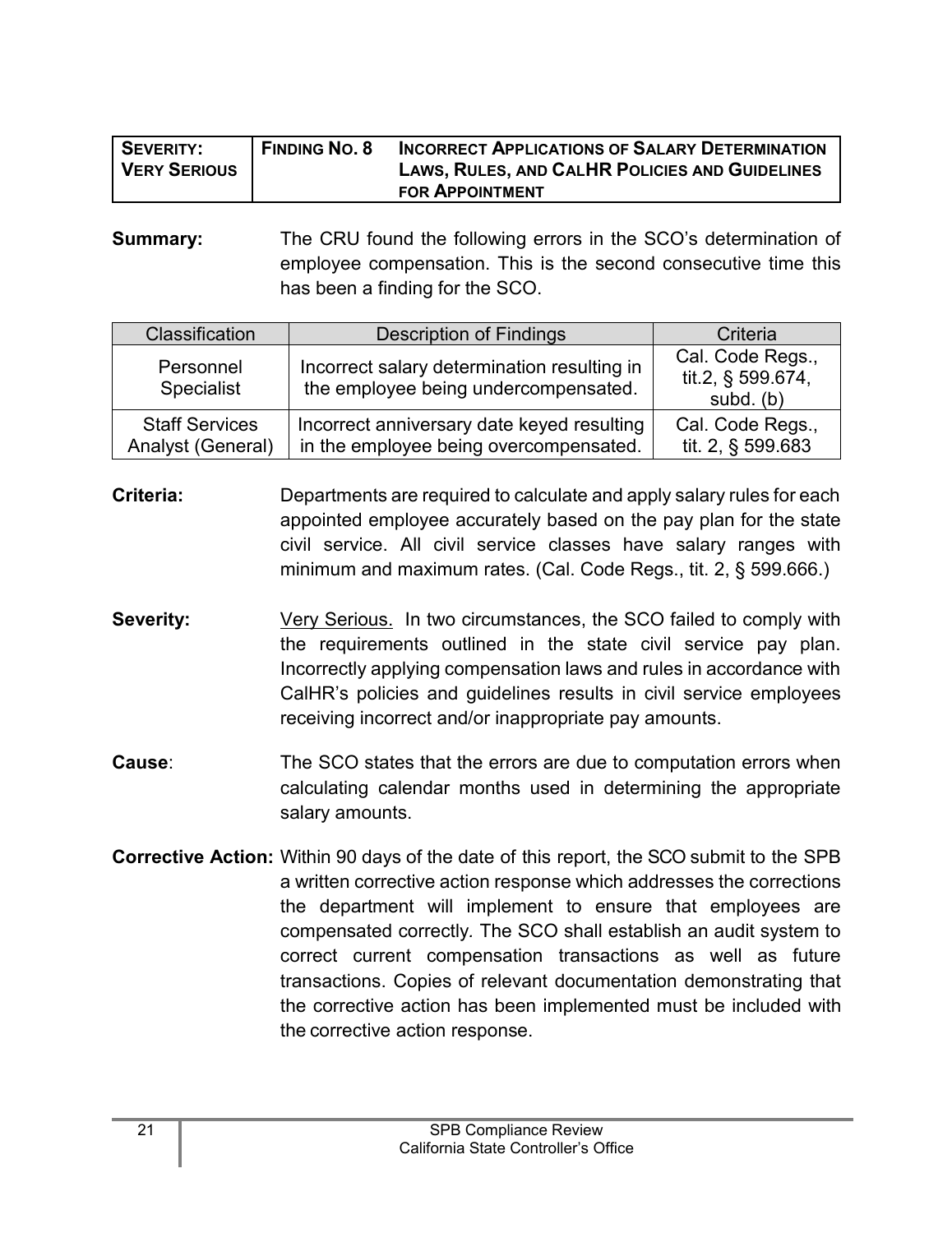| SEVERITY:           | <b>FINDING NO. 8</b> | <b>INCORRECT APPLICATIONS OF SALARY DETERMINATION</b> |
|---------------------|----------------------|-------------------------------------------------------|
| <b>VERY SERIOUS</b> |                      | <b>LAWS, RULES, AND CALHR POLICIES AND GUIDELINES</b> |
|                     |                      | <b>FOR APPOINTMENT</b>                                |

**Summary:** The CRU found the following errors in the SCO's determination of employee compensation. This is the second consecutive time this has been a finding for the SCO.

| Classification                             | <b>Description of Findings</b>                                                       | Criteria                                           |
|--------------------------------------------|--------------------------------------------------------------------------------------|----------------------------------------------------|
| Personnel<br><b>Specialist</b>             | Incorrect salary determination resulting in<br>the employee being undercompensated.  | Cal. Code Regs.,<br>tit.2, § 599.674,<br>subd. (b) |
| <b>Staff Services</b><br>Analyst (General) | Incorrect anniversary date keyed resulting<br>in the employee being overcompensated. | Cal. Code Regs.,<br>tit. 2, § 599.683              |

**Criteria:** Departments are required to calculate and apply salary rules for each appointed employee accurately based on the pay plan for the state civil service. All civil service classes have salary ranges with minimum and maximum rates. (Cal. Code Regs., tit. 2, § 599.666.)

- **Severity:** Very Serious. In two circumstances, the SCO failed to comply with the requirements outlined in the state civil service pay plan. Incorrectly applying compensation laws and rules in accordance with CalHR's policies and guidelines results in civil service employees receiving incorrect and/or inappropriate pay amounts.
- **Cause:** The SCO states that the errors are due to computation errors when calculating calendar months used in determining the appropriate salary amounts.
- **Corrective Action:** Within 90 days of the date of this report, the SCO submit to the SPB a written corrective action response which addresses the corrections the department will implement to ensure that employees are compensated correctly*.* The SCO shall establish an audit system to correct current compensation transactions as well as future transactions. Copies of relevant documentation demonstrating that the corrective action has been implemented must be included with the corrective action response.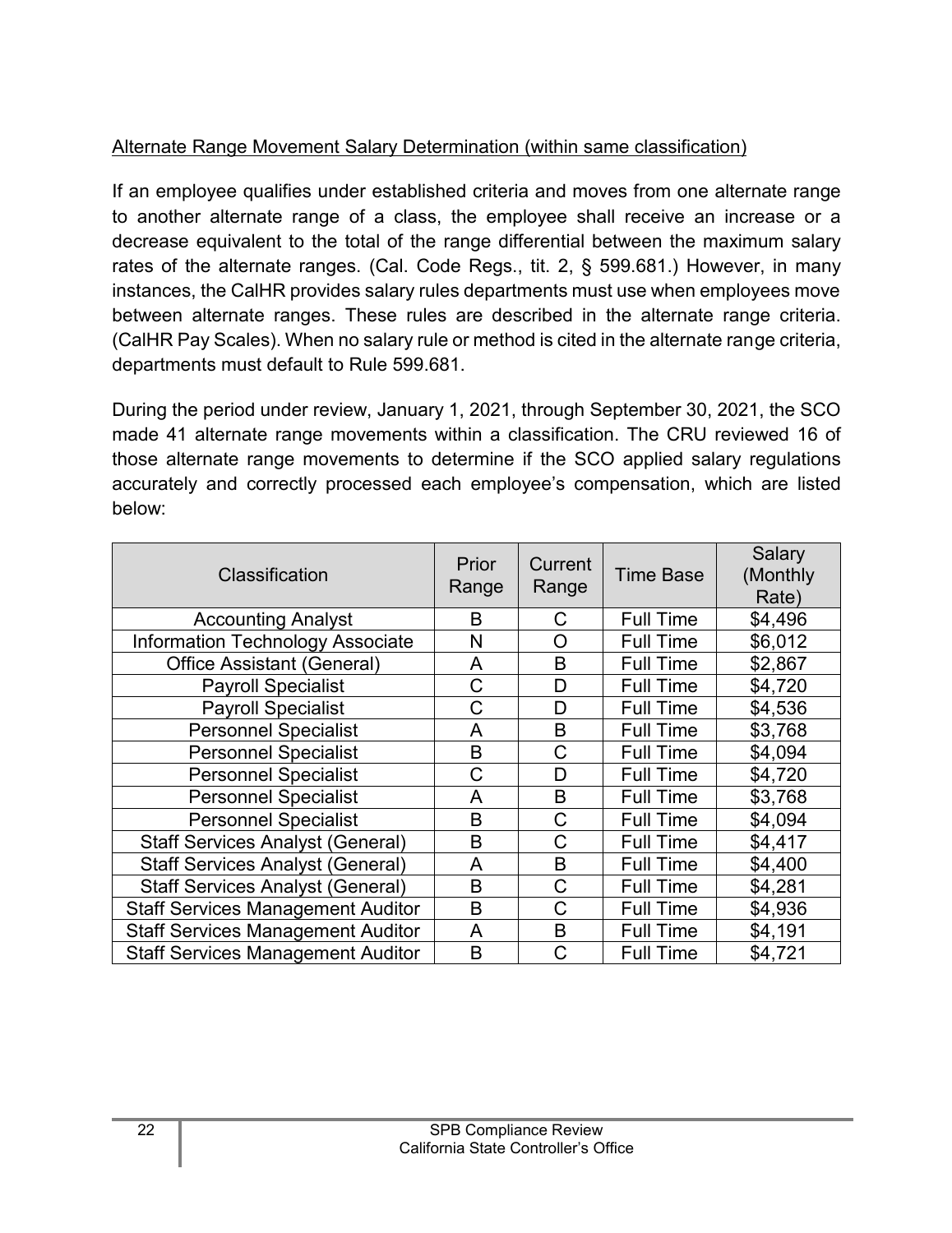## Alternate Range Movement Salary Determination (within same classification)

If an employee qualifies under established criteria and moves from one alternate range to another alternate range of a class, the employee shall receive an increase or a decrease equivalent to the total of the range differential between the maximum salary rates of the alternate ranges. (Cal. Code Regs., tit. 2, § 599.681.) However, in many instances, the CalHR provides salary rules departments must use when employees move between alternate ranges. These rules are described in the alternate range criteria. (CalHR Pay Scales). When no salary rule or method is cited in the alternate range criteria, departments must default to Rule 599.681.

During the period under review, January 1, 2021, through September 30, 2021, the SCO made 41 alternate range movements within a classification. The CRU reviewed 16 of those alternate range movements to determine if the SCO applied salary regulations accurately and correctly processed each employee's compensation, which are listed below:

| Classification                           | Prior<br>Range | Current<br>Range | <b>Time Base</b> | Salary<br>(Monthly<br>Rate) |
|------------------------------------------|----------------|------------------|------------------|-----------------------------|
| <b>Accounting Analyst</b>                | B              | С                | <b>Full Time</b> | \$4,496                     |
| <b>Information Technology Associate</b>  | N              | Ő                | <b>Full Time</b> | \$6,012                     |
| Office Assistant (General)               | A              | B                | <b>Full Time</b> | \$2,867                     |
| <b>Payroll Specialist</b>                | С              | D                | <b>Full Time</b> | \$4,720                     |
| <b>Payroll Specialist</b>                | С              | D                | <b>Full Time</b> | \$4,536                     |
| <b>Personnel Specialist</b>              | A              | B                | <b>Full Time</b> | \$3,768                     |
| <b>Personnel Specialist</b>              | B              | C                | <b>Full Time</b> | \$4,094                     |
| <b>Personnel Specialist</b>              | С              | D                | <b>Full Time</b> | \$4,720                     |
| <b>Personnel Specialist</b>              | A              | B                | <b>Full Time</b> | \$3,768                     |
| <b>Personnel Specialist</b>              | B              | Ć                | <b>Full Time</b> | \$4,094                     |
| <b>Staff Services Analyst (General)</b>  | B              | C                | <b>Full Time</b> | \$4,417                     |
| <b>Staff Services Analyst (General)</b>  | A              | B                | <b>Full Time</b> | \$4,400                     |
| <b>Staff Services Analyst (General)</b>  | B              | C                | <b>Full Time</b> | \$4,281                     |
| <b>Staff Services Management Auditor</b> | B              | С                | <b>Full Time</b> | \$4,936                     |
| <b>Staff Services Management Auditor</b> | A              | B                | <b>Full Time</b> | \$4,191                     |
| <b>Staff Services Management Auditor</b> | B              | C                | <b>Full Time</b> | \$4,721                     |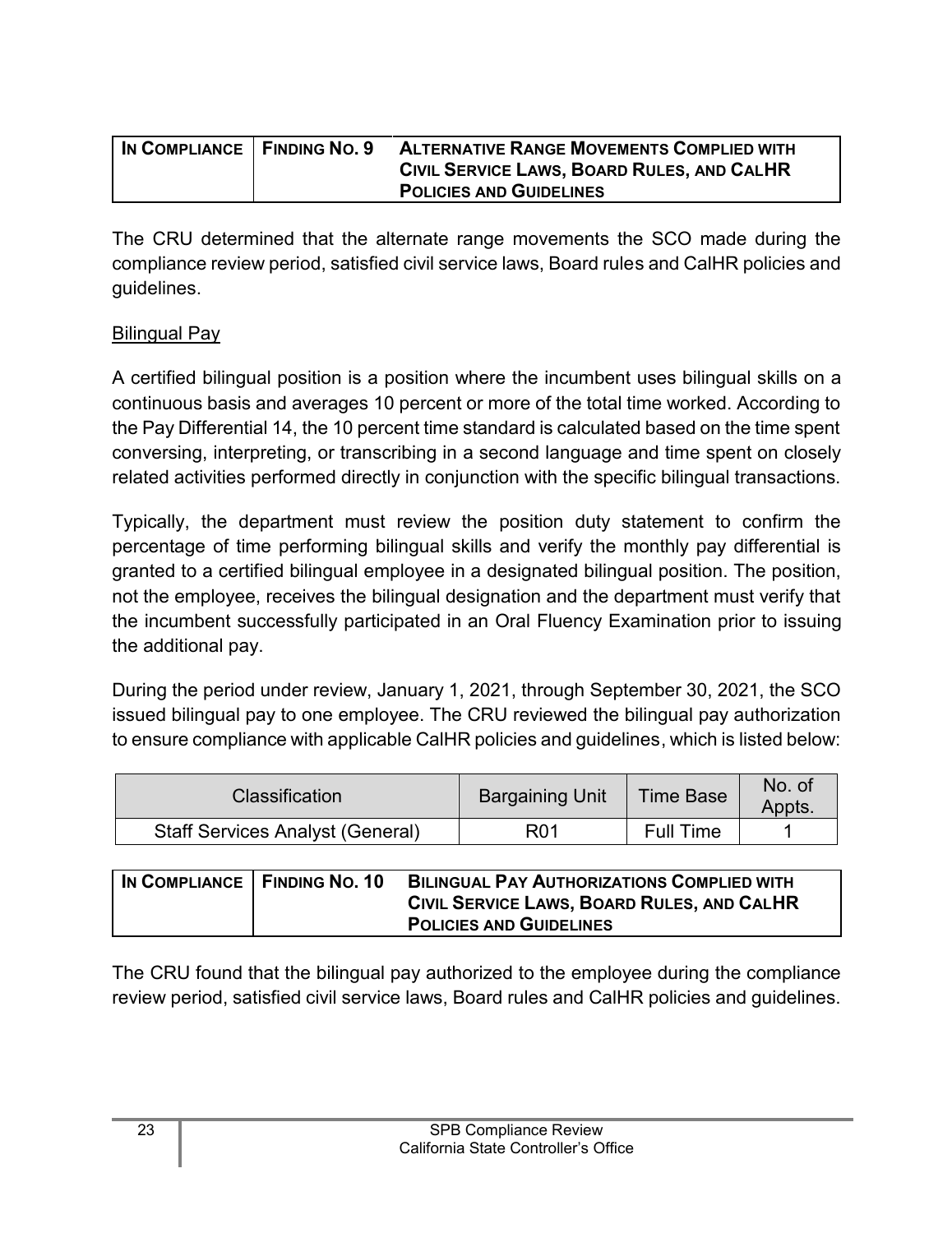| IN COMPLIANCE   FINDING NO. 9 | <b>ALTERNATIVE RANGE MOVEMENTS COMPLIED WITH</b> |
|-------------------------------|--------------------------------------------------|
|                               | CIVIL SERVICE LAWS, BOARD RULES, AND CALHR       |
|                               | <b>POLICIES AND GUIDELINES</b>                   |

The CRU determined that the alternate range movements the SCO made during the compliance review period, satisfied civil service laws, Board rules and CalHR policies and guidelines.

#### Bilingual Pay

A certified bilingual position is a position where the incumbent uses bilingual skills on a continuous basis and averages 10 percent or more of the total time worked. According to the Pay Differential 14, the 10 percent time standard is calculated based on the time spent conversing, interpreting, or transcribing in a second language and time spent on closely related activities performed directly in conjunction with the specific bilingual transactions.

Typically, the department must review the position duty statement to confirm the percentage of time performing bilingual skills and verify the monthly pay differential is granted to a certified bilingual employee in a designated bilingual position. The position, not the employee, receives the bilingual designation and the department must verify that the incumbent successfully participated in an Oral Fluency Examination prior to issuing the additional pay.

During the period under review, January 1, 2021, through September 30, 2021, the SCO issued bilingual pay to one employee. The CRU reviewed the bilingual pay authorization to ensure compliance with applicable CalHR policies and guidelines, which is listed below:

| <b>Classification</b>                   | <b>Bargaining Unit</b> | <b>Time Base</b> | No. of<br>Appts. |
|-----------------------------------------|------------------------|------------------|------------------|
| <b>Staff Services Analyst (General)</b> | R01                    | Full Time        |                  |

| IN COMPLIANCE FINDING NO. 10 | <b>BILINGUAL PAY AUTHORIZATIONS COMPLIED WITH</b><br>CIVIL SERVICE LAWS, BOARD RULES, AND CALHR |
|------------------------------|-------------------------------------------------------------------------------------------------|
|                              | <b>POLICIES AND GUIDELINES</b>                                                                  |

The CRU found that the bilingual pay authorized to the employee during the compliance review period, satisfied civil service laws, Board rules and CalHR policies and guidelines.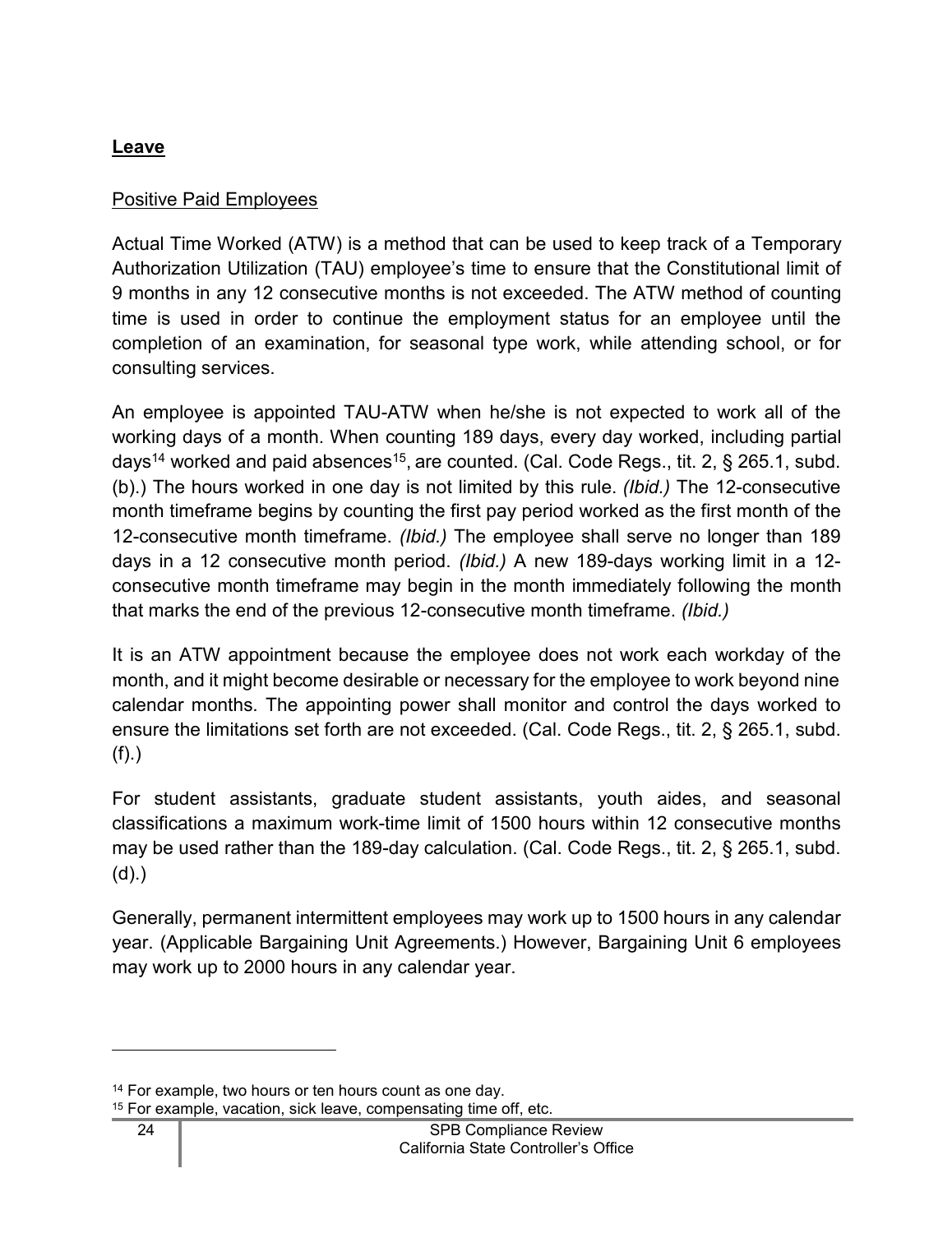## <span id="page-25-0"></span>**Leave**

## Positive Paid Employees

Actual Time Worked (ATW) is a method that can be used to keep track of a Temporary Authorization Utilization (TAU) employee's time to ensure that the Constitutional limit of 9 months in any 12 consecutive months is not exceeded. The ATW method of counting time is used in order to continue the employment status for an employee until the completion of an examination, for seasonal type work, while attending school, or for consulting services.

An employee is appointed TAU-ATW when he/she is not expected to work all of the working days of a month. When counting 189 days, every day worked, including partial days<sup>[14](#page-25-1)</sup> worked and paid absences<sup>[15](#page-25-2)</sup>, are counted. (Cal. Code Regs., tit. 2, § 265.1, subd. (b).) The hours worked in one day is not limited by this rule. *(Ibid.)* The 12-consecutive month timeframe begins by counting the first pay period worked as the first month of the 12-consecutive month timeframe. *(Ibid.)* The employee shall serve no longer than 189 days in a 12 consecutive month period. *(Ibid.)* A new 189-days working limit in a 12 consecutive month timeframe may begin in the month immediately following the month that marks the end of the previous 12-consecutive month timeframe. *(Ibid.)*

It is an ATW appointment because the employee does not work each workday of the month, and it might become desirable or necessary for the employee to work beyond nine calendar months. The appointing power shall monitor and control the days worked to ensure the limitations set forth are not exceeded. (Cal. Code Regs., tit. 2, § 265.1, subd. (f).)

For student assistants, graduate student assistants, youth aides, and seasonal classifications a maximum work-time limit of 1500 hours within 12 consecutive months may be used rather than the 189-day calculation. (Cal. Code Regs., tit. 2, § 265.1, subd. (d).)

Generally, permanent intermittent employees may work up to 1500 hours in any calendar year. (Applicable Bargaining Unit Agreements.) However, Bargaining Unit 6 employees may work up to 2000 hours in any calendar year.

<span id="page-25-1"></span><sup>&</sup>lt;sup>14</sup> For example, two hours or ten hours count as one day.

<span id="page-25-2"></span><sup>15</sup> For example, vacation, sick leave, compensating time off, etc.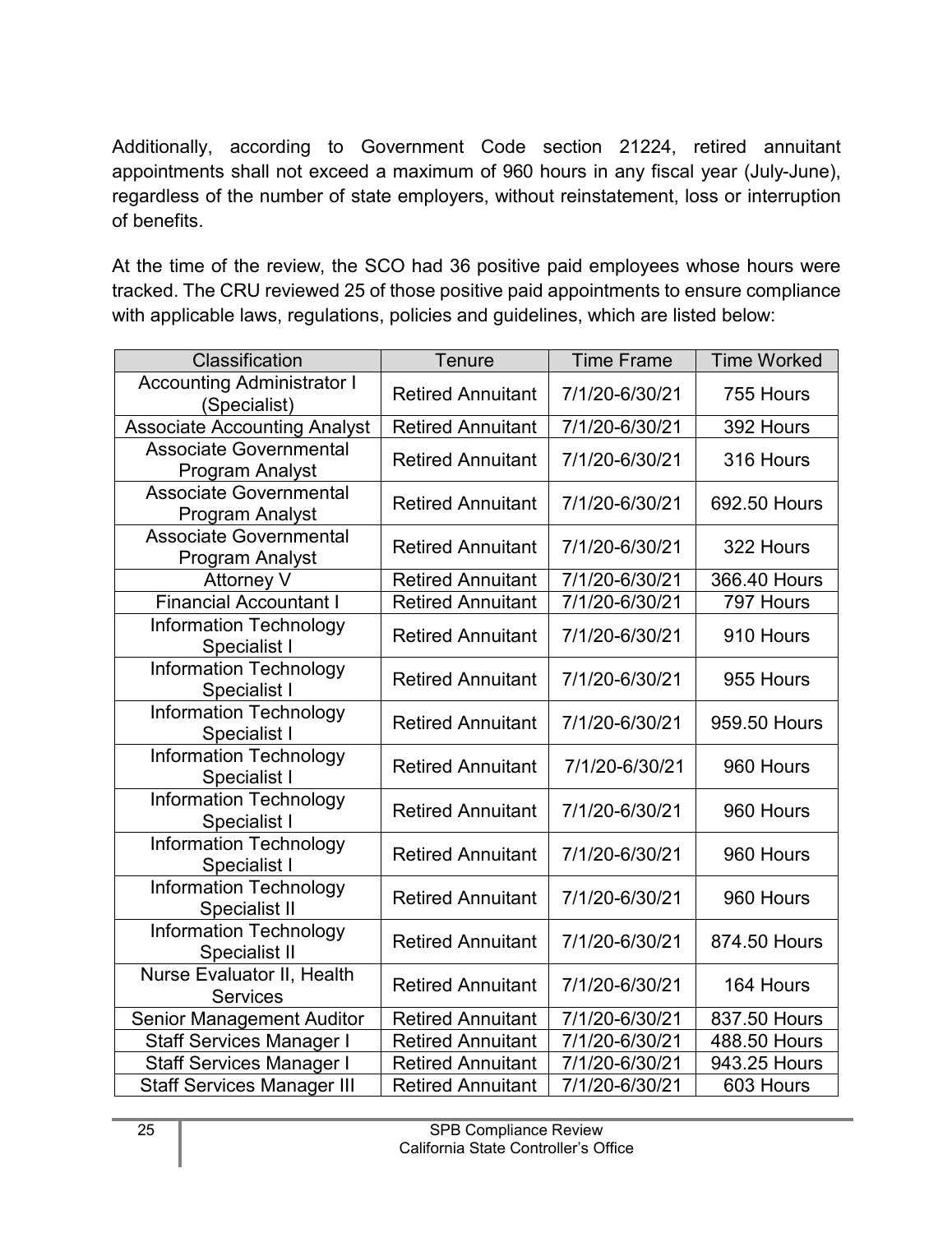Additionally, according to Government Code section 21224, retired annuitant appointments shall not exceed a maximum of 960 hours in any fiscal year (July-June), regardless of the number of state employers, without reinstatement, loss or interruption of benefits.

At the time of the review, the SCO had 36 positive paid employees whose hours were tracked. The CRU reviewed 25 of those positive paid appointments to ensure compliance with applicable laws, regulations, policies and guidelines, which are listed below:

| Classification                                          | Tenure                   | <b>Time Frame</b> | <b>Time Worked</b> |
|---------------------------------------------------------|--------------------------|-------------------|--------------------|
| <b>Accounting Administrator I</b><br>(Specialist)       | <b>Retired Annuitant</b> | 7/1/20-6/30/21    | 755 Hours          |
| <b>Associate Accounting Analyst</b>                     | <b>Retired Annuitant</b> | 7/1/20-6/30/21    | 392 Hours          |
| <b>Associate Governmental</b><br><b>Program Analyst</b> | <b>Retired Annuitant</b> | 7/1/20-6/30/21    | 316 Hours          |
| <b>Associate Governmental</b><br>Program Analyst        | <b>Retired Annuitant</b> | 7/1/20-6/30/21    | 692.50 Hours       |
| <b>Associate Governmental</b><br>Program Analyst        | <b>Retired Annuitant</b> | 7/1/20-6/30/21    | 322 Hours          |
| Attorney V                                              | <b>Retired Annuitant</b> | 7/1/20-6/30/21    | 366.40 Hours       |
| <b>Financial Accountant I</b>                           | <b>Retired Annuitant</b> | 7/1/20-6/30/21    | 797 Hours          |
| <b>Information Technology</b><br>Specialist I           | <b>Retired Annuitant</b> | 7/1/20-6/30/21    | 910 Hours          |
| <b>Information Technology</b><br>Specialist I           | <b>Retired Annuitant</b> | 7/1/20-6/30/21    | 955 Hours          |
| <b>Information Technology</b><br>Specialist I           | <b>Retired Annuitant</b> | 7/1/20-6/30/21    | 959.50 Hours       |
| <b>Information Technology</b><br>Specialist I           | <b>Retired Annuitant</b> | 7/1/20-6/30/21    | 960 Hours          |
| <b>Information Technology</b><br>Specialist I           | <b>Retired Annuitant</b> | 7/1/20-6/30/21    | 960 Hours          |
| <b>Information Technology</b><br>Specialist I           | <b>Retired Annuitant</b> | 7/1/20-6/30/21    | 960 Hours          |
| <b>Information Technology</b><br>Specialist II          | <b>Retired Annuitant</b> | 7/1/20-6/30/21    | 960 Hours          |
| <b>Information Technology</b><br>Specialist II          | <b>Retired Annuitant</b> | 7/1/20-6/30/21    | 874.50 Hours       |
| Nurse Evaluator II, Health<br><b>Services</b>           | <b>Retired Annuitant</b> | 7/1/20-6/30/21    | 164 Hours          |
| <b>Senior Management Auditor</b>                        | <b>Retired Annuitant</b> | 7/1/20-6/30/21    | 837.50 Hours       |
| <b>Staff Services Manager I</b>                         | <b>Retired Annuitant</b> | 7/1/20-6/30/21    | 488.50 Hours       |
| <b>Staff Services Manager I</b>                         | <b>Retired Annuitant</b> | 7/1/20-6/30/21    | 943.25 Hours       |
| <b>Staff Services Manager III</b>                       | <b>Retired Annuitant</b> | 7/1/20-6/30/21    | 603 Hours          |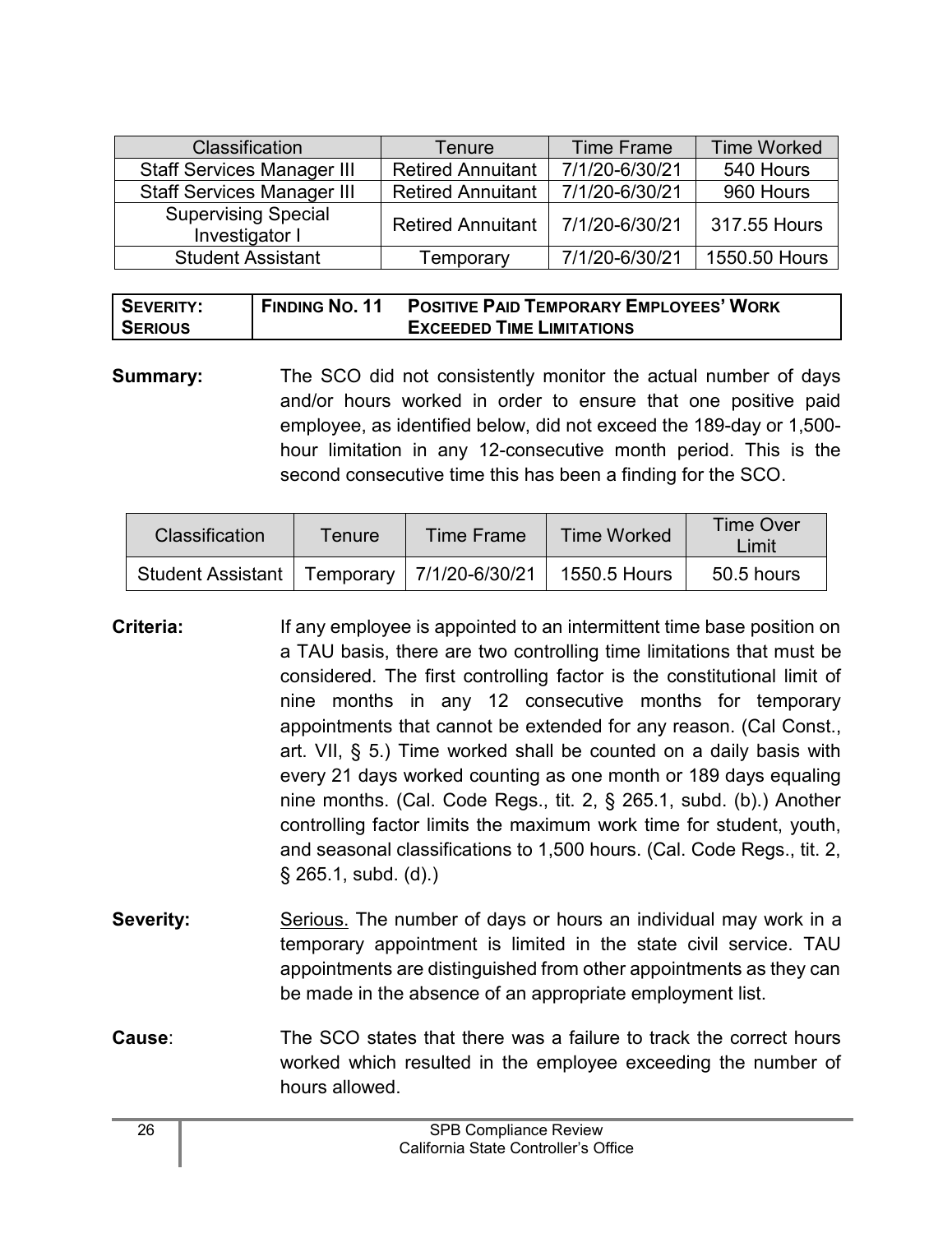| <b>Classification</b>                        | Tenure                   | <b>Time Frame</b> | <b>Time Worked</b> |
|----------------------------------------------|--------------------------|-------------------|--------------------|
| <b>Staff Services Manager III</b>            | <b>Retired Annuitant</b> | 7/1/20-6/30/21    | 540 Hours          |
| <b>Staff Services Manager III</b>            | <b>Retired Annuitant</b> | 7/1/20-6/30/21    | 960 Hours          |
| <b>Supervising Special</b><br>Investigator I | <b>Retired Annuitant</b> | 7/1/20-6/30/21    | 317.55 Hours       |
| <b>Student Assistant</b>                     | Temporary                | 7/1/20-6/30/21    | 1550.50 Hours      |

| SEVERITY:      | <b>FINDING NO. 11</b> | <b>POSITIVE PAID TEMPORARY EMPLOYEES' WORK</b> |
|----------------|-----------------------|------------------------------------------------|
| <b>SERIOUS</b> |                       | <b>EXCEEDED TIME LIMITATIONS</b>               |

**Summary:** The SCO did not consistently monitor the actual number of days and/or hours worked in order to ensure that one positive paid employee, as identified below, did not exceed the 189-day or 1,500 hour limitation in any 12-consecutive month period. This is the second consecutive time this has been a finding for the SCO.

| <b>Classification</b>                                         | Tenure | Time Frame | <b>Time Worked</b> | <b>Time Over</b><br>_imit |
|---------------------------------------------------------------|--------|------------|--------------------|---------------------------|
| Student Assistant   Temporary   7/1/20-6/30/21   1550.5 Hours |        |            |                    | 50.5 hours                |

- **Criteria:** If any employee is appointed to an intermittent time base position on a TAU basis, there are two controlling time limitations that must be considered. The first controlling factor is the constitutional limit of nine months in any 12 consecutive months for temporary appointments that cannot be extended for any reason. (Cal Const., art. VII, § 5.) Time worked shall be counted on a daily basis with every 21 days worked counting as one month or 189 days equaling nine months. (Cal. Code Regs., tit. 2, § 265.1, subd. (b).) Another controlling factor limits the maximum work time for student, youth, and seasonal classifications to 1,500 hours. (Cal. Code Regs., tit. 2, § 265.1, subd. (d).)
- **Severity:** Serious. The number of days or hours an individual may work in a temporary appointment is limited in the state civil service. TAU appointments are distinguished from other appointments as they can be made in the absence of an appropriate employment list.
- **Cause**: The SCO states that there was a failure to track the correct hours worked which resulted in the employee exceeding the number of hours allowed.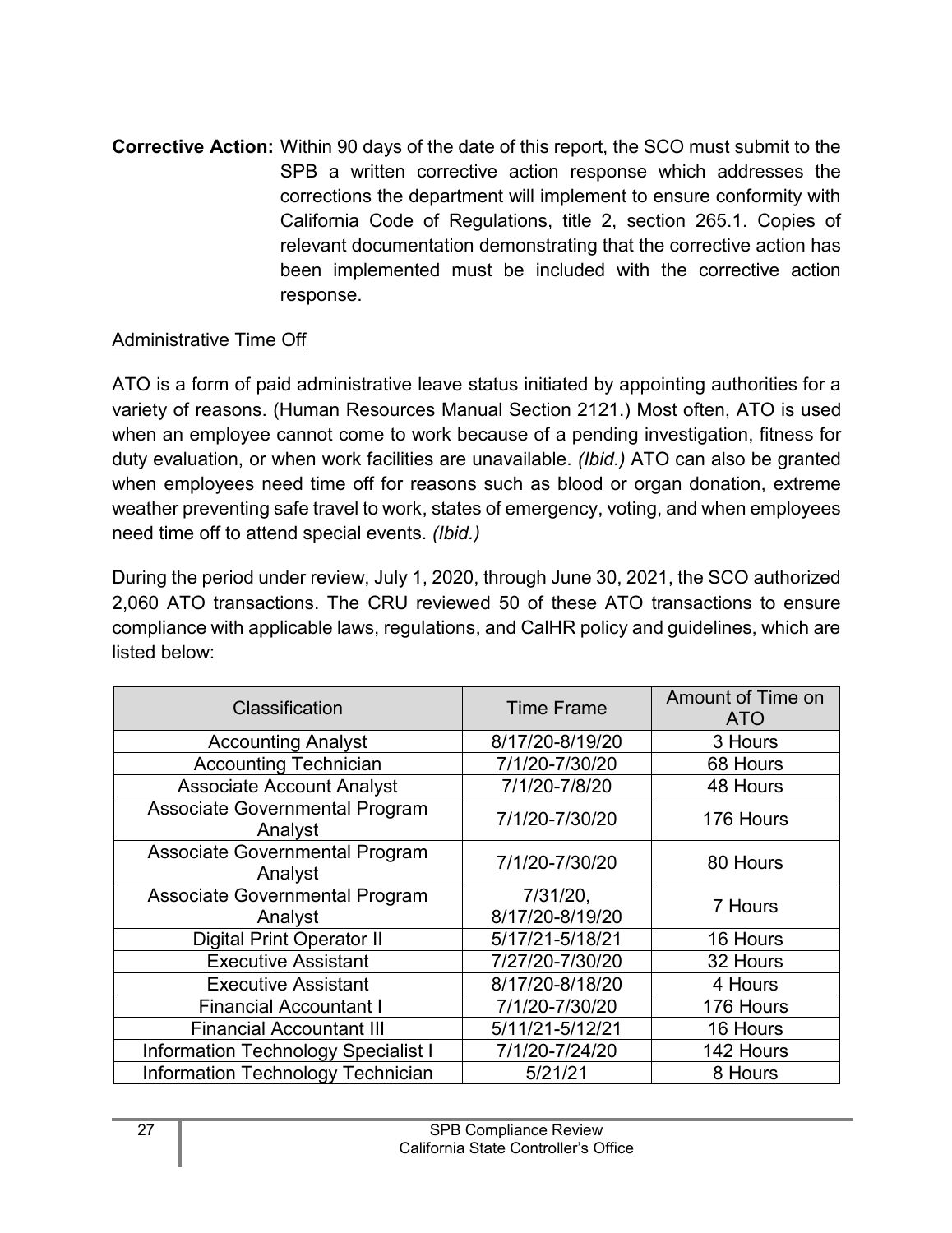**Corrective Action:** Within 90 days of the date of this report, the SCO must submit to the SPB a written corrective action response which addresses the corrections the department will implement to ensure conformity with California Code of Regulations, title 2, section 265.1. Copies of relevant documentation demonstrating that the corrective action has been implemented must be included with the corrective action response.

#### Administrative Time Off

ATO is a form of paid administrative leave status initiated by appointing authorities for a variety of reasons. (Human Resources Manual Section 2121.) Most often, ATO is used when an employee cannot come to work because of a pending investigation, fitness for duty evaluation, or when work facilities are unavailable. *(Ibid.)* ATO can also be granted when employees need time off for reasons such as blood or organ donation, extreme weather preventing safe travel to work, states of emergency, voting, and when employees need time off to attend special events. *(Ibid.)* 

During the period under review, July 1, 2020, through June 30, 2021, the SCO authorized 2,060 ATO transactions. The CRU reviewed 50 of these ATO transactions to ensure compliance with applicable laws, regulations, and CalHR policy and guidelines, which are listed below:

| Classification                             | <b>Time Frame</b>              | Amount of Time on<br><b>ATO</b> |
|--------------------------------------------|--------------------------------|---------------------------------|
| <b>Accounting Analyst</b>                  | 8/17/20-8/19/20                | 3 Hours                         |
| <b>Accounting Technician</b>               | 7/1/20-7/30/20                 | 68 Hours                        |
| <b>Associate Account Analyst</b>           | 7/1/20-7/8/20                  | 48 Hours                        |
| Associate Governmental Program<br>Analyst  | 7/1/20-7/30/20                 | 176 Hours                       |
| Associate Governmental Program<br>Analyst  | 7/1/20-7/30/20                 | 80 Hours                        |
| Associate Governmental Program<br>Analyst  | $7/31/20$ ,<br>8/17/20-8/19/20 | 7 Hours                         |
| <b>Digital Print Operator II</b>           | 5/17/21-5/18/21                | 16 Hours                        |
| <b>Executive Assistant</b>                 | 7/27/20-7/30/20                | 32 Hours                        |
| <b>Executive Assistant</b>                 | 8/17/20-8/18/20                | 4 Hours                         |
| <b>Financial Accountant I</b>              | 7/1/20-7/30/20                 | 176 Hours                       |
| <b>Financial Accountant III</b>            | 5/11/21-5/12/21                | 16 Hours                        |
| <b>Information Technology Specialist I</b> | 7/1/20-7/24/20                 | 142 Hours                       |
| <b>Information Technology Technician</b>   | 5/21/21                        | 8 Hours                         |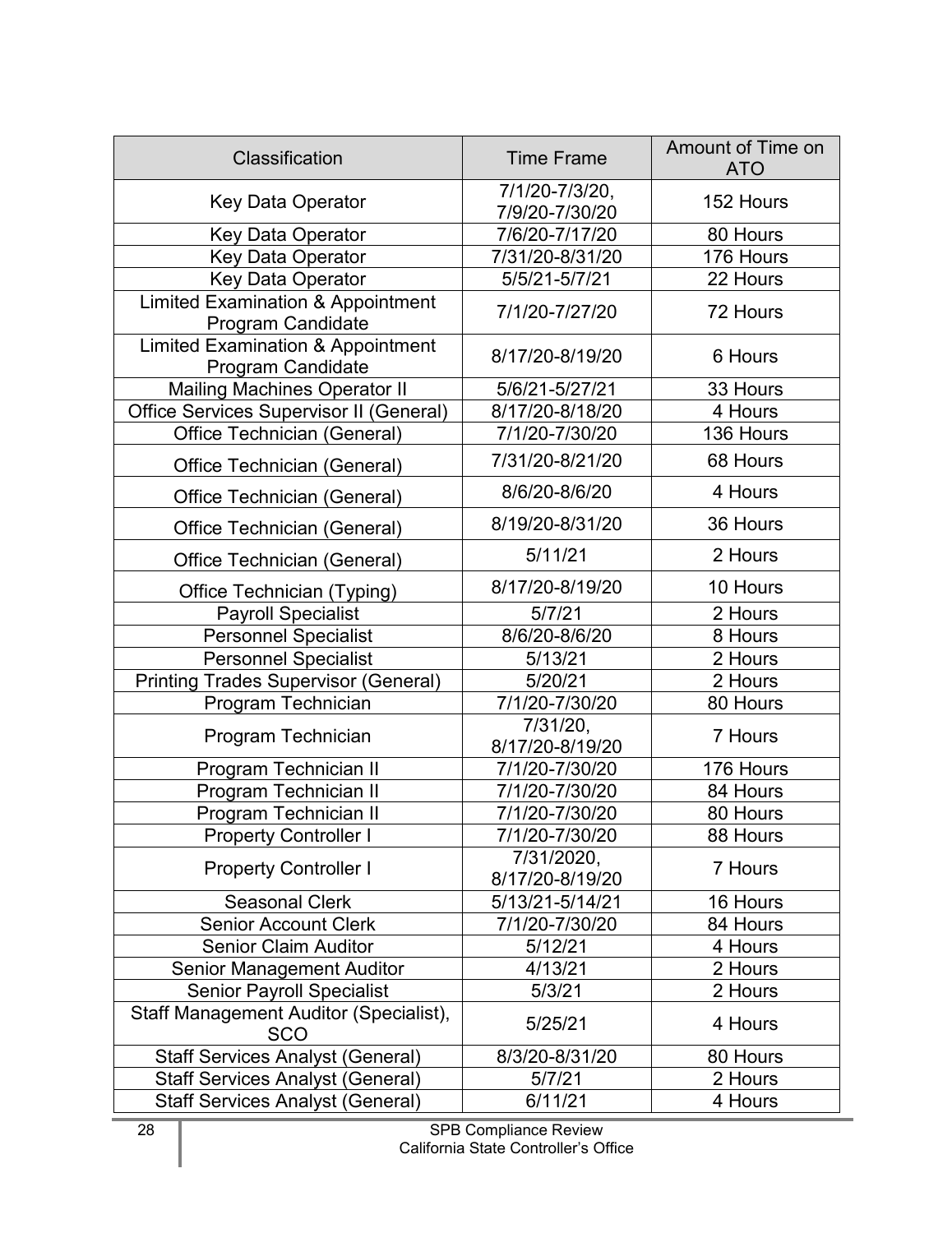| Classification                                                           | <b>Time Frame</b>                | Amount of Time on<br><b>ATO</b> |
|--------------------------------------------------------------------------|----------------------------------|---------------------------------|
| Key Data Operator                                                        | 7/1/20-7/3/20,<br>7/9/20-7/30/20 | 152 Hours                       |
| <b>Key Data Operator</b>                                                 | 7/6/20-7/17/20                   | 80 Hours                        |
| <b>Key Data Operator</b>                                                 | 7/31/20-8/31/20                  | 176 Hours                       |
| Key Data Operator                                                        | 5/5/21-5/7/21                    | 22 Hours                        |
| <b>Limited Examination &amp; Appointment</b><br>Program Candidate        | 7/1/20-7/27/20                   | 72 Hours                        |
| <b>Limited Examination &amp; Appointment</b><br><b>Program Candidate</b> | 8/17/20-8/19/20                  | 6 Hours                         |
| <b>Mailing Machines Operator II</b>                                      | 5/6/21-5/27/21                   | 33 Hours                        |
| Office Services Supervisor II (General)                                  | 8/17/20-8/18/20                  | 4 Hours                         |
| Office Technician (General)                                              | 7/1/20-7/30/20                   | 136 Hours                       |
| Office Technician (General)                                              | 7/31/20-8/21/20                  | 68 Hours                        |
| Office Technician (General)                                              | 8/6/20-8/6/20                    | 4 Hours                         |
| Office Technician (General)                                              | 8/19/20-8/31/20                  | 36 Hours                        |
| Office Technician (General)                                              | 5/11/21                          | 2 Hours                         |
| Office Technician (Typing)                                               | 8/17/20-8/19/20                  | 10 Hours                        |
| <b>Payroll Specialist</b>                                                | 5/7/21                           | 2 Hours                         |
| <b>Personnel Specialist</b>                                              | 8/6/20-8/6/20                    | 8 Hours                         |
| <b>Personnel Specialist</b>                                              | 5/13/21                          | 2 Hours                         |
| <b>Printing Trades Supervisor (General)</b>                              | 5/20/21                          | 2 Hours                         |
| Program Technician                                                       | 7/1/20-7/30/20                   | 80 Hours                        |
| Program Technician                                                       | 7/31/20,<br>8/17/20-8/19/20      | 7 Hours                         |
| Program Technician II                                                    | 7/1/20-7/30/20                   | 176 Hours                       |
| Program Technician II                                                    | 7/1/20-7/30/20                   | 84 Hours                        |
| Program Technician II                                                    | 7/1/20-7/30/20                   | 80 Hours                        |
| <b>Property Controller I</b>                                             | 7/1/20-7/30/20                   | 88 Hours                        |
| <b>Property Controller I</b>                                             | 7/31/2020,<br>8/17/20-8/19/20    | 7 Hours                         |
| <b>Seasonal Clerk</b>                                                    | 5/13/21-5/14/21                  | 16 Hours                        |
| <b>Senior Account Clerk</b>                                              | 7/1/20-7/30/20                   | 84 Hours                        |
| <b>Senior Claim Auditor</b>                                              | 5/12/21                          | 4 Hours                         |
| <b>Senior Management Auditor</b>                                         | 4/13/21                          | 2 Hours                         |
| <b>Senior Payroll Specialist</b>                                         | 5/3/21                           | 2 Hours                         |
| Staff Management Auditor (Specialist),<br><b>SCO</b>                     | 5/25/21                          | 4 Hours                         |
| <b>Staff Services Analyst (General)</b>                                  | 8/3/20-8/31/20                   | 80 Hours                        |
| <b>Staff Services Analyst (General)</b>                                  | 5/7/21                           | 2 Hours                         |
| <b>Staff Services Analyst (General)</b>                                  | 6/11/21                          | 4 Hours                         |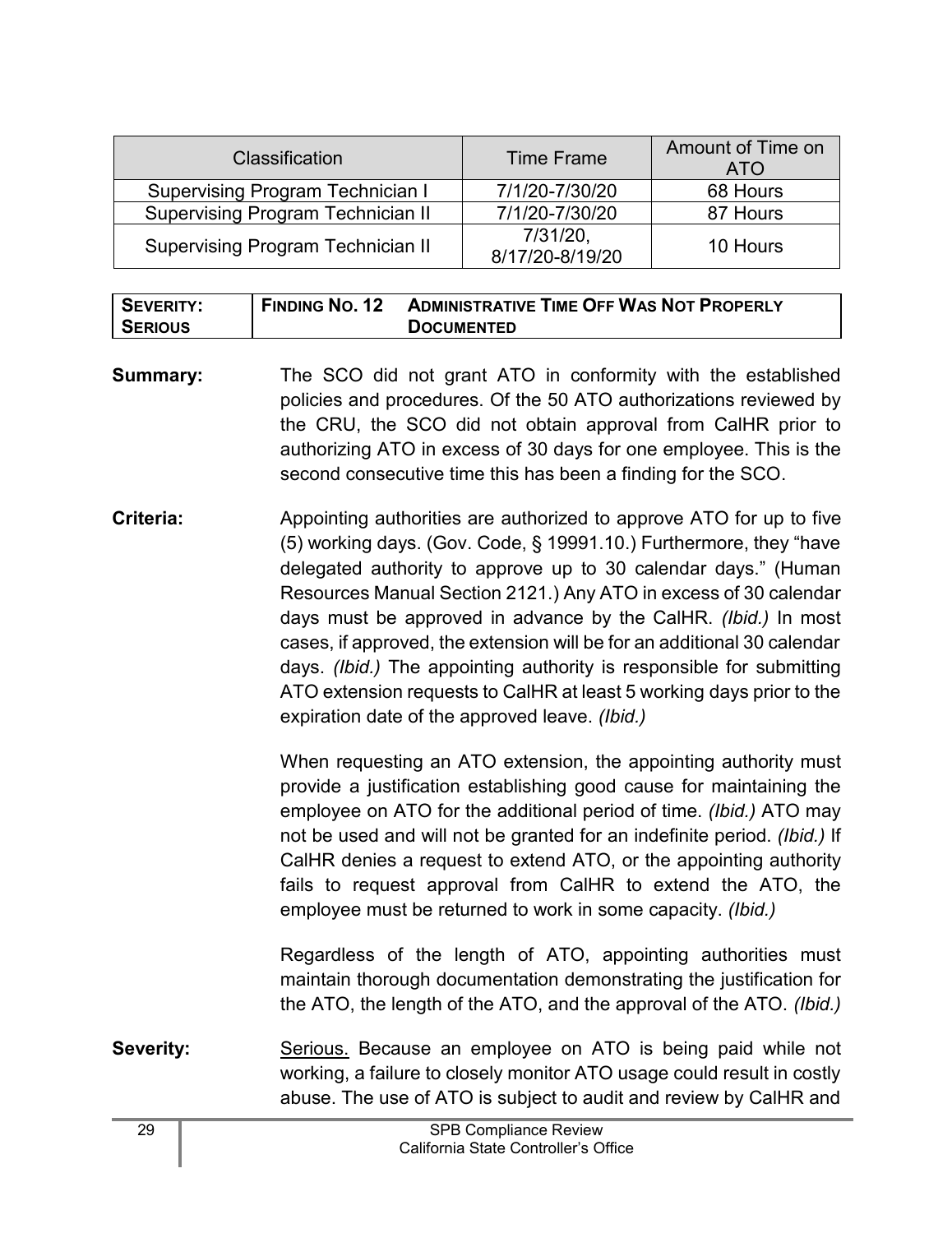| <b>Classification</b>                    | <b>Time Frame</b>              | Amount of Time on<br><b>ATO</b> |
|------------------------------------------|--------------------------------|---------------------------------|
| <b>Supervising Program Technician I</b>  | 7/1/20-7/30/20                 | 68 Hours                        |
| <b>Supervising Program Technician II</b> | 7/1/20-7/30/20                 | 87 Hours                        |
| <b>Supervising Program Technician II</b> | $7/31/20$ ,<br>8/17/20-8/19/20 | 10 Hours                        |

| <b>SEVERITY:</b> | FINDING NO. 12 | <b>ADMINISTRATIVE TIME OFF WAS NOT PROPERLY</b> |
|------------------|----------------|-------------------------------------------------|
| <b>SERIOUS</b>   |                | <b>DOCUMENTED</b>                               |

- **Summary:** The SCO did not grant ATO in conformity with the established policies and procedures. Of the 50 ATO authorizations reviewed by the CRU, the SCO did not obtain approval from CalHR prior to authorizing ATO in excess of 30 days for one employee. This is the second consecutive time this has been a finding for the SCO.
- **Criteria:** Appointing authorities are authorized to approve ATO for up to five (5) working days. (Gov. Code, § 19991.10.) Furthermore, they "have delegated authority to approve up to 30 calendar days." (Human Resources Manual Section 2121.) Any ATO in excess of 30 calendar days must be approved in advance by the CalHR. *(Ibid.)* In most cases, if approved, the extension will be for an additional 30 calendar days. *(Ibid.)* The appointing authority is responsible for submitting ATO extension requests to CalHR at least 5 working days prior to the expiration date of the approved leave. *(Ibid.)*

When requesting an ATO extension, the appointing authority must provide a justification establishing good cause for maintaining the employee on ATO for the additional period of time. *(Ibid.)* ATO may not be used and will not be granted for an indefinite period. *(Ibid.)* If CalHR denies a request to extend ATO, or the appointing authority fails to request approval from CalHR to extend the ATO, the employee must be returned to work in some capacity. *(Ibid.)*

Regardless of the length of ATO, appointing authorities must maintain thorough documentation demonstrating the justification for the ATO, the length of the ATO, and the approval of the ATO. *(Ibid.)*

**Severity:** Serious. Because an employee on ATO is being paid while not working, a failure to closely monitor ATO usage could result in costly abuse. The use of ATO is subject to audit and review by CalHR and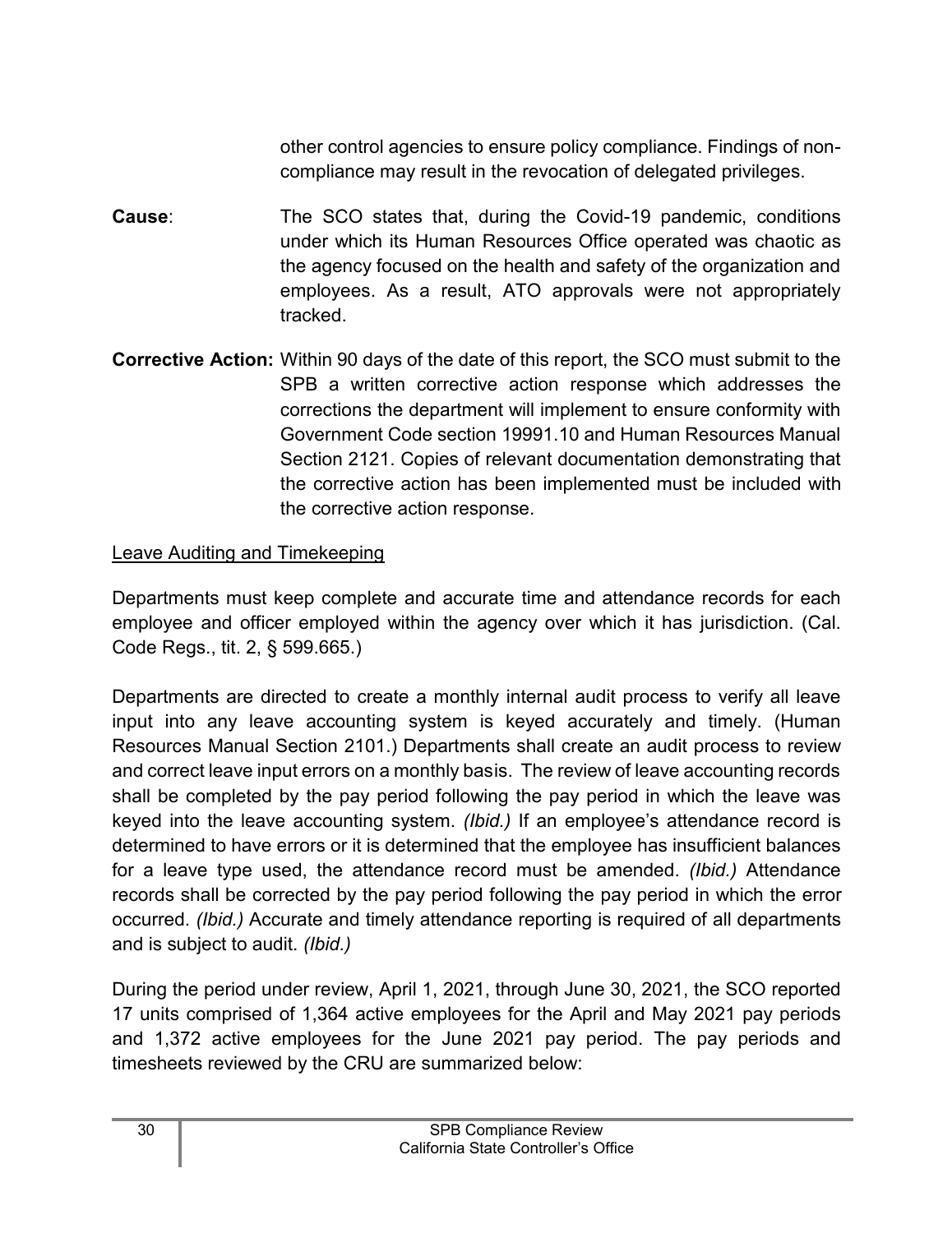other control agencies to ensure policy compliance. Findings of noncompliance may result in the revocation of delegated privileges.

- **Cause**: The SCO states that, during the Covid-19 pandemic, conditions under which its Human Resources Office operated was chaotic as the agency focused on the health and safety of the organization and employees. As a result, ATO approvals were not appropriately tracked.
- **Corrective Action:** Within 90 days of the date of this report, the SCO must submit to the SPB a written corrective action response which addresses the corrections the department will implement to ensure conformity with Government Code section 19991.10 and Human Resources Manual Section 2121. Copies of relevant documentation demonstrating that the corrective action has been implemented must be included with the corrective action response.

#### Leave Auditing and Timekeeping

Departments must keep complete and accurate time and attendance records for each employee and officer employed within the agency over which it has jurisdiction. (Cal. Code Regs., tit. 2, § 599.665.)

Departments are directed to create a monthly internal audit process to verify all leave input into any leave accounting system is keyed accurately and timely. (Human Resources Manual Section 2101.) Departments shall create an audit process to review and correct leave input errors on a monthly basis. The review of leave accounting records shall be completed by the pay period following the pay period in which the leave was keyed into the leave accounting system. *(Ibid.)* If an employee's attendance record is determined to have errors or it is determined that the employee has insufficient balances for a leave type used, the attendance record must be amended. *(Ibid.)* Attendance records shall be corrected by the pay period following the pay period in which the error occurred. *(Ibid.)* Accurate and timely attendance reporting is required of all departments and is subject to audit. *(Ibid.)*

During the period under review, April 1, 2021, through June 30, 2021, the SCO reported 17 units comprised of 1,364 active employees for the April and May 2021 pay periods and 1,372 active employees for the June 2021 pay period. The pay periods and timesheets reviewed by the CRU are summarized below: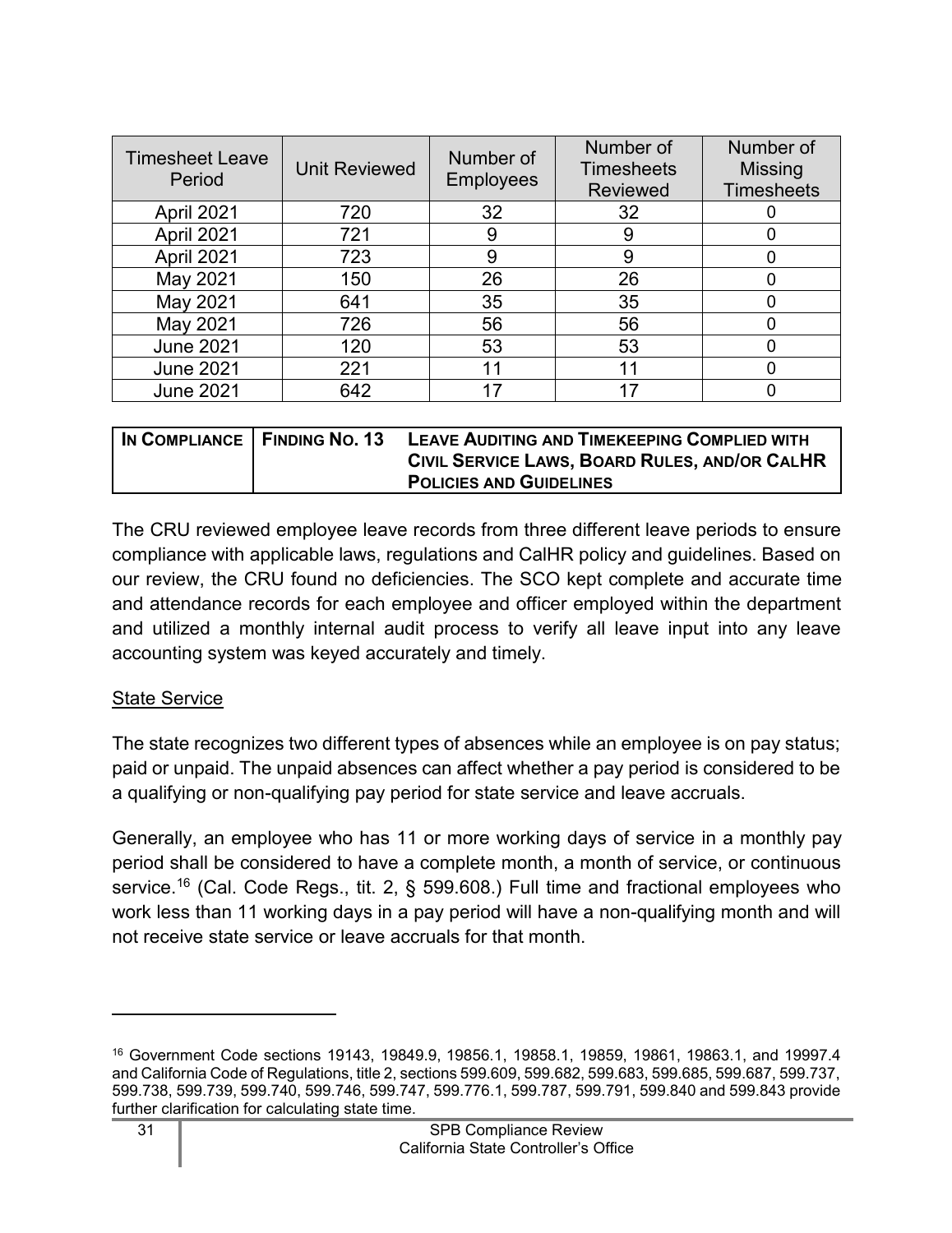| <b>Timesheet Leave</b><br>Period | <b>Unit Reviewed</b> | Number of<br><b>Employees</b> | Number of<br><b>Timesheets</b><br><b>Reviewed</b> | Number of<br><b>Missing</b><br><b>Timesheets</b> |
|----------------------------------|----------------------|-------------------------------|---------------------------------------------------|--------------------------------------------------|
| April 2021                       | 720                  | 32                            | 32                                                |                                                  |
| April 2021                       | 721                  | 9                             | 9                                                 |                                                  |
| April 2021                       | 723                  | 9                             | 9                                                 |                                                  |
| May 2021                         | 150                  | 26                            | 26                                                | O                                                |
| May 2021                         | 641                  | 35                            | 35                                                |                                                  |
| May 2021                         | 726                  | 56                            | 56                                                |                                                  |
| <b>June 2021</b>                 | 120                  | 53                            | 53                                                |                                                  |
| <b>June 2021</b>                 | 221                  | 11                            | 11                                                |                                                  |
| <b>June 2021</b>                 | 642                  |                               |                                                   |                                                  |

| IN COMPLIANCE   FINDING NO. 13 | LEAVE AUDITING AND TIMEKEEPING COMPLIED WITH  |
|--------------------------------|-----------------------------------------------|
|                                | CIVIL SERVICE LAWS, BOARD RULES, AND/OR CALHR |
|                                | <b>POLICIES AND GUIDELINES</b>                |

The CRU reviewed employee leave records from three different leave periods to ensure compliance with applicable laws, regulations and CalHR policy and guidelines. Based on our review, the CRU found no deficiencies. The SCO kept complete and accurate time and attendance records for each employee and officer employed within the department and utilized a monthly internal audit process to verify all leave input into any leave accounting system was keyed accurately and timely.

#### State Service

The state recognizes two different types of absences while an employee is on pay status; paid or unpaid. The unpaid absences can affect whether a pay period is considered to be a qualifying or non-qualifying pay period for state service and leave accruals.

Generally, an employee who has 11 or more working days of service in a monthly pay period shall be considered to have a complete month, a month of service, or continuous service. [16](#page-32-0) (Cal. Code Regs., tit. 2, § 599.608.) Full time and fractional employees who work less than 11 working days in a pay period will have a non-qualifying month and will not receive state service or leave accruals for that month.

<span id="page-32-0"></span><sup>16</sup> Government Code sections 19143, 19849.9, 19856.1, 19858.1, 19859, 19861, 19863.1, and 19997.4 and California Code of Regulations, title 2, sections 599.609, 599.682, 599.683, 599.685, 599.687, 599.737, 599.738, 599.739, 599.740, 599.746, 599.747, 599.776.1, 599.787, 599.791, 599.840 and 599.843 provide further clarification for calculating state time.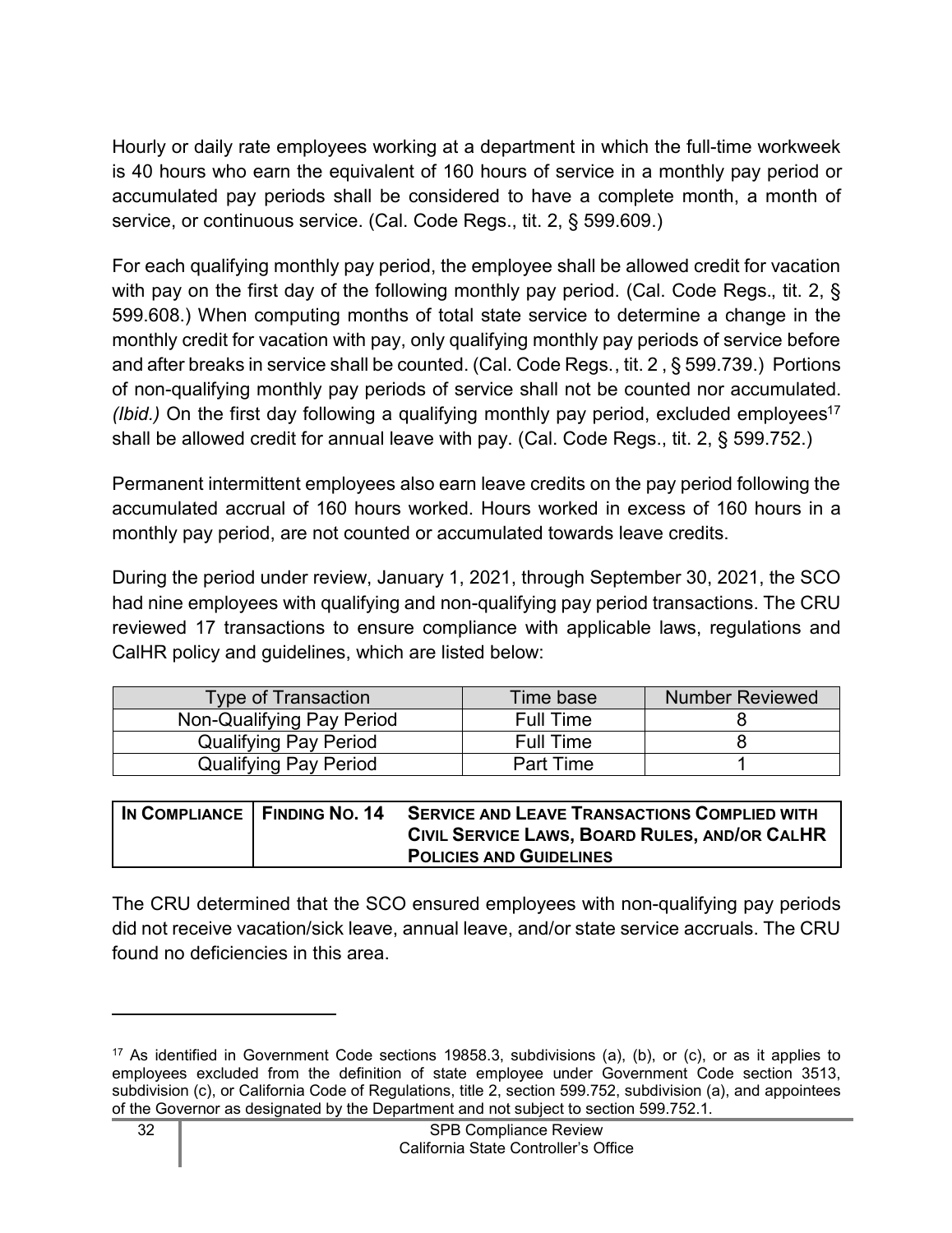Hourly or daily rate employees working at a department in which the full-time workweek is 40 hours who earn the equivalent of 160 hours of service in a monthly pay period or accumulated pay periods shall be considered to have a complete month, a month of service, or continuous service. (Cal. Code Regs., tit. 2, § 599.609.)

For each qualifying monthly pay period, the employee shall be allowed credit for vacation with pay on the first day of the following monthly pay period. (Cal. Code Regs., tit. 2, § 599.608.) When computing months of total state service to determine a change in the monthly credit for vacation with pay, only qualifying monthly pay periods of service before and after breaks in service shall be counted. (Cal. Code Regs., tit. 2 , § 599.739.) Portions of non-qualifying monthly pay periods of service shall not be counted nor accumulated. *(Ibid.)* On the first day following a qualifying monthly pay period, excluded employees<sup>[17](#page-33-0)</sup> shall be allowed credit for annual leave with pay. (Cal. Code Regs., tit. 2, § 599.752.)

Permanent intermittent employees also earn leave credits on the pay period following the accumulated accrual of 160 hours worked. Hours worked in excess of 160 hours in a monthly pay period, are not counted or accumulated towards leave credits.

During the period under review, January 1, 2021, through September 30, 2021, the SCO had nine employees with qualifying and non-qualifying pay period transactions. The CRU reviewed 17 transactions to ensure compliance with applicable laws, regulations and CalHR policy and guidelines, which are listed below:

| <b>Type of Transaction</b>   | Time base        | <b>Number Reviewed</b> |
|------------------------------|------------------|------------------------|
| Non-Qualifying Pay Period    | <b>Full Time</b> |                        |
| <b>Qualifying Pay Period</b> | <b>Full Time</b> |                        |
| <b>Qualifying Pay Period</b> | <b>Part Time</b> |                        |

|  | IN COMPLIANCE FINDING NO. 14 SERVICE AND LEAVE TRANSACTIONS COMPLIED WITH |
|--|---------------------------------------------------------------------------|
|  | CIVIL SERVICE LAWS, BOARD RULES, AND/OR CALHR                             |
|  | <b>POLICIES AND GUIDELINES</b>                                            |

The CRU determined that the SCO ensured employees with non-qualifying pay periods did not receive vacation/sick leave, annual leave, and/or state service accruals. The CRU found no deficiencies in this area.

<span id="page-33-0"></span><sup>17</sup> As identified in Government Code sections 19858.3, subdivisions (a), (b), or (c), or as it applies to employees excluded from the definition of state employee under Government Code section 3513, subdivision (c), or California Code of Regulations, title 2, section 599.752, subdivision (a), and appointees of the Governor as designated by the Department and not subject to section 599.752.1.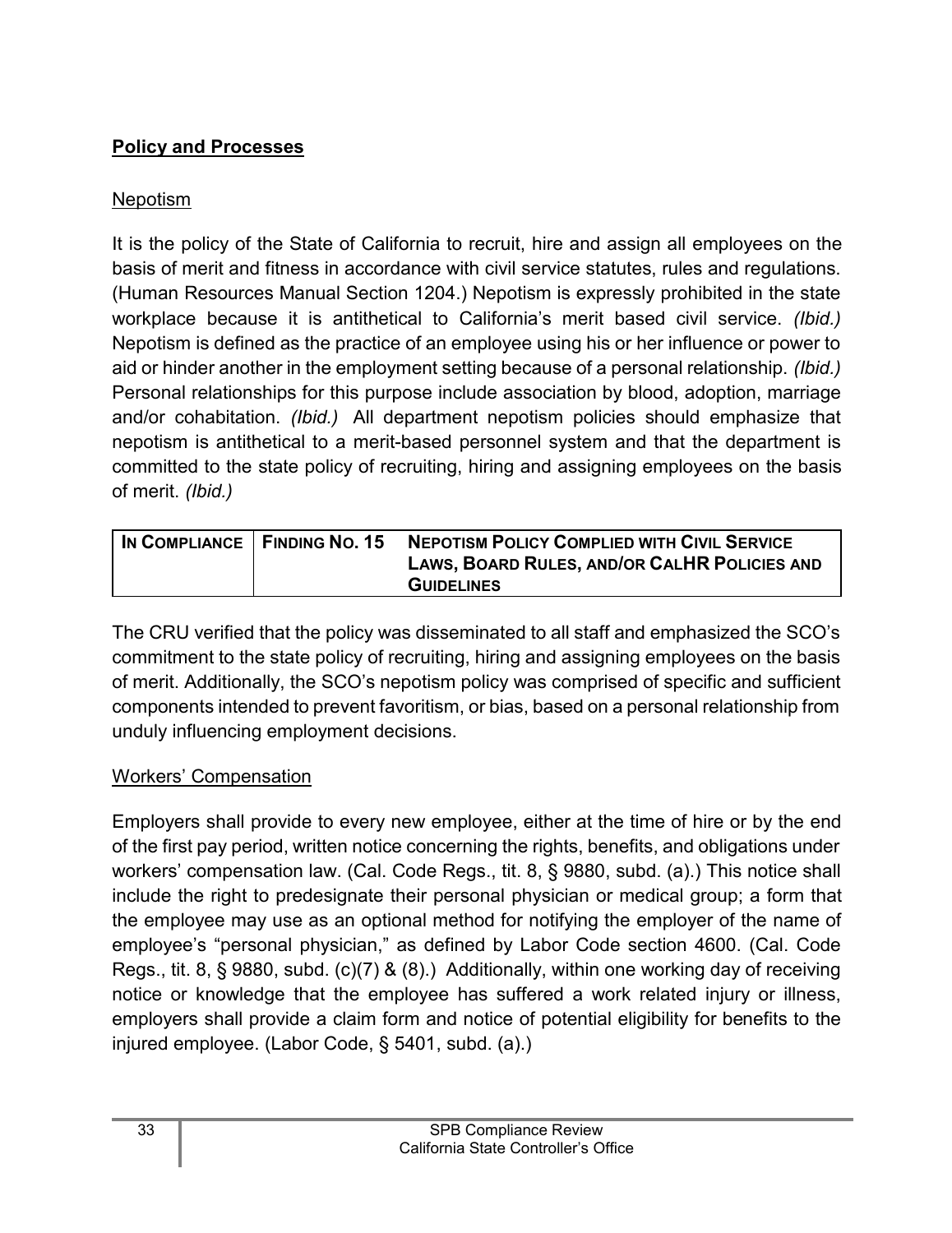## <span id="page-34-0"></span>**Policy and Processes**

## Nepotism

It is the policy of the State of California to recruit, hire and assign all employees on the basis of merit and fitness in accordance with civil service statutes, rules and regulations. (Human Resources Manual Section 1204.) Nepotism is expressly prohibited in the state workplace because it is antithetical to California's merit based civil service. *(Ibid.)* Nepotism is defined as the practice of an employee using his or her influence or power to aid or hinder another in the employment setting because of a personal relationship. *(Ibid.)* Personal relationships for this purpose include association by blood, adoption, marriage and/or cohabitation. *(Ibid.)* All department nepotism policies should emphasize that nepotism is antithetical to a merit-based personnel system and that the department is committed to the state policy of recruiting, hiring and assigning employees on the basis of merit. *(Ibid.)*

| IN COMPLIANCE   FINDING NO. 15 | <b>NEPOTISM POLICY COMPLIED WITH CIVIL SERVICE</b><br>LAWS, BOARD RULES, AND/OR CALHR POLICIES AND |
|--------------------------------|----------------------------------------------------------------------------------------------------|
|                                | <b>GUIDELINES</b>                                                                                  |

The CRU verified that the policy was disseminated to all staff and emphasized the SCO's commitment to the state policy of recruiting, hiring and assigning employees on the basis of merit. Additionally, the SCO's nepotism policy was comprised of specific and sufficient components intended to prevent favoritism, or bias, based on a personal relationship from unduly influencing employment decisions.

## Workers' Compensation

Employers shall provide to every new employee, either at the time of hire or by the end of the first pay period, written notice concerning the rights, benefits, and obligations under workers' compensation law. (Cal. Code Regs., tit. 8, § 9880, subd. (a).) This notice shall include the right to predesignate their personal physician or medical group; a form that the employee may use as an optional method for notifying the employer of the name of employee's "personal physician," as defined by Labor Code section 4600. (Cal. Code Regs., tit. 8, § 9880, subd. (c)(7) & (8).) Additionally, within one working day of receiving notice or knowledge that the employee has suffered a work related injury or illness, employers shall provide a claim form and notice of potential eligibility for benefits to the injured employee. (Labor Code, § 5401, subd. (a).)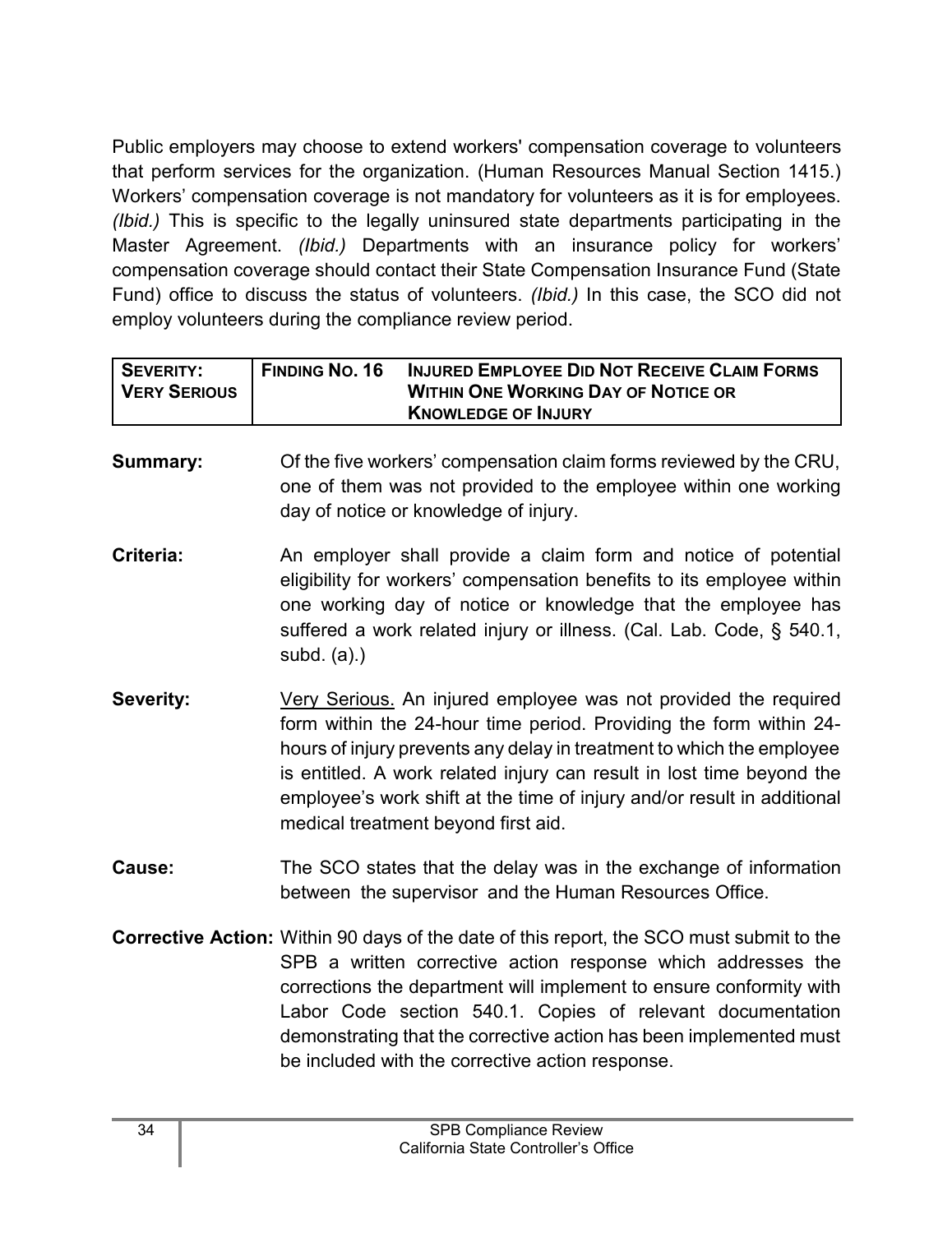Public employers may choose to extend workers' compensation coverage to volunteers that perform services for the organization. (Human Resources Manual Section 1415.) Workers' compensation coverage is not mandatory for volunteers as it is for employees. *(Ibid.)* This is specific to the legally uninsured state departments participating in the Master Agreement. *(Ibid.)* Departments with an insurance policy for workers' compensation coverage should contact their State Compensation Insurance Fund (State Fund) office to discuss the status of volunteers. *(Ibid.)* In this case, the SCO did not employ volunteers during the compliance review period.

| I SEVERITY:         | <b>FINDING NO. 16</b> | <b>INJURED EMPLOYEE DID NOT RECEIVE CLAIM FORMS</b> |
|---------------------|-----------------------|-----------------------------------------------------|
| <b>VERY SERIOUS</b> |                       | <b>WITHIN ONE WORKING DAY OF NOTICE OR</b>          |
|                     |                       | <b>KNOWLEDGE OF INJURY</b>                          |

**Summary:** Of the five workers' compensation claim forms reviewed by the CRU, one of them was not provided to the employee within one working day of notice or knowledge of injury.

- **Criteria:** An employer shall provide a claim form and notice of potential eligibility for workers' compensation benefits to its employee within one working day of notice or knowledge that the employee has suffered a work related injury or illness. (Cal. Lab. Code, § 540.1, subd. (a).)
- **Severity:** Very Serious. An injured employee was not provided the required form within the 24-hour time period. Providing the form within 24 hours of injury prevents any delay in treatment to which the employee is entitled. A work related injury can result in lost time beyond the employee's work shift at the time of injury and/or result in additional medical treatment beyond first aid.
- **Cause:** The SCO states that the delay was in the exchange of information between the supervisor and the Human Resources Office.
- **Corrective Action:** Within 90 days of the date of this report, the SCO must submit to the SPB a written corrective action response which addresses the corrections the department will implement to ensure conformity with Labor Code section 540.1. Copies of relevant documentation demonstrating that the corrective action has been implemented must be included with the corrective action response.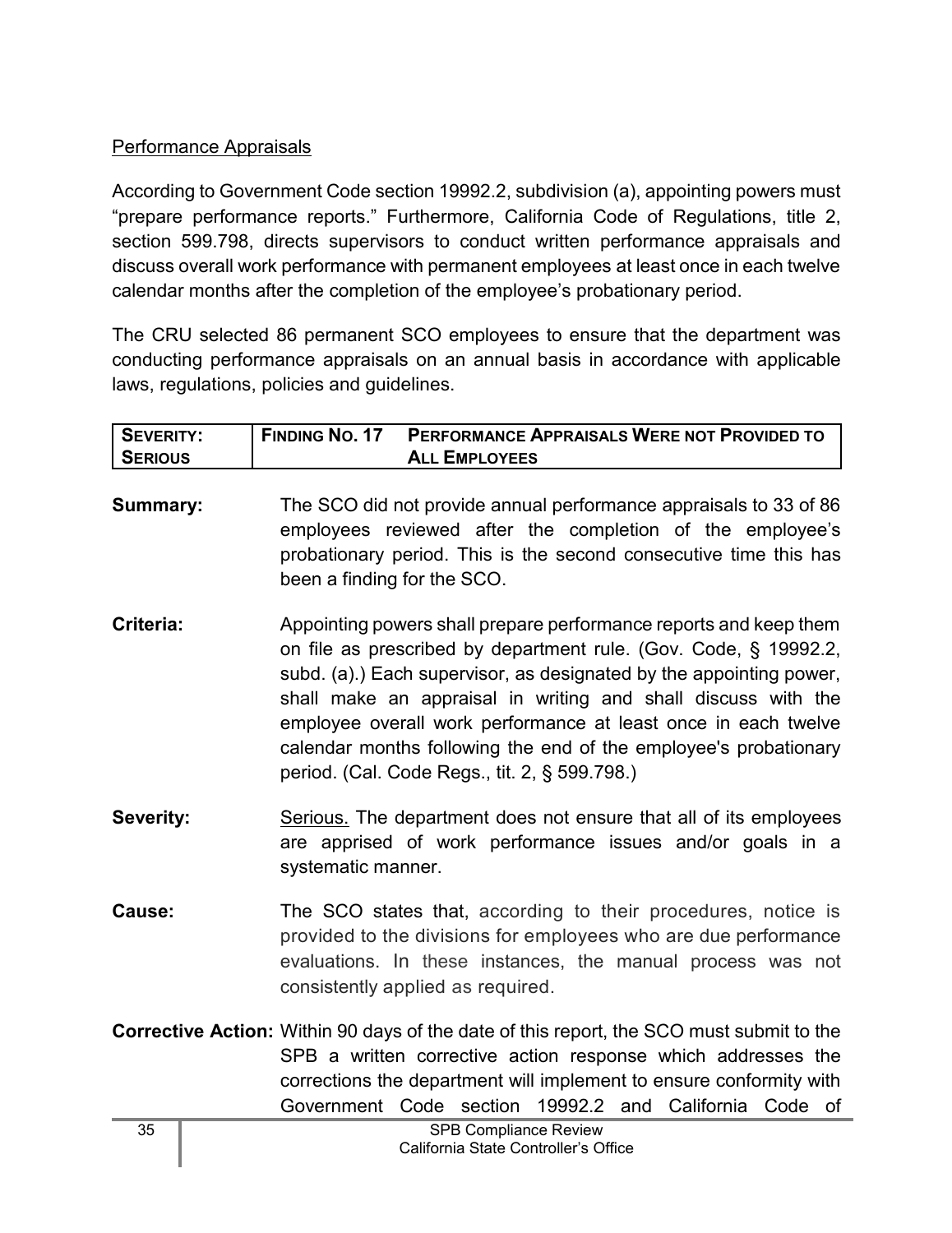## Performance Appraisals

According to Government Code section 19992.2, subdivision (a), appointing powers must "prepare performance reports." Furthermore, California Code of Regulations, title 2, section 599.798, directs supervisors to conduct written performance appraisals and discuss overall work performance with permanent employees at least once in each twelve calendar months after the completion of the employee's probationary period.

The CRU selected 86 permanent SCO employees to ensure that the department was conducting performance appraisals on an annual basis in accordance with applicable laws, regulations, policies and guidelines.

| <b>SEVERITY:</b> | <b>FINDING NO. 17</b> | PERFORMANCE APPRAISALS WERE NOT PROVIDED TO |
|------------------|-----------------------|---------------------------------------------|
| <b>SERIOUS</b>   |                       | <b>ALL EMPLOYEES</b>                        |

- **Summary:** The SCO did not provide annual performance appraisals to 33 of 86 employees reviewed after the completion of the employee's probationary period. This is the second consecutive time this has been a finding for the SCO.
- **Criteria:** Appointing powers shall prepare performance reports and keep them on file as prescribed by department rule. (Gov. Code, § 19992.2, subd. (a).) Each supervisor, as designated by the appointing power, shall make an appraisal in writing and shall discuss with the employee overall work performance at least once in each twelve calendar months following the end of the employee's probationary period. (Cal. Code Regs., tit. 2, § 599.798.)
- **Severity:** Serious. The department does not ensure that all of its employees are apprised of work performance issues and/or goals in a systematic manner.
- **Cause:** The SCO states that, according to their procedures, notice is provided to the divisions for employees who are due performance evaluations. In these instances, the manual process was not consistently applied as required.
- **Corrective Action:** Within 90 days of the date of this report, the SCO must submit to the SPB a written corrective action response which addresses the corrections the department will implement to ensure conformity with Government Code section 19992.2 and California Code of